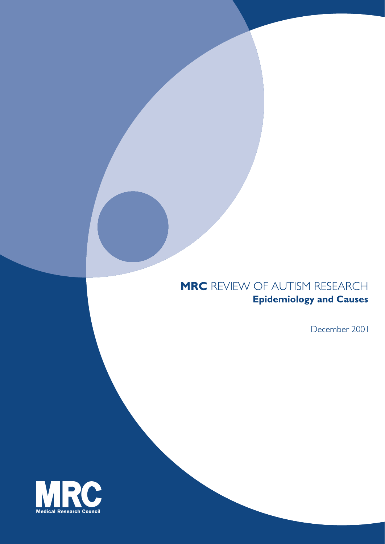# **MRC** REVIEW OF AUTISM RESEARCH **Epidemiology and Causes**

December 2001

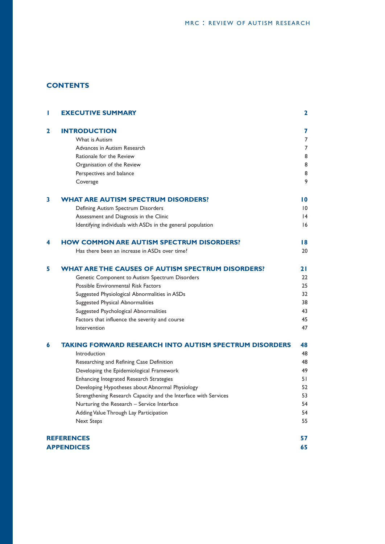# **CONTENTS**

| I  | <b>EXECUTIVE SUMMARY</b>                                        | 2               |  |
|----|-----------------------------------------------------------------|-----------------|--|
| 2  | <b>INTRODUCTION</b>                                             | 7               |  |
|    | What is Autism                                                  | $\overline{7}$  |  |
|    | Advances in Autism Research                                     | $\overline{7}$  |  |
|    | Rationale for the Review                                        | 8               |  |
|    | Organisation of the Review                                      | 8               |  |
|    | Perspectives and balance                                        | 8               |  |
|    | Coverage                                                        | 9               |  |
| 3. | <b>WHAT ARE AUTISM SPECTRUM DISORDERS?</b>                      | $\overline{10}$ |  |
|    | Defining Autism Spectrum Disorders                              | 10              |  |
|    | Assessment and Diagnosis in the Clinic                          | 4               |  |
|    | Identifying individuals with ASDs in the general population     | 16              |  |
| 4  | <b>HOW COMMON ARE AUTISM SPECTRUM DISORDERS?</b>                | 18              |  |
|    | Has there been an increase in ASDs over time?                   | 20              |  |
| 5  | <b>WHAT ARE THE CAUSES OF AUTISM SPECTRUM DISORDERS?</b>        | 21              |  |
|    | Genetic Component to Autism Spectrum Disorders                  | 22              |  |
|    | Possible Environmental Risk Factors                             | 25              |  |
|    | Suggested Physiological Abnormalities in ASDs                   | 32              |  |
|    | Suggested Physical Abnormalities                                | 38              |  |
|    | Suggested Psychological Abnormalities                           | 43              |  |
|    | Factors that influence the severity and course                  | 45              |  |
|    | Intervention                                                    | 47              |  |
| 6  | <b>TAKING FORWARD RESEARCH INTO AUTISM SPECTRUM DISORDERS</b>   | 48              |  |
|    | Introduction                                                    | 48              |  |
|    | Researching and Refining Case Definition                        | 48              |  |
|    | Developing the Epidemiological Framework                        | 49              |  |
|    | Enhancing Integrated Research Strategies                        | 51              |  |
|    | Developing Hypotheses about Abnormal Physiology                 | 52              |  |
|    | Strengthening Research Capacity and the Interface with Services | 53              |  |
|    | Nurturing the Research - Service Interface                      | 54              |  |
|    | Adding Value Through Lay Participation                          | 54              |  |
|    | <b>Next Steps</b>                                               | 55              |  |
|    | <b>REFERENCES</b>                                               |                 |  |
|    | <b>APPENDICES</b>                                               | 65              |  |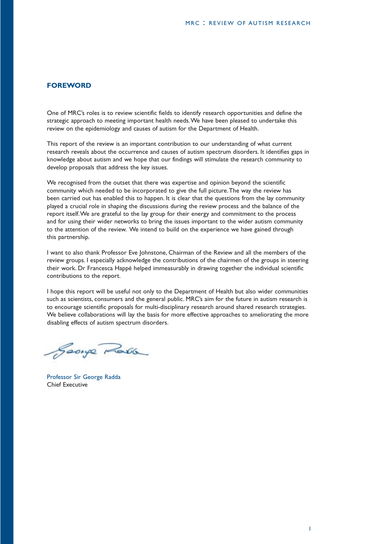## **FOREWORD**

One of MRC's roles is to review scientific fields to identify research opportunities and define the strategic approach to meeting important health needs.We have been pleased to undertake this review on the epidemiology and causes of autism for the Department of Health.

This report of the review is an important contribution to our understanding of what current research reveals about the occurrence and causes of autism spectrum disorders. It identifies gaps in knowledge about autism and we hope that our findings will stimulate the research community to develop proposals that address the key issues.

We recognised from the outset that there was expertise and opinion beyond the scientific community which needed to be incorporated to give the full picture.The way the review has been carried out has enabled this to happen. It is clear that the questions from the lay community played a crucial role in shaping the discussions during the review process and the balance of the report itself.We are grateful to the lay group for their energy and commitment to the process and for using their wider networks to bring the issues important to the wider autism community to the attention of the review. We intend to build on the experience we have gained through this partnership.

I want to also thank Professor Eve Johnstone, Chairman of the Review and all the members of the review groups. I especially acknowledge the contributions of the chairmen of the groups in steering their work. Dr Francesca Happé helped immeasurably in drawing together the individual scientific contributions to the report.

I hope this report will be useful not only to the Department of Health but also wider communities such as scientists, consumers and the general public. MRC's aim for the future in autism research is to encourage scientific proposals for multi-disciplinary research around shared research strategies. We believe collaborations will lay the basis for more effective approaches to ameliorating the more disabling effects of autism spectrum disorders.

Sarge Robb

Professor Sir George Radda Chief Executive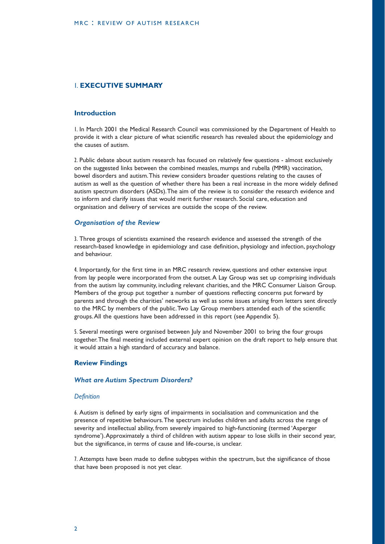## 1. **EXECUTIVE SUMMARY**

## **Introduction**

1. In March 2001 the Medical Research Council was commissioned by the Department of Health to provide it with a clear picture of what scientific research has revealed about the epidemiology and the causes of autism.

2. Public debate about autism research has focused on relatively few questions - almost exclusively on the suggested links between the combined measles, mumps and rubella (MMR) vaccination, bowel disorders and autism.This review considers broader questions relating to the causes of autism as well as the question of whether there has been a real increase in the more widely defined autism spectrum disorders (ASDs).The aim of the review is to consider the research evidence and to inform and clarify issues that would merit further research. Social care, education and organisation and delivery of services are outside the scope of the review.

#### *Organisation of the Review*

3. Three groups of scientists examined the research evidence and assessed the strength of the research-based knowledge in epidemiology and case definition, physiology and infection, psychology and behaviour.

4. Importantly, for the first time in an MRC research review, questions and other extensive input from lay people were incorporated from the outset.A Lay Group was set up comprising individuals from the autism lay community, including relevant charities, and the MRC Consumer Liaison Group. Members of the group put together a number of questions reflecting concerns put forward by parents and through the charities' networks as well as some issues arising from letters sent directly to the MRC by members of the public.Two Lay Group members attended each of the scientific groups.All the questions have been addressed in this report (see Appendix 5).

5. Several meetings were organised between July and November 2001 to bring the four groups together.The final meeting included external expert opinion on the draft report to help ensure that it would attain a high standard of accuracy and balance.

#### **Review Findings**

#### *What are Autism Spectrum Disorders?*

#### *Definition*

6. Autism is defined by early signs of impairments in socialisation and communication and the presence of repetitive behaviours.The spectrum includes children and adults across the range of severity and intellectual ability, from severely impaired to high-functioning (termed 'Asperger syndrome').Approximately a third of children with autism appear to lose skills in their second year, but the significance, in terms of cause and life-course, is unclear.

7. Attempts have been made to define subtypes within the spectrum, but the significance of those that have been proposed is not yet clear.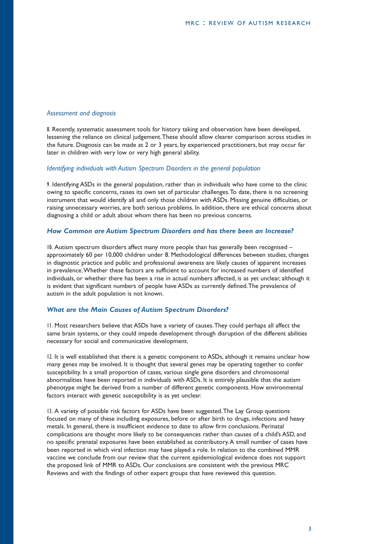#### *Assessment and diagnosis*

8. Recently, systematic assessment tools for history taking and observation have been developed, lessening the reliance on clinical judgement.These should allow clearer comparison across studies in the future. Diagnosis can be made at 2 or 3 years, by experienced practitioners, but may occur far later in children with very low or very high general ability.

#### *Identifying individuals with Autism Spectrum Disorders in the general population*

9. Identifying ASDs in the general population, rather than in individuals who have come to the clinic owing to specific concerns, raises its own set of particular challenges.To date, there is no screening instrument that would identify all and only those children with ASDs. Missing genuine difficulties, or raising unnecessary worries, are both serious problems. In addition, there are ethical concerns about diagnosing a child or adult about whom there has been no previous concerns.

#### *How Common are Autism Spectrum Disorders and has there been an Increase?*

10. Autism spectrum disorders affect many more people than has generally been recognised – approximately 60 per 10,000 children under 8. Methodological differences between studies, changes in diagnostic practice and public and professional awareness are likely causes of apparent increases in prevalence.Whether these factors are sufficient to account for increased numbers of identified individuals, or whether there has been a rise in actual numbers affected, is as yet unclear, although it is evident that significant numbers of people have ASDs as currently defined.The prevalence of autism in the adult population is not known.

#### *What are the Main Causes of Autism Spectrum Disorders?*

11. Most researchers believe that ASDs have a variety of causes.They could perhaps all affect the same brain systems, or they could impede development through disruption of the different abilities necessary for social and communicative development.

12. It is well established that there is a genetic component to ASDs, although it remains unclear how many genes may be involved. It is thought that several genes may be operating together to confer susceptibility. In a small proportion of cases, various single gene disorders and chromosomal abnormalities have been reported in individuals with ASDs. It is entirely plausible that the autism phenotype might be derived from a number of different genetic components. How environmental factors interact with genetic susceptibility is as yet unclear.

13. A variety of possible risk factors for ASDs have been suggested.The Lay Group questions focused on many of these including exposures, before or after birth to drugs, infections and heavy metals. In general, there is insufficient evidence to date to allow firm conclusions. Perinatal complications are thought more likely to be consequences rather than causes of a child's ASD, and no specific prenatal exposures have been established as contributory.A small number of cases have been reported in which viral infection may have played a role. In relation to the combined MMR vaccine we conclude from our review that the current epidemiological evidence does not support the proposed link of MMR to ASDs. Our conclusions are consistent with the previous MRC Reviews and with the findings of other expert groups that have reviewed this question.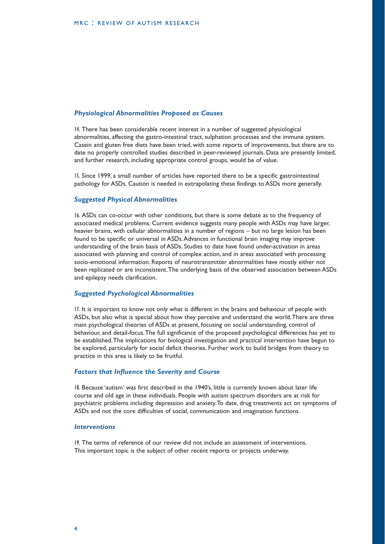#### *Physiological Abnormalities Proposed as Causes*

14. There has been considerable recent interest in a number of suggested physiological abnormalities, affecting the gastro-intestinal tract, sulphation processes and the immune system. Casein and gluten free diets have been tried, with some reports of improvements, but there are to date no properly controlled studies described in peer-reviewed journals. Data are presently limited, and further research, including appropriate control groups, would be of value.

15. Since 1999, a small number of articles have reported there to be a specific gastrointestinal pathology for ASDs. Caution is needed in extrapolating these findings to ASDs more generally.

#### *Suggested Physical Abnormalities*

16. ASDs can co-occur with other conditions, but there is some debate as to the frequency of associated medical problems. Current evidence suggests many people with ASDs may have larger, heavier brains, with cellular abnormalities in a number of regions – but no large lesion has been found to be specific or universal in ASDs.Advances in functional brain imaging may improve understanding of the brain basis of ASDs. Studies to date have found under-activation in areas associated with planning and control of complex action, and in areas associated with processing socio-emotional information*.* Reports of neurotransmitter abnormalities have mostly either not been replicated or are inconsistent.The underlying basis of the observed association between ASDs and epilepsy needs clarification.

#### *Suggested Psychological Abnormalities*

17. It is important to know not only what is different in the brains and behaviour of people with ASDs, but also what is special about how they perceive and understand the world.There are three main psychological theories of ASDs at present, focusing on social understanding, control of behaviour, and detail-focus.The full significance of the proposed psychological differences has yet to be established.The implications for biological investigation and practical intervention have begun to be explored, particularly for social deficit theories. Further work to build bridges from theory to practice in this area is likely to be fruitful.

#### *Factors that Influence the Severity and Course*

18. Because 'autism' was first described in the 1940's, little is currently known about later life course and old age in these individuals. People with autism spectrum disorders are at risk for psychiatric problems including depression and anxiety.To date, drug treatments act on symptoms of ASDs and not the core difficulties of social, communication and imagination functions.

## *Interventions*

19. The terms of reference of our review did not include an assessment of interventions. This important topic is the subject of other recent reports or projects underway.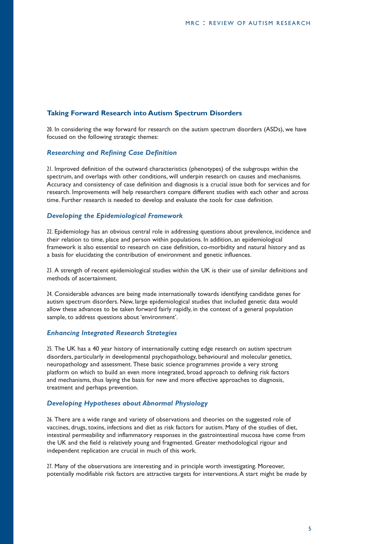#### **Taking Forward Research into Autism Spectrum Disorders**

20. In considering the way forward for research on the autism spectrum disorders (ASDs), we have focused on the following strategic themes:

#### *Researching and Refining Case Definition*

21. Improved definition of the outward characteristics (phenotypes) of the subgroups within the spectrum, and overlaps with other conditions, will underpin research on causes and mechanisms. Accuracy and consistency of case definition and diagnosis is a crucial issue both for services and for research. Improvements will help researchers compare different studies with each other and across time. Further research is needed to develop and evaluate the tools for case definition*.*

#### *Developing the Epidemiological Framework*

22. Epidemiology has an obvious central role in addressing questions about prevalence, incidence and their relation to time, place and person within populations. In addition, an epidemiological framework is also essential to research on case definition, co-morbidity and natural history and as a basis for elucidating the contribution of environment and genetic influences.

23. A strength of recent epidemiological studies within the UK is their use of similar definitions and methods of ascertainment.

24. Considerable advances are being made internationally towards identifying candidate genes for autism spectrum disorders. New, large epidemiological studies that included genetic data would allow these advances to be taken forward fairly rapidly, in the context of a general population sample, to address questions about 'environment'.

## *Enhancing Integrated Research Strategies*

25. The UK has a 40 year history of internationally cutting edge research on autism spectrum disorders, particularly in developmental psychopathology, behavioural and molecular genetics, neuropathology and assessment. These basic science programmes provide a very strong platform on which to build an even more integrated, broad approach to defining risk factors and mechanisms, thus laying the basis for new and more effective approaches to diagnosis, treatment and perhaps prevention.

# *Developing Hypotheses about Abnormal Physiology*

26. There are a wide range and variety of observations and theories on the suggested role of vaccines, drugs, toxins, infections and diet as risk factors for autism. Many of the studies of diet, intestinal permeability and inflammatory responses in the gastrointestinal mucosa have come from the UK and the field is relatively young and fragmented. Greater methodological rigour and independent replication are crucial in much of this work.

27. Many of the observations are interesting and in principle worth investigating. Moreover, potentially modifiable risk factors are attractive targets for interventions.A start might be made by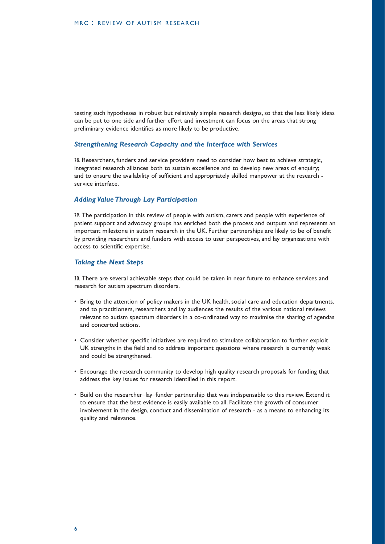testing such hypotheses in robust but relatively simple research designs, so that the less likely ideas can be put to one side and further effort and investment can focus on the areas that strong preliminary evidence identifies as more likely to be productive.

## *Strengthening Research Capacity and the Interface with Services*

28. Researchers, funders and service providers need to consider how best to achieve strategic, integrated research alliances both to sustain excellence and to develop new areas of enquiry; and to ensure the availability of sufficient and appropriately skilled manpower at the research service interface.

## *Adding Value Through Lay Participation*

29. The participation in this review of people with autism, carers and people with experience of patient support and advocacy groups has enriched both the process and outputs and represents an important milestone in autism research in the UK. Further partnerships are likely to be of benefit by providing researchers and funders with access to user perspectives, and lay organisations with access to scientific expertise.

#### *Taking the Next Steps*

30. There are several achievable steps that could be taken in near future to enhance services and research for autism spectrum disorders.

- Bring to the attention of policy makers in the UK health, social care and education departments, and to practitioners, researchers and lay audiences the results of the various national reviews relevant to autism spectrum disorders in a co-ordinated way to maximise the sharing of agendas and concerted actions.
- Consider whether specific initiatives are required to stimulate collaboration to further exploit UK strengths in the field and to address important questions where research is currently weak and could be strengthened.
- Encourage the research community to develop high quality research proposals for funding that address the key issues for research identified in this report.
- Build on the researcher–lay–funder partnership that was indispensable to this review. Extend it to ensure that the best evidence is easily available to all. Facilitate the growth of consumer involvement in the design, conduct and dissemination of research - as a means to enhancing its quality and relevance.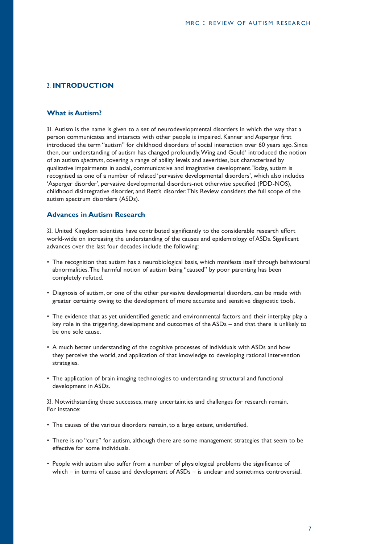## 2. **INTRODUCTION**

## **What is Autism?**

31. Autism is the name is given to a set of neurodevelopmental disorders in which the way that a person communicates and interacts with other people is impaired. Kanner and Asperger first introduced the term "autism" for childhood disorders of social interaction over 60 years ago. Since then, our understanding of autism has changed profoundly. Wing and Gould' introduced the notion of an autism *spectrum*, covering a range of ability levels and severities, but characterised by qualitative impairments in social, communicative and imaginative development.Today, autism is recognised as one of a number of related 'pervasive developmental disorders', which also includes 'Asperger disorder', pervasive developmental disorders-not otherwise specified (PDD-NOS), childhood disintegrative disorder, and Rett's disorder.This Review considers the full scope of the autism spectrum disorders (ASDs).

# **Advances in Autism Research**

32. United Kingdom scientists have contributed significantly to the considerable research effort world-wide on increasing the understanding of the causes and epidemiology of ASDs. Significant advances over the last four decades include the following:

- The recognition that autism has a neurobiological basis, which manifests itself through behavioural abnormalities.The harmful notion of autism being "caused" by poor parenting has been completely refuted.
- Diagnosis of autism, or one of the other pervasive developmental disorders, can be made with greater certainty owing to the development of more accurate and sensitive diagnostic tools.
- The evidence that as yet unidentified genetic and environmental factors and their interplay play a key role in the triggering, development and outcomes of the ASDs – and that there is unlikely to be one sole cause.
- A much better understanding of the cognitive processes of individuals with ASDs and how they perceive the world, and application of that knowledge to developing rational intervention strategies.
- The application of brain imaging technologies to understanding structural and functional development in ASDs.

33. Notwithstanding these successes, many uncertainties and challenges for research remain. For instance:

- The causes of the various disorders remain, to a large extent, unidentified.
- There is no "cure" for autism, although there are some management strategies that seem to be effective for some individuals.
- People with autism also suffer from a number of physiological problems the significance of which – in terms of cause and development of ASDs – is unclear and sometimes controversial.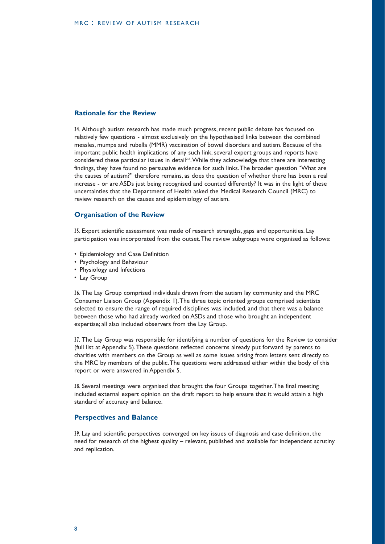## **Rationale for the Review**

34. Although autism research has made much progress, recent public debate has focused on relatively few questions - almost exclusively on the hypothesised links between the combined measles, mumps and rubella (MMR) vaccination of bowel disorders and autism. Because of the important public health implications of any such link, several expert groups and reports have considered these particular issues in detail<sup>2.8</sup>. While they acknowledge that there are interesting findings, they have found no persuasive evidence for such links.The broader question "What are the causes of autism?" therefore remains, as does the question of whether there has been a real increase - or are ASDs just being recognised and counted differently? It was in the light of these uncertainties that the Department of Health asked the Medical Research Council (MRC) to review research on the causes and epidemiology of autism.

## **Organisation of the Review**

35. Expert scientific assessment was made of research strengths, gaps and opportunities. Lay participation was incorporated from the outset.The review subgroups were organised as follows:

- Epidemiology and Case Definition
- Psychology and Behaviour
- Physiology and Infections
- Lay Group

36. The Lay Group comprised individuals drawn from the autism lay community and the MRC Consumer Liaison Group (Appendix 1).The three topic oriented groups comprised scientists selected to ensure the range of required disciplines was included, and that there was a balance between those who had already worked on ASDs and those who brought an independent expertise; all also included observers from the Lay Group.

37. The Lay Group was responsible for identifying a number of questions for the Review to consider (full list at Appendix 5).These questions reflected concerns already put forward by parents to charities with members on the Group as well as some issues arising from letters sent directly to the MRC by members of the public.The questions were addressed either within the body of this report or were answered in Appendix 5.

38. Several meetings were organised that brought the four Groups together.The final meeting included external expert opinion on the draft report to help ensure that it would attain a high standard of accuracy and balance.

#### **Perspectives and Balance**

39. Lay and scientific perspectives converged on key issues of diagnosis and case definition, the need for research of the highest quality – relevant, published and available for independent scrutiny and replication.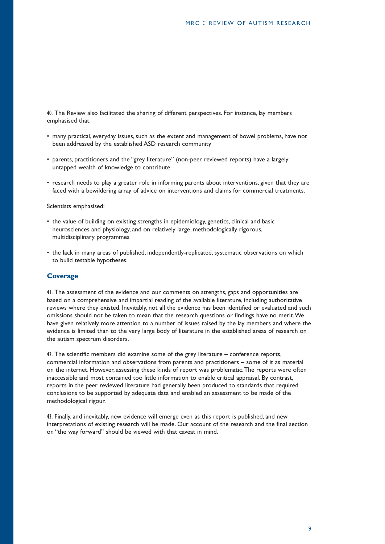40. The Review also facilitated the sharing of different perspectives. For instance, lay members emphasised that:

- many practical, everyday issues, such as the extent and management of bowel problems, have not been addressed by the established ASD research community
- parents, practitioners and the "grey literature" (non-peer reviewed reports) have a largely untapped wealth of knowledge to contribute
- research needs to play a greater role in informing parents about interventions, given that they are faced with a bewildering array of advice on interventions and claims for commercial treatments.

#### Scientists emphasised:

- the value of building on existing strengths in epidemiology, genetics, clinical and basic neurosciences and physiology, and on relatively large, methodologically rigorous, multidisciplinary programmes
- the lack in many areas of published, independently-replicated, systematic observations on which to build testable hypotheses.

## **Coverage**

41. The assessment of the evidence and our comments on strengths, gaps and opportunities are based on a comprehensive and impartial reading of the available literature, including authoritative reviews where they existed. Inevitably, not all the evidence has been identified or evaluated and such omissions should not be taken to mean that the research questions or findings have no merit.We have given relatively more attention to a number of issues raised by the lay members and where the evidence is limited than to the very large body of literature in the established areas of research on the autism spectrum disorders.

42. The scientific members did examine some of the grey literature – conference reports, commercial information and observations from parents and practitioners – some of it as material on the internet. However, assessing these kinds of report was problematic.The reports were often inaccessible and most contained too little information to enable critical appraisal. By contrast, reports in the peer reviewed literature had generally been produced to standards that required conclusions to be supported by adequate data and enabled an assessment to be made of the methodological rigour.

43. Finally, and inevitably, new evidence will emerge even as this report is published, and new interpretations of existing research will be made. Our account of the research and the final section on "the way forward" should be viewed with that caveat in mind.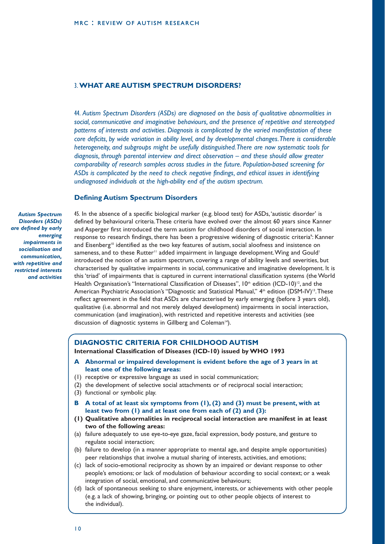## 3.**WHAT ARE AUTISM SPECTRUM DISORDERS?**

44. *Autism Spectrum Disorders (ASDs) are diagnosed on the basis of qualitative abnormalities in social, communicative and imaginative behaviours, and the presence of repetitive and stereotyped patterns of interests and activities. Diagnosis is complicated by the varied manifestation of these core deficits, by wide variation in ability level, and by developmental changes.There is considerable heterogeneity, and subgroups might be usefully distinguished.There are now systematic tools for diagnosis, through parental interview and direct observation – and these should allow greater comparability of research samples across studies in the future. Population-based screening for ASDs is complicated by the need to check negative findings, and ethical issues in identifying undiagnosed individuals at the high-ability end of the autism spectrum.*

#### **Defining Autism Spectrum Disorders**

*Autism Spectrum Disorders (ASDs) are defined by early emerging impairments in socialisation and communication, with repetitive and restricted interests and activities*

45. In the absence of a specific biological marker (e.g. blood test) for ASDs,'autistic disorder' is defined by behavioural criteria.These criteria have evolved over the almost 60 years since Kanner and Asperger first introduced the term autism for childhood disorders of social interaction. In response to research findings, there has been a progressive widening of diagnostic criteria<sup>9</sup>: Kanner and Eisenberg<sup>10</sup> identified as the two key features of autism, social aloofness and insistence on sameness, and to these Rutter<sup>11</sup> added impairment in language development. Wing and Gould<sup>1</sup> introduced the notion of an autism spectrum, covering a range of ability levels and severities, but characterised by qualitative impairments in social, communicative and imaginative development. It is this 'triad' of impairments that is captured in current international classification systems (the World Health Organisation's "International Classification of Diseases",  $10<sup>th</sup>$  edition (ICD-10)<sup>12</sup>, and the American Psychiatric Association's "Diagnostic and Statistical Manual,"  $4^{\text{th}}$  edition (DSM-IV)<sup>13</sup>. These reflect agreement in the field that ASDs are characterised by early emerging (before 3 years old), qualitative (i.e. abnormal and not merely delayed development) impairments in social interaction, communication (and imagination), with restricted and repetitive interests and activities (see discussion of diagnostic systems in Gillberg and Coleman<sup>14</sup>).

#### **DIAGNOSTIC CRITERIA FOR CHILDHOOD AUTISM**

**International Classification of Diseases (ICD-10) issued by WHO 1993**

- **A Abnormal or impaired development is evident before the age of 3 years in at least one of the following areas:**
- (1) receptive or expressive language as used in social communication;
- (2) the development of selective social attachments or of reciprocal social interaction;
- (3) functional or symbolic play.
- **B A total of at least six symptoms from (1), (2) and (3) must be present, with at least two from (1) and at least one from each of (2) and (3):**
- **(1) Qualitative abnormalities in reciprocal social interaction are manifest in at least two of the following areas:**
- (a) failure adequately to use eye-to-eye gaze, facial expression, body posture, and gesture to regulate social interaction;
- (b) failure to develop (in a manner appropriate to mental age, and despite ample opportunities) peer relationships that involve a mutual sharing of interests, activities, and emotions;
- (c) lack of socio-emotional reciprocity as shown by an impaired or deviant response to other people's emotions; or lack of modulation of behaviour according to social context; or a weak integration of social, emotional, and communicative behaviours;
- (d) lack of spontaneous seeking to share enjoyment, interests, or achievements with other people (e.g. a lack of showing, bringing, or pointing out to other people objects of interest to the individual).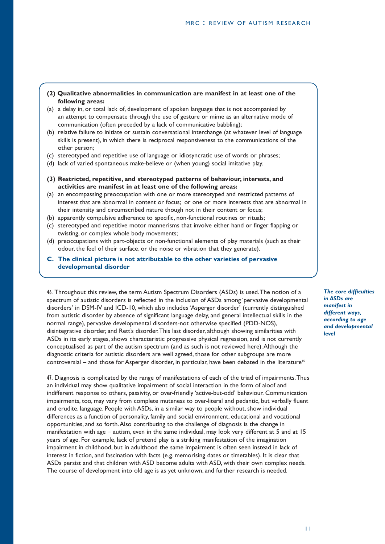#### **(2) Qualitative abnormalities in communication are manifest in at least one of the following areas:**

- (a) a delay in, or total lack of, development of spoken language that is not accompanied by an attempt to compensate through the use of gesture or mime as an alternative mode of communication (often preceded by a lack of communicative babbling);
- (b) relative failure to initiate or sustain conversational interchange (at whatever level of language skills is present), in which there is reciprocal responsiveness to the communications of the other person;
- (c) stereotyped and repetitive use of language or idiosyncratic use of words or phrases;
- (d) lack of varied spontaneous make-believe or (when young) social imitative play.
- **(3) Restricted, repetitive, and stereotyped patterns of behaviour, interests, and activities are manifest in at least one of the following areas:**
- (a) an encompassing preoccupation with one or more stereotyped and restricted patterns of interest that are abnormal in content or focus; or one or more interests that are abnormal in their intensity and circumscribed nature though not in their content or focus;
- (b) apparently compulsive adherence to specific, non-functional routines or rituals;
- (c) stereotyped and repetitive motor mannerisms that involve either hand or finger flapping or twisting, or complex whole body movements;
- (d) preoccupations with part-objects or non-functional elements of play materials (such as their odour, the feel of their surface, or the noise or vibration that they generate).
- **C. The clinical picture is not attributable to the other varieties of pervasive developmental disorder**

46. Throughout this review, the term Autism Spectrum Disorders (ASDs) is used.The notion of a spectrum of autistic disorders is reflected in the inclusion of ASDs among 'pervasive developmental disorders' in DSM-IV and ICD-10, which also includes 'Asperger disorder' (currently distinguished from autistic disorder by absence of significant language delay, and general intellectual skills in the normal range), pervasive developmental disorders-not otherwise specified (PDD-NOS), disintegrative disorder, and Rett's disorder.This last disorder, although showing similarities with ASDs in its early stages, shows characteristic progressive physical regression, and is not currently conceptualised as part of the autism spectrum (and as such is not reviewed here).Although the diagnostic criteria for autistic disorders are well agreed, those for other subgroups are more controversial – and those for Asperger disorder, in particular, have been debated in the literature<sup>15</sup>

47. Diagnosis is complicated by the range of manifestations of each of the triad of impairments.Thus an individual may show qualitative impairment of social interaction in the form of aloof and indifferent response to others, passivity, or over-friendly 'active-but-odd' behaviour. Communication impairments, too, may vary from complete muteness to over-literal and pedantic, but verbally fluent and erudite, language. People with ASDs, in a similar way to people without, show individual differences as a function of personality, family and social environment, educational and vocational opportunities, and so forth.Also contributing to the challenge of diagnosis is the change in manifestation with age – autism, even in the same individual, may look very different at 5 and at 15 years of age. For example, lack of pretend play is a striking manifestation of the imagination impairment in childhood, but in adulthood the same impairment is often seen instead in lack of interest in fiction, and fascination with facts (e.g. memorising dates or timetables). It is clear that ASDs persist and that children with ASD become adults with ASD, with their own complex needs. The course of development into old age is as yet unknown, and further research is needed.

*The core difficulties in ASDs are manifest in different ways, according to age and developmental level*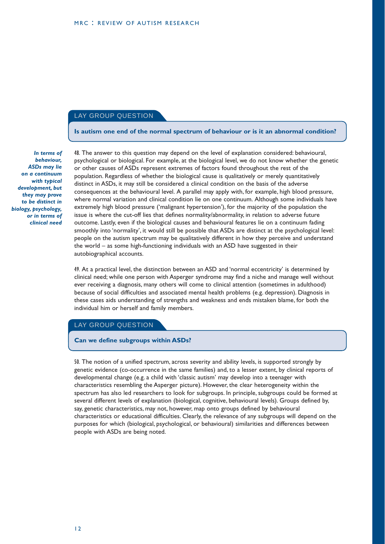# LAY GROUP QUESTION

**Is autism one end of the normal spectrum of behaviour or is it an abnormal condition?**

*In terms of behaviour, ASDs may lie on a continuum with typical development, but they may prove to be distinct in biology, psychology, or in terms of clinical need*

48. The answer to this question may depend on the level of explanation considered: behavioural, psychological or biological. For example, at the biological level, we do not know whether the genetic or other causes of ASDs represent extremes of factors found throughout the rest of the population. Regardless of whether the biological cause is qualitatively or merely quantitatively distinct in ASDs, it may still be considered a clinical condition on the basis of the adverse consequences at the behavioural level. A parallel may apply with, for example, high blood pressure, where normal variation and clinical condition lie on one continuum. Although some individuals have extremely high blood pressure ('malignant hypertension'), for the majority of the population the issue is where the cut-off lies that defines normality/abnormality, in relation to adverse future outcome. Lastly, even if the biological causes and behavioural features lie on a continuum fading smoothly into 'normality', it would still be possible that ASDs are distinct at the psychological level: people on the autism spectrum may be qualitatively different in how they perceive and understand the world – as some high-functioning individuals with an ASD have suggested in their autobiographical accounts.

49. At a practical level, the distinction between an ASD and 'normal eccentricity' is determined by clinical need; while one person with Asperger syndrome may find a niche and manage well without ever receiving a diagnosis, many others will come to clinical attention (sometimes in adulthood) because of social difficulties and associated mental health problems (e.g. depression). Diagnosis in these cases aids understanding of strengths and weakness and ends mistaken blame, for both the individual him or herself and family members.

# LAY GROUP QUESTION

#### **Can we define subgroups within ASDs?**

50. The notion of a unified spectrum, across severity and ability levels, is supported strongly by genetic evidence (co-occurrence in the same families) and, to a lesser extent, by clinical reports of developmental change (e.g. a child with 'classic autism' may develop into a teenager with characteristics resembling the Asperger picture). However, the clear heterogeneity within the spectrum has also led researchers to look for subgroups. In principle, subgroups could be formed at several different levels of explanation (biological, cognitive, behavioural levels). Groups defined by, say, genetic characteristics, may not, however, map onto groups defined by behavioural characteristics or educational difficulties. Clearly, the relevance of any subgroups will depend on the purposes for which (biological, psychological, or behavioural) similarities and differences between people with ASDs are being noted.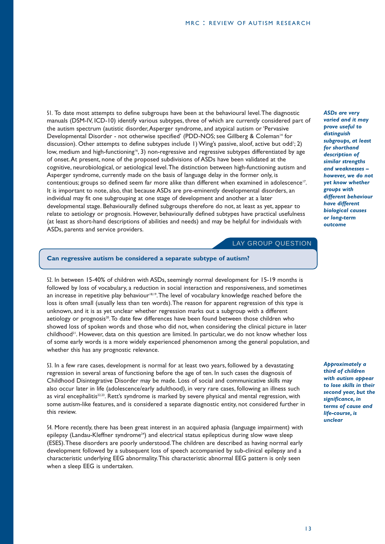51. To date most attempts to define subgroups have been at the behavioural level.The diagnostic manuals (DSM-IV, ICD-10) identify various subtypes, three of which are currently considered part of the autism spectrum (autistic disorder,Asperger syndrome, and atypical autism or 'Pervasive Developmental Disorder - not otherwise specified' (PDD-NOS; see Gillberg & Coleman<sup>14</sup> for discussion). Other attempts to define subtypes include 1) Wing's passive, aloof, active but odd'; 2) low, medium and high-functioning<sup>16</sup>, 3) non-regressive and regressive subtypes differentiated by age of onset.At present, none of the proposed subdivisions of ASDs have been validated at the cognitive, neurobiological, or aetiological level.The distinction between high-functioning autism and Asperger syndrome, currently made on the basis of language delay in the former only, is contentious; groups so defined seem far more alike than different when examined in adolescence<sup>17</sup>. It is important to note, also, that because ASDs are pre-eminently developmental disorders, an individual may fit one subgrouping at one stage of development and another at a later developmental stage. Behaviourally defined subgroups therefore do not, at least as yet, appear to relate to aetiology or prognosis. However, behaviourally defined subtypes have practical usefulness (at least as short-hand descriptions of abilities and needs) and may be helpful for individuals with ASDs, parents and service providers.

LAY GROUP QUESTION

#### **Can regressive autism be considered a separate subtype of autism?**

52. In between 15-40% of children with ASDs, seemingly normal development for 15-19 months is followed by loss of vocabulary, a reduction in social interaction and responsiveness, and sometimes an increase in repetitive play behaviour<sup>18,19</sup>. The level of vocabulary knowledge reached before the loss is often small (usually less than ten words).The reason for apparent regression of this type is unknown, and it is as yet unclear whether regression marks out a subgroup with a different aetiology or prognosis<sup>20</sup>. To date few differences have been found between those children who showed loss of spoken words and those who did not, when considering the clinical picture in later childhood<sup>21</sup>. However, data on this question are limited. In particular, we do not know whether loss of some early words is a more widely experienced phenomenon among the general population, and whether this has any prognostic relevance.

53. In a few rare cases, development is normal for at least two years, followed by a devastating regression in several areas of functioning before the age of ten. In such cases the diagnosis of Childhood Disintegrative Disorder may be made. Loss of social and communicative skills may also occur later in life (adolescence/early adulthood), in very rare cases, following an illness such as viral encephalitis<sup>22,23</sup>. Rett's syndrome is marked by severe physical and mental regression, with some autism-like features, and is considered a separate diagnostic entity, not considered further in this review.

54. More recently, there has been great interest in an acquired aphasia (language impairment) with epilepsy (Landau-Kleffner syndrome<sup>24</sup>) and electrical status epilepticus during slow wave sleep (ESES).These disorders are poorly understood.The children are described as having normal early development followed by a subsequent loss of speech accompanied by sub-clinical epilepsy and a characteristic underlying EEG abnormality.This characteristic abnormal EEG pattern is only seen when a sleep EEG is undertaken.

*varied and it may prove useful to distinguish subgroups, at least for shorthand description of similar strengths and weaknesses – however, we do not yet know whether groups with different behaviour have different biological causes or long-term outcome*

*ASDs are very*

*Approximately a third of children with autism appear to lose skills in their second year, but the significance, in terms of cause and life-course, is unclear*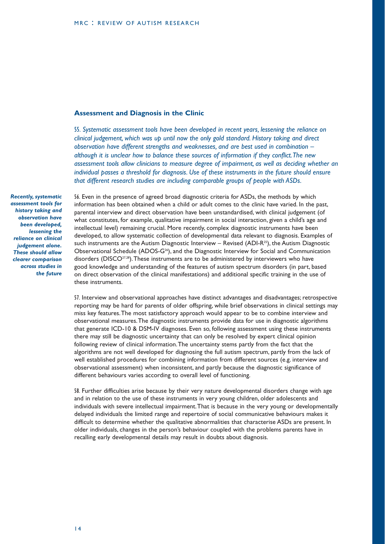## **Assessment and Diagnosis in the Clinic**

55. *Systematic assessment tools have been developed in recent years, lessening the reliance on clinical judgement, which was up until now the only gold standard. History taking and direct observation have different strengths and weaknesses, and are best used in combination – although it is unclear how to balance these sources of information if they conflict.The new assessment tools allow clinicians to measure degree of impairment, as well as deciding whether an individual passes a threshold for diagnosis. Use of these instruments in the future should ensure that different research studies are including comparable groups of people with ASDs.*

*Recently, systematic assessment tools for history taking and observation have been developed, lessening the reliance on clinical judgement alone. These should allow clearer comparison across studies in the future*

56. Even in the presence of agreed broad diagnostic criteria for ASDs, the methods by which information has been obtained when a child or adult comes to the clinic have varied. In the past, parental interview and direct observation have been unstandardised, with clinical judgement (of what constitutes, for example, qualitative impairment in social interaction, given a child's age and intellectual level) remaining crucial. More recently, complex diagnostic instruments have been developed, to allow systematic collection of developmental data relevant to diagnosis. Examples of such instruments are the Autism Diagnostic Interview - Revised (ADI-R<sup>25</sup>), the Autism Diagnostic Observational Schedule (ADOS-G<sup>26</sup>), and the Diagnostic Interview for Social and Communication disorders ( $DISCO<sup>27,28</sup>$ ). These instruments are to be administered by interviewers who have good knowledge and understanding of the features of autism spectrum disorders (in part, based on direct observation of the clinical manifestations) and additional specific training in the use of these instruments.

57. Interview and observational approaches have distinct advantages and disadvantages; retrospective reporting may be hard for parents of older offspring, while brief observations in clinical settings may miss key features.The most satisfactory approach would appear to be to combine interview and observational measures.The diagnostic instruments provide data for use in diagnostic algorithms that generate ICD-10 & DSM-IV diagnoses. Even so, following assessment using these instruments there may still be diagnostic uncertainty that can only be resolved by expert clinical opinion following review of clinical information.The uncertainty stems partly from the fact that the algorithms are not well developed for diagnosing the full autism spectrum, partly from the lack of well established procedures for combining information from different sources (e.g. interview and observational assessment) when inconsistent, and partly because the diagnostic significance of different behaviours varies according to overall level of functioning.

58. Further difficulties arise because by their very nature developmental disorders change with age and in relation to the use of these instruments in very young children, older adolescents and individuals with severe intellectual impairment.That is because in the very young or developmentally delayed individuals the limited range and repertoire of social communicative behaviours makes it difficult to determine whether the qualitative abnormalities that characterise ASDs are present. In older individuals, changes in the person's behaviour coupled with the problems parents have in recalling early developmental details may result in doubts about diagnosis.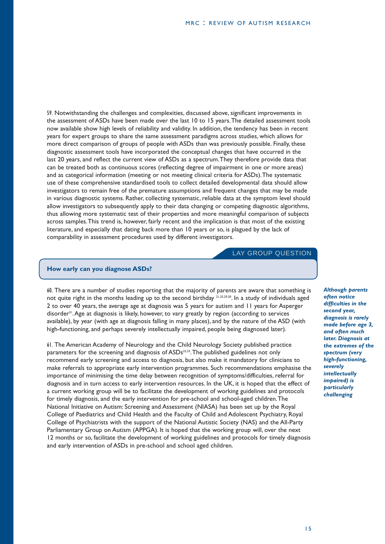59. Notwithstanding the challenges and complexities, discussed above, significant improvements in the assessment of ASDs have been made over the last 10 to 15 years.The detailed assessment tools now available show high levels of reliability and validity. In addition, the tendency has been in recent years for expert groups to share the same assessment paradigms across studies, which allows for more direct comparison of groups of people with ASDs than was previously possible. Finally, these diagnostic assessment tools have incorporated the conceptual changes that have occurred in the last 20 years, and reflect the current view of ASDs as a spectrum.They therefore provide data that can be treated both as continuous scores (reflecting degree of impairment in one or more areas) and as categorical information (meeting or not meeting clinical criteria for ASDs).The systematic use of these comprehensive standardised tools to collect detailed developmental data should allow investigators to remain free of the premature assumptions and frequent changes that may be made in various diagnostic systems. Rather, collecting systematic, reliable data at the symptom level should allow investigators to subsequently apply to their data changing or competing diagnostic algorithms, thus allowing more systematic test of their properties and more meaningful comparison of subjects across samples.This trend is, however, fairly recent and the implication is that most of the existing literature, and especially that dating back more than 10 years or so, is plagued by the lack of comparability in assessment procedures used by different investigators.

LAY GROUP QUESTION

# **How early can you diagnose ASDs?**

60. There are a number of studies reporting that the majority of parents are aware that something is not quite right in the months leading up to the second birthday 21,25,29,30. In a study of individuals aged 2 to over 40 years, the average age at diagnosis was 5 years for autism and 11 years for Asperger disorder31.Age at diagnosis is likely, however, to vary greatly by region (according to services available), by year (with age at diagnosis falling in many places), and by the nature of the ASD (with high-functioning, and perhaps severely intellectually impaired, people being diagnosed later).

61. The American Academy of Neurology and the Child Neurology Society published practice parameters for the screening and diagnosis of ASDs<sup>32,33</sup>. The published guidelines not only recommend early screening and access to diagnosis, but also make it mandatory for clinicians to make referrals to appropriate early intervention programmes. Such recommendations emphasise the importance of minimising the time delay between recognition of symptoms/difficulties, referral for diagnosis and in turn access to early intervention resources. In the UK, it is hoped that the effect of a current working group will be to facilitate the development of working guidelines and protocols for timely diagnosis, and the early intervention for pre-school and school-aged children.The National Initiative on Autism: Screening and Assessment (NIASA) has been set up by the Royal College of Paediatrics and Child Health and the Faculty of Child and Adolescent Psychiatry, Royal College of Psychiatrists with the support of the National Autistic Society (NAS) and the All-Party Parliamentary Group on Autism (APPGA). It is hoped that the working group will, over the next 12 months or so, facilitate the development of working guidelines and protocols for timely diagnosis and early intervention of ASDs in pre-school and school aged children.

*Although parents often notice difficulties in the second year, diagnosis is rarely made before age 3, and often much later. Diagnosis at the extremes of the spectrum (very high-functioning, severely intellectually impaired) is particularly challenging*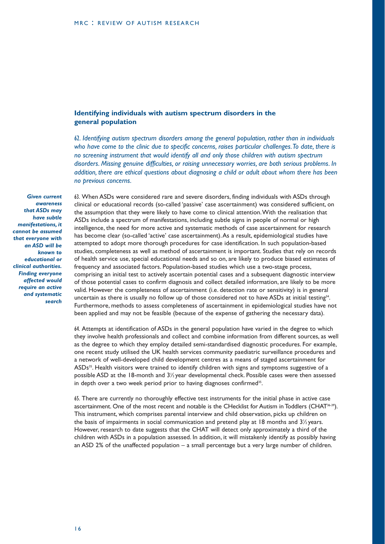# **Identifying individuals with autism spectrum disorders in the general population**

62. *Identifying autism spectrum disorders among the general population, rather than in individuals who have come to the clinic due to specific concerns, raises particular challenges.To date, there is no screening instrument that would identify all and only those children with autism spectrum disorders. Missing genuine difficulties, or raising unnecessary worries, are both serious problems. In addition, there are ethical questions about diagnosing a child or adult about whom there has been no previous concerns.*

*Given current awareness that ASDs may have subtle manifestations, it cannot be assumed that everyone with an ASD will be known to educational or clinical authorities. Finding everyone affected would require an active and systematic search*

63. When ASDs were considered rare and severe disorders, finding individuals with ASDs through clinical or educational records (so-called 'passive' case ascertainment) was considered sufficient, on the assumption that they were likely to have come to clinical attention.With the realisation that ASDs include a spectrum of manifestations, including subtle signs in people of normal or high intelligence, the need for more active and systematic methods of case ascertainment for research has become clear (so-called 'active' case ascertainment).As a result, epidemiological studies have attempted to adopt more thorough procedures for case identification. In such population-based studies, completeness as well as method of ascertainment is important. Studies that rely on records of health service use, special educational needs and so on, are likely to produce biased estimates of frequency and associated factors. Population-based studies which use a two-stage process, comprising an initial test to actively ascertain potential cases and a subsequent diagnostic interview of those potential cases to confirm diagnosis and collect detailed information, are likely to be more valid. However the completeness of ascertainment (i.e. detection rate or sensitivity) is in general uncertain as there is usually no follow up of those considered *not* to have ASDs at initial testing<sup>34</sup>. Furthermore, methods to assess completeness of ascertainment in epidemiological studies have not been applied and may not be feasible (because of the expense of gathering the necessary data).

64. Attempts at identification of ASDs in the general population have varied in the degree to which they involve health professionals and collect and combine information from different sources, as well as the degree to which they employ detailed semi-standardised diagnostic procedures. For example, one recent study utilised the UK health services community paediatric surveillance procedures and a network of well-developed child development centres as a means of staged ascertainment for ASDs<sup>35</sup>. Health visitors were trained to identify children with signs and symptoms suggestive of a possible ASD at the 18-month and 3½ year developmental check. Possible cases were then assessed in depth over a two week period prior to having diagnoses confirmed<sup>35</sup>.

65. There are currently no thoroughly effective test instruments for the initial phase in active case ascertainment. One of the most recent and notable is the CHecklist for Autism in Toddlers (CHAT<sup>36.39</sup>). This instrument, which comprises parental interview and child observation, picks up children on the basis of impairments in social communication and pretend play at 18 months and  $3\%$  years. However, research to date suggests that the CHAT will detect only approximately a third of the children with ASDs in a population assessed. In addition, it will mistakenly identify as possibly having an ASD 2% of the unaffected population – a small percentage but a very large number of children.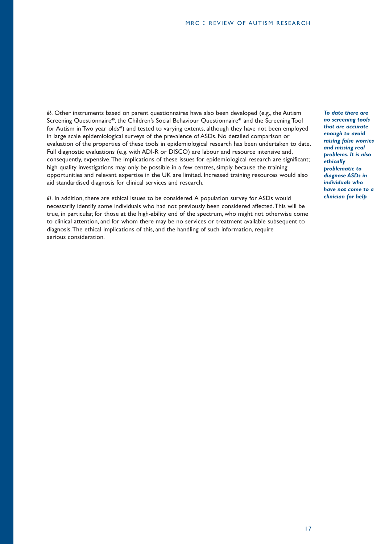66. Other instruments based on parent questionnaires have also been developed (e.g., the Autism Screening Questionnaire<sup>40</sup>, the Children's Social Behaviour Questionnaire<sup>41</sup> and the Screening Tool for Autism in Two year olds $42$ ) and tested to varying extents, although they have not been employed in large scale epidemiological surveys of the prevalence of ASDs. No detailed comparison or evaluation of the properties of these tools in epidemiological research has been undertaken to date. Full diagnostic evaluations (e.g. with ADI-R or DISCO) are labour and resource intensive and, consequently, expensive.The implications of these issues for epidemiological research are significant; high quality investigations may only be possible in a few centres, simply because the training opportunities and relevant expertise in the UK are limited. Increased training resources would also aid standardised diagnosis for clinical services and research.

67. In addition, there are ethical issues to be considered.A population survey for ASDs would necessarily identify some individuals who had not previously been considered affected.This will be true, in particular, for those at the high-ability end of the spectrum, who might not otherwise come to clinical attention, and for whom there may be no services or treatment available subsequent to diagnosis.The ethical implications of this, and the handling of such information, require serious consideration.

*To date there are no screening tools that are accurate enough to avoid raising false worries and missing real problems. It is also ethically problematic to diagnose ASDs in individuals who have not come to a clinician for help*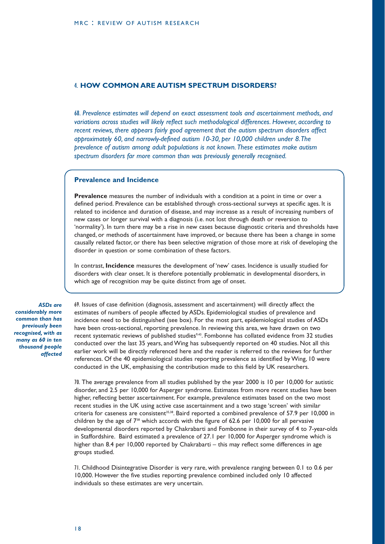## 4. **HOW COMMON ARE AUTISM SPECTRUM DISORDERS?**

68. *Prevalence estimates will depend on exact assessment tools and ascertainment methods, and variations across studies will likely reflect such methodological differences. However, according to recent reviews, there appears fairly good agreement that the autism spectrum disorders affect approximately 60, and narrowly-defined autism 10-30, per 10,000 children under 8.The prevalence of autism among adult populations is not known. These estimates make autism spectrum disorders far more common than was previously generally recognised.*

# **Prevalence and Incidence**

**Prevalence** measures the number of individuals with a condition at a point in time or over a defined period. Prevalence can be established through cross-sectional surveys at specific ages. It is related to incidence and duration of disease, and may increase as a result of increasing numbers of new cases or longer survival with a diagnosis (i.e. not lost through death or reversion to 'normality'). In turn there may be a rise in new cases because diagnostic criteria and thresholds have changed, or methods of ascertainment have improved, or because there has been a change in some causally related factor, or there has been selective migration of those more at risk of developing the disorder in question or some combination of these factors.

In contrast, **Incidence** measures the development of 'new' cases. Incidence is usually studied for disorders with clear onset. It is therefore potentially problematic in developmental disorders, in which age of recognition may be quite distinct from age of onset.

*ASDs are considerably more common than has previously been recognised, with as many as 60 in ten thousand people affected*

69. Issues of case definition (diagnosis, assessment and ascertainment) will directly affect the estimates of numbers of people affected by ASDs. Epidemiological studies of prevalence and incidence need to be distinguished (see box). For the most part, epidemiological studies of ASDs have been cross-sectional, reporting prevalence. In reviewing this area, we have drawn on two recent systematic reviews of published studies<sup>9,43</sup>. Fombonne has collated evidence from 32 studies conducted over the last 35 years, and Wing has subsequently reported on 40 studies. Not all this earlier work will be directly referenced here and the reader is referred to the reviews for further references. Of the 40 epidemiological studies reporting prevalence as identified by Wing, 10 were conducted in the UK, emphasising the contribution made to this field by UK researchers.

70. The average prevalence from all studies published by the year 2000 is 10 per 10,000 for autistic disorder, and 2.5 per 10,000 for Asperger syndrome. Estimates from more recent studies have been higher, reflecting better ascertainment. For example, prevalence estimates based on the two most recent studies in the UK using active case ascertainment and a two stage 'screen' with similar criteria for caseness are consistent<sup>35,38</sup>. Baird reported a combined prevalence of 57.9 per 10,000 in children by the age of  $7^{38}$  which accords with the figure of 62.6 per 10,000 for all pervasive developmental disorders reported by Chakrabarti and Fombonne in their survey of 4 to 7-year-olds in Staffordshire. Baird estimated a prevalence of 27.1 per 10,000 for Asperger syndrome which is higher than 8.4 per 10,000 reported by Chakrabarti – this may reflect some differences in age groups studied.

71. Childhood Disintegrative Disorder is very rare, with prevalence ranging between 0.1 to 0.6 per 10,000. However the five studies reporting prevalence combined included only 10 affected individuals so these estimates are very uncertain.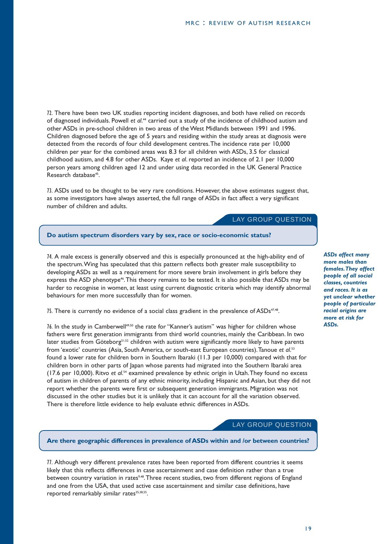72. There have been two UK studies reporting incident diagnoses, and both have relied on records of diagnosed individuals. Powell *et al*. <sup>44</sup> carried out a study of the incidence of childhood autism and other ASDs in pre-school children in two areas of the West Midlands between 1991 and 1996. Children diagnosed before the age of 5 years and residing within the study areas at diagnosis were detected from the records of four child development centres.The incidence rate per 10,000 children per year for the combined areas was 8.3 for all children with ASDs, 3.5 for classical childhood autism, and 4.8 for other ASDs. Kaye *et al*. reported an incidence of 2.1 per 10,000 person years among children aged 12 and under using data recorded in the UK General Practice Research database<sup>45</sup>.

73. ASDs used to be thought to be very rare conditions. However, the above estimates suggest that, as some investigators have always asserted, the full range of ASDs in fact affect a very significant number of children and adults.

#### LAY GROUP QUESTION

# **Do autism spectrum disorders vary by sex, race or socio-economic status?**

74. A male excess is generally observed and this is especially pronounced at the high-ability end of the spectrum.Wing has speculated that this pattern reflects both greater male susceptibility to developing ASDs as well as a requirement for more severe brain involvement in girls before they express the ASD phenotype<sup>46</sup>. This theory remains to be tested. It is also possible that ASDs may be harder to recognise in women, at least using current diagnostic criteria which may identify abnormal behaviours for men more successfully than for women.

75. There is currently no evidence of a social class gradient in the prevalence of ASDs<sup>47,48</sup>.

76. In the study in Camberwell<sup>49,50</sup> the rate for "Kanner's autism" was higher for children whose fathers were first generation immigrants from third world countries, mainly the Caribbean. In two later studies from Göteborg<sup>51,52</sup> children with autism were significantly more likely to have parents from 'exotic' countries (Asia, South America, or south-east European countries).Tanoue *et al*. 53 found a lower rate for children born in Southern Ibaraki (11.3 per 10,000) compared with that for children born in other parts of Japan whose parents had migrated into the Southern Ibaraki area (17.6 per 10,000). Ritvo *et al*. <sup>54</sup> examined prevalence by ethnic origin in Utah.They found no excess of autism in children of parents of any ethnic minority, including Hispanic and Asian, but they did not report whether the parents were first or subsequent generation immigrants. Migration was not discussed in the other studies but it is unlikely that it can account for all the variation observed. There is therefore little evidence to help evaluate ethnic differences in ASDs.

#### LAY GROUP QUESTION

## **Are there geographic differences in prevalence of ASDs within and /or between countries?**

77. Although very different prevalence rates have been reported from different countries it seems likely that this reflects differences in case ascertainment and case definition rather than a true between country variation in rates<sup>9,48</sup>. Three recent studies, two from different regions of England and one from the USA, that used active case ascertainment and similar case definitions, have reported remarkably similar rates<sup>35,38,55</sup>.

*ASDs affect many more males than females.They affect people of all social classes, countries and races. It is as yet unclear whether people of particular racial origins are more at risk for ASDs.*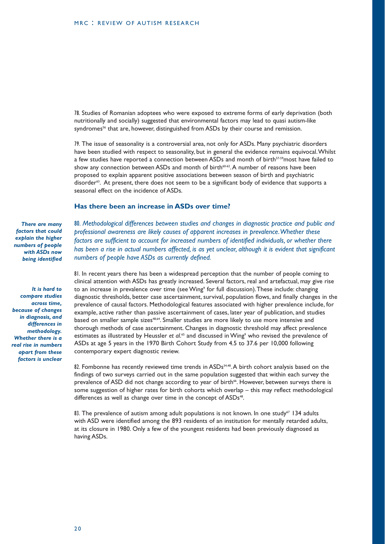78. Studies of Romanian adoptees who were exposed to extreme forms of early deprivation (both nutritionally and socially) suggested that environmental factors may lead to quasi autism-like syndromes<sup>56</sup> that are, however, distinguished from ASDs by their course and remission.

79. The issue of seasonality is a controversial area, not only for ASDs. Many psychiatric disorders have been studied with respect to seasonality, but in general the evidence remains equivocal.Whilst a few studies have reported a connection between ASDs and month of birth<sup>57-59</sup>most have failed to show any connection between ASDs and month of birth<sup>60-62</sup>. A number of reasons have been proposed to explain apparent positive associations between season of birth and psychiatric disorder<sup>63</sup>. At present, there does not seem to be a significant body of evidence that supports a seasonal effect on the incidence of ASDs.

# **Has there been an increase in ASDs over time?**

80. *Methodological differences between studies and changes in diagnostic practice and public and professional awareness are likely causes of apparent increases in prevalence.Whether these factors are sufficient to account for increased numbers of identified individuals, or whether there has been a rise in actual numbers affected, is as yet unclear, although it is evident that significant numbers of people have ASDs as currently defined.*

81. In recent years there has been a widespread perception that the number of people coming to clinical attention with ASDs has greatly increased. Several factors, real and artefactual, may give rise to an increase in prevalence over time (see Wing<sup>9</sup> for full discussion). These include: changing diagnostic thresholds, better case ascertainment, survival, population flows, and finally changes in the prevalence of causal factors. Methodological features associated with higher prevalence include, for example, active rather than passive ascertainment of cases, later year of publication, and studies based on smaller sample sizes<sup>48,64</sup>. Smaller studies are more likely to use more intensive and thorough methods of case ascertainment. Changes in diagnostic threshold may affect prevalence estimates as illustrated by Heussler et *al*.<sup>65</sup> and discussed in Wing<sup>9</sup> who revised the prevalence of ASDs at age 5 years in the 1970 Birth Cohort Study from 4.5 to 37.6 per 10,000 following contemporary expert diagnostic review.

82. Fombonne has recently reviewed time trends in ASDs<sup>34,48</sup>. A birth cohort analysis based on the findings of two surveys carried out in the same population suggested that within each survey the prevalence of ASD did not change according to year of birth<sup>66</sup>. However, between surveys there is some suggestion of higher rates for birth cohorts which overlap – this may reflect methodological differences as well as change over time in the concept of ASDs<sup>48</sup>.

83. The prevalence of autism among adult populations is not known. In one study<sup>67</sup> 134 adults with ASD were identified among the 893 residents of an institution for mentally retarded adults, at its closure in 1980. Only a few of the youngest residents had been previously diagnosed as having ASDs.

*There are many factors that could explain the higher numbers of people with ASDs now being identified*

*It is hard to compare studies across time, because of changes in diagnosis, and differences in methodology. Whether there is a real rise in numbers apart from these factors is unclear*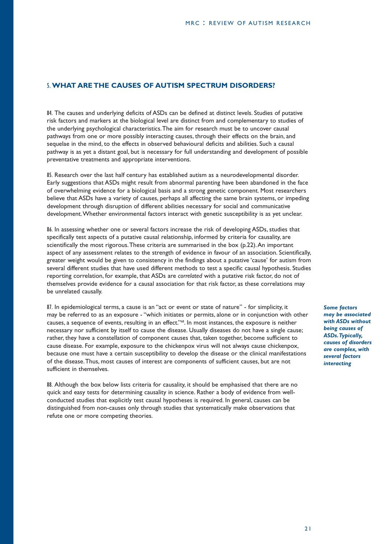# 5.**WHAT ARE THE CAUSES OF AUTISM SPECTRUM DISORDERS?**

84. The causes and underlying deficits of ASDs can be defined at distinct levels. Studies of putative risk factors and markers at the biological level are distinct from and complementary to studies of the underlying psychological characteristics.The aim for research must be to uncover causal pathways from one or more possibly interacting causes, through their effects on the brain, and sequelae in the mind, to the effects in observed behavioural deficits and abilities. Such a causal pathway is as yet a distant goal, but is necessary for full understanding and development of possible preventative treatments and appropriate interventions.

85. Research over the last half century has established autism as a neurodevelopmental disorder. Early suggestions that ASDs might result from abnormal parenting have been abandoned in the face of overwhelming evidence for a biological basis and a strong genetic component. Most researchers believe that ASDs have a variety of causes, perhaps all affecting the same brain systems, or impeding development through disruption of different abilities necessary for social and communicative development.Whether environmental factors interact with genetic susceptibility is as yet unclear.

86. In assessing whether one or several factors increase the risk of developing ASDs, studies that specifically test aspects of a putative causal relationship, informed by criteria for causality, are scientifically the most rigorous.These criteria are summarised in the box (p.22).An important aspect of any assessment relates to the strength of evidence in favour of an association. Scientifically, greater weight would be given to consistency in the findings about a putative 'cause' for autism from several different studies that have used different methods to test a specific causal hypothesis. Studies reporting correlation, for example, that ASDs are *correlated* with a putative risk factor, do not of themselves provide evidence for a causal association for that risk factor, as these correlations may be unrelated causally.

87. In epidemiological terms, a cause is an "act or event or state of nature" - for simplicity, it may be referred to as an exposure - "which initiates or permits, alone or in conjunction with other causes, a sequence of events, resulting in an effect."68. In most instances, the exposure is neither necessary nor sufficient by itself to cause the disease. Usually diseases do not have a single cause; rather, they have a constellation of component causes that, taken together, become sufficient to cause disease. For example, exposure to the chickenpox virus will not always cause chickenpox, because one must have a certain susceptibility to develop the disease or the clinical manifestations of the disease.Thus, most causes of interest are components of sufficient causes, but are not sufficient in themselves.

88. Although the box below lists criteria for causality, it should be emphasised that there are no quick and easy tests for determining causality in science. Rather a body of evidence from wellconducted studies that explicitly test causal hypotheses is required. In general, causes can be distinguished from non-causes only through studies that systematically make observations that refute one or more competing theories.

*Some factors may be associated with ASDs without being causes of ASDs.Typically, causes of disorders are complex, with several factors interacting*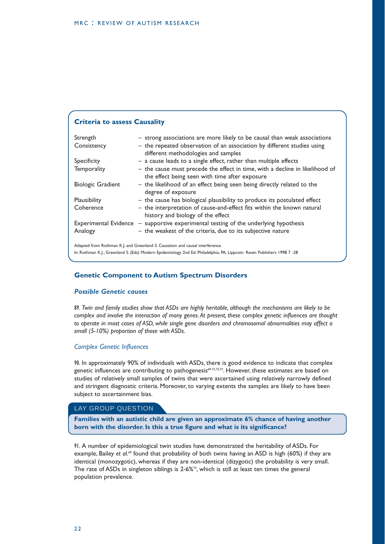# **Criteria to assess Causality**

| Strength<br>Consistency  | - strong associations are more likely to be causal than weak associations<br>- the repeated observation of an association by different studies using<br>different methodologies and samples |
|--------------------------|---------------------------------------------------------------------------------------------------------------------------------------------------------------------------------------------|
| Specificity              | $-$ a cause leads to a single effect, rather than multiple effects                                                                                                                          |
| Temporality              | - the cause must precede the effect in time, with a decline in likelihood of<br>the effect being seen with time after exposure                                                              |
| <b>Biologic Gradient</b> | - the likelihood of an effect being seen being directly related to the<br>degree of exposure                                                                                                |
| Plausibility             | - the cause has biological plausibility to produce its postulated effect                                                                                                                    |
| Coherence                | - the interpretation of cause-and-effect fits within the known natural<br>history and biology of the effect                                                                                 |
| Analogy                  | Experimental Evidence - supportive experimental testing of the underlying hypothesis<br>- the weakest of the criteria, due to its subjective nature                                         |

Adapted from Rothman K.J. and Greenland S. Causation and causal interference.

In: Rothman K.J., Greenland S. (Eds) Modern Epidemiology. 2nd Ed. Philadelphia, PA. Lippcott- Raven Publishers 1998 7 -28

#### **Genetic Component to Autism Spectrum Disorders**

## *Possible Genetic causes*

89. *Twin and family studies show that ASDs are highly heritable, although the mechanisms are likely to be complex and involve the interaction of many genes.At present, these complex genetic influences are thought to operate in most cases of ASD, while single gene disorders and chromosomal abnormalities may affect a small (5-10%) proportion of those with ASDs.*

#### *Complex Genetic Influences*

90. In approximately 90% of individuals with ASDs, there is good evidence to indicate that complex genetic influences are contributing to pathogenesis<sup>69.72,72,73</sup>. However, these estimates are based on studies of relatively small samples of twins that were ascertained using relatively narrowly defined and stringent diagnostic criteria. Moreover, to varying extents the samples are likely to have been subject to ascertainment bias.

# LAY GROUP QUESTION

**Families with an autistic child are given an approximate 6% chance of having another born with the disorder. Is this a true figure and what is its significance?**

91. A number of epidemiological twin studies have demonstrated the heritability of ASDs. For example, Bailey *et al*.'' found that probability of both twins having an ASD is high (60%) if they are identical (monozygotic), whereas if they are non-identical (dizygotic) the probability is very small. The rate of ASDs in singleton siblings is 2-6%74, which is still at least ten times the general population prevalence.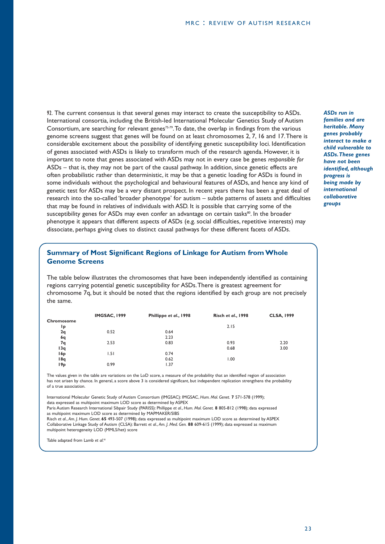92. The current consensus is that several genes may interact to create the susceptibility to ASDs. International consortia, including the British-led International Molecular Genetics Study of Autism Consortium, are searching for relevant genes<sup>75.79</sup>. To date, the overlap in findings from the various genome screens suggest that genes will be found on at least chromosomes 2, 7, 16 and 17.There is considerable excitement about the possibility of identifying genetic susceptibility loci. Identification of genes associated with ASDs is likely to transform much of the research agenda. However, it is important to note that genes associated with ASDs may not in every case be genes *responsible for* ASDs – that is, they may not be part of the causal pathway. In addition, since genetic effects are often probabilistic rather than deterministic, it may be that a genetic loading for ASDs is found in some individuals without the psychological and behavioural features of ASDs, and hence any kind of genetic test for ASDs may be a very distant prospect. In recent years there has been a great deal of research into the so-called 'broader phenotype' for autism – subtle patterns of assets and difficulties that may be found in relatives of individuals with ASD. It is possible that carrying some of the susceptibility genes for ASDs may even confer an advantage on certain tasks<sup>80</sup>. In the broader phenotype it appears that different aspects of ASDs (e.g. social difficulties, repetitive interests) may dissociate, perhaps giving clues to distinct causal pathways for these different facets of ASDs.

*ASDs run in families and are heritable. Many genes probably interact to make a child vulnerable to ASDs.These genes have not been identified, although progress is being made by international collaborative groups*

# **Summary of Most Significant Regions of Linkage for Autism from Whole Genome Screens**

The table below illustrates the chromosomes that have been independently identified as containing regions carrying potential genetic susceptibility for ASDs.There is greatest agreement for chromosome 7q, but it should be noted that the regions identified by each group are not precisely the same.

|            | <b>IMGSAC, 1999</b> | Phillippe et al., 1998 | Risch et al., 1998 | <b>CLSA, 1999</b> |
|------------|---------------------|------------------------|--------------------|-------------------|
| Chromosome |                     |                        |                    |                   |
| 1p         |                     |                        | 2.15               |                   |
| 2q         | 0.52                | 0.64                   |                    |                   |
| 6q         |                     | 2.23                   |                    |                   |
| 7q         | 2.53                | 0.83                   | 0.93               | 2.20              |
| 13q        |                     |                        | 0.68               | 3.00              |
| 16p        | 1.51                | 0.74                   |                    |                   |
| 18q        |                     | 0.62                   | 1.00               |                   |
| 19p        | 0.99                | 1.37                   |                    |                   |

The values given in the table are variations on the LoD score, a measure of the probability that an identified region of association has not arisen by chance. In general, a score above 3 is considered significant, but independent replication strengthens the probability of a true association.

International Molecular Genetic Study of Autism Consortium (IMGSAC): IMGSAC, *Hum. Mol. Genet.* **7** 571-578 (1999); data expressed as multipoint maximum LOD score as determined by ASPEX

Paris Autism Research International Sibpair Study (PARISS): Phillippe *et al*., *Hum. Mol. Genet.* **8** 805-812 (1998); data expressed as multipoint maximum LOD score as determined by MAPMAKER/SIBS

Risch *et al*., *Am. J. Hum. Genet*. **65** 493-507 (1998); data expressed as multipoint maximum LOD score as determined by ASPEX Collaborative Linkage Study of Autism (CLSA): Barrett *et al*., *Am. J. Med. Gen.* **88** 609-615 (1999); data expressed as maximum multipoint heterogeneity LOD (MMLS/het) score

Table adapted from Lamb *et al*. 81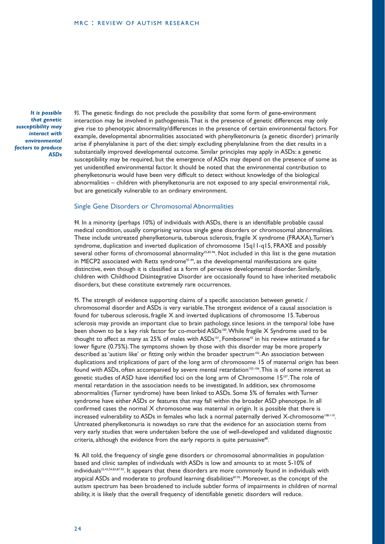*It is possible that genetic susceptibility may interact with environmental factors to produce ASDs*

93. The genetic findings do not preclude the possibility that some form of gene-environment interaction may be involved in pathogenesis.That is the presence of genetic differences may only give rise to phenotypic abnormality/differences in the presence of certain environmental factors. For example, developmental abnormalities associated with phenylketonuria (a genetic disorder) primarily arise if phenylalanine is part of the diet: simply excluding phenylalanine from the diet results in a substantially improved developmental outcome. Similar principles may apply in ASDs: a genetic susceptibility may be required, but the emergence of ASDs may depend on the presence of some as yet unidentified environmental factor. It should be noted that the environmental contribution to phenylketonuria would have been very difficult to detect without knowledge of the biological abnormalities – children with phenylketonuria are not exposed to any special environmental risk, but are genetically vulnerable to an ordinary environment.

#### Single Gene Disorders or Chromosomal Abnormalities

94. In a minority (perhaps 10%) of individuals with ASDs, there is an identifiable probable causal medical condition, usually comprising various single gene disorders or chromosomal abnormalities. These include untreated phenylketonuria, tuberous sclerosis, fragile X syndrome (FRAXA),Turner's syndrome, duplication and inverted duplication of chromosome 15q11-q15, FRAXE and possibly several other forms of chromosomal abnormality<sup>35,82.96</sup>. Not included in this list is the gene mutation in MECP2 associated with Retts syndrome<sup>97-99</sup>, as the developmental manifestations are quite distinctive, even though it is classified as a form of pervasive developmental disorder. Similarly, children with Childhood Disintegrative Disorder are occasionally found to have inherited metabolic disorders, but these constitute extremely rare occurrences.

95. The strength of evidence supporting claims of a specific association between genetic / chromosomal disorder and ASDs is very variable.The strongest evidence of a causal association is found for tuberous sclerosis, fragile X and inverted duplications of chromosome 15.Tuberous sclerosis may provide an important clue to brain pathology, since lesions in the temporal lobe have been shown to be a key risk factor for co-morbid ASDs<sup>100</sup>. While fragile X Syndrome used to be thought to affect as many as 25% of males with  $ASDs^{10}$ , Fombonne<sup>43</sup> in his review estimated a far lower figure (0.75%).The symptoms shown by those with this disorder may be more properly described as 'autism like' or fitting only within the broader spectrum<sup>102</sup>. An association between duplications and triplications of part of the long arm of chromosome 15 of maternal origin has been found with ASDs, often accompanied by severe mental retardation<sup>103-106</sup>. This is of some interest as genetic studies of ASD have identified loci on the long arm of Chromosome 15107.The role of mental retardation in the association needs to be investigated. In addition, sex chromosome abnormalities (Turner syndrome) have been linked to ASDs. Some 5% of females with Turner syndrome have either ASDs or features that may fall within the broader ASD phenotype. In all confirmed cases the normal X chromosome was maternal in origin. It is possible that there is increased vulnerability to ASDs in females who lack a normal paternally derived X-chromosome<sup>108-110</sup>. Untreated phenylketonuria is nowadays so rare that the evidence for an association stems from very early studies that were undertaken before the use of well-developed and validated diagnostic criteria, although the evidence from the early reports is quite persuasive<sup>88</sup>.

96. All told, the frequency of single gene disorders or chromosomal abnormalities in population based and clinic samples of individuals with ASDs is low and amounts to at most 5-10% of individuals<sup>35,43,54,83,87,95</sup>. It appears that these disorders are more commonly found in individuals with atypical ASDs and moderate to profound learning disabilities<sup>87,95</sup>. Moreover, as the concept of the autism spectrum has been broadened to include subtler forms of impairments in children of normal ability, it is likely that the overall frequency of identifiable genetic disorders will reduce.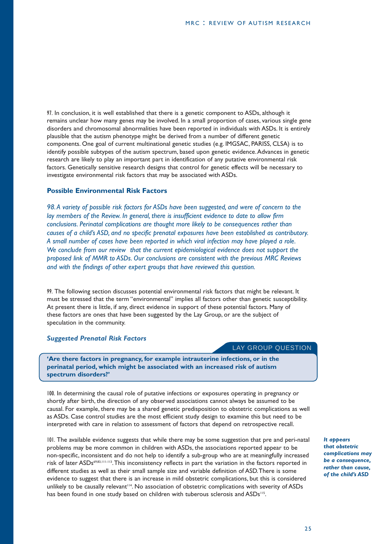97. In conclusion, it is well established that there is a genetic component to ASDs, although it remains unclear how many genes may be involved. In a small proportion of cases, various single gene disorders and chromosomal abnormalities have been reported in individuals with ASDs. It is entirely plausible that the autism phenotype might be derived from a number of different genetic components. One goal of current multinational genetic studies (e.g. IMGSAC, PARISS, CLSA) is to identify possible subtypes of the autism spectrum, based upon genetic evidence.Advances in genetic research are likely to play an important part in identification of any putative environmental risk factors. Genetically sensitive research designs that control for genetic effects will be necessary to investigate environmental risk factors that may be associated with ASDs.

## **Possible Environmental Risk Factors**

*98.A variety of possible risk factors for ASDs have been suggested, and were of concern to the lay members of the Review. In general, there is insufficient evidence to date to allow firm conclusions. Perinatal complications are thought more likely to be consequences rather than causes of a child's ASD, and no specific prenatal exposures have been established as contributory. A small number of cases have been reported in which viral infection may have played a role. We conclude from our review that the current epidemiological evidence does not support the proposed link of MMR to ASDs. Our conclusions are consistent with the previous MRC Reviews and with the findings of other expert groups that have reviewed this question.*

99. The following section discusses potential environmental risk factors that might be relevant. It must be stressed that the term "environmental" implies all factors other than genetic susceptibility. At present there is little, if any, direct evidence in support of these potential factors. Many of these factors are ones that have been suggested by the Lay Group, or are the subject of speculation in the community.

## *Suggested Prenatal Risk Factors*

# LAY GROUP QUESTION

**'Are there factors in pregnancy, for example intrauterine infections, or in the perinatal period, which might be associated with an increased risk of autism spectrum disorders?'**

100. In determining the causal role of putative infections or exposures operating in pregnancy or shortly after birth, the direction of any observed associations cannot always be assumed to be causal. For example, there may be a shared genetic predisposition to obstetric complications as well as ASDs. Case control studies are the most efficient study design to examine this but need to be interpreted with care in relation to assessment of factors that depend on retrospective recall.

101. The available evidence suggests that while there may be some suggestion that pre and peri-natal problems may be more common in children with ASDs, the associations reported appear to be non-specific, inconsistent and do not help to identify a sub-group who are at meaningfully increased risk of later ASDs<sup>69,83,111-113</sup>. This inconsistency reflects in part the variation in the factors reported in different studies as well as their small sample size and variable definition of ASD.There is some evidence to suggest that there is an increase in mild obstetric complications, but this is considered unlikely to be causally relevant<sup>114</sup>. No association of obstetric complications with severity of ASDs has been found in one study based on children with tuberous sclerosis and ASDs<sup>115</sup>.

*It appears that obstetric complications may be a consequence, rather than cause, of the child's ASD*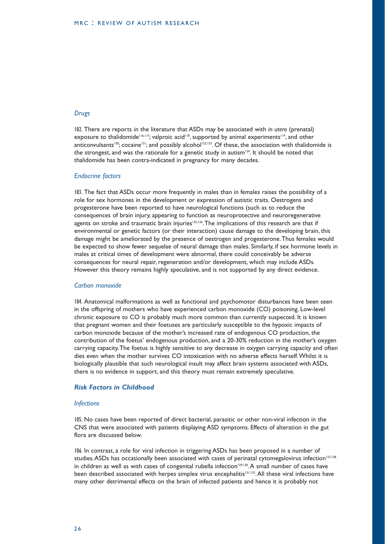#### *Drugs*

102. There are reports in the literature that ASDs may be associated with *in utero* (prenatal) exposure to thalidomide<sup>116,117</sup>; valproic acid<sup>118</sup>, supported by animal experiments<sup>119</sup>, and other anticonvulsants<sup>120</sup>; cocaine<sup>121</sup>; and possibly alcohol<sup>122,123</sup>. Of these, the association with thalidomide is the strongest, and was the rationale for a genetic study in autism $124$ . It should be noted that thalidomide has been contra-indicated in pregnancy for many decades.

#### *Endocrine factors*

103. The fact that ASDs occur more frequently in males than in females raises the possibility of a role for sex hormones in the development or expression of autistic traits. Oestrogens and progesterone have been reported to have neurological functions (such as to reduce the consequences of brain injury, appearing to function as neuroprotective and neuroregenerative agents on stroke and traumatic brain injuries<sup>125,126</sup>. The implications of this research are that if environmental or genetic factors (or their interaction) cause damage to the developing brain, this damage might be ameliorated by the presence of oestrogen and progesterone.Thus females would be expected to show fewer sequelae of neural damage than males. Similarly, if sex hormone levels in males at critical times of development were abnormal, there could conceivably be adverse consequences for neural repair, regeneration and/or development, which may include ASDs. However this theory remains highly speculative, and is not supported by any direct evidence.

#### *Carbon monoxide*

104. Anatomical malformations as well as functional and psychomotor disturbances have been seen in the offspring of mothers who have experienced carbon monoxide (CO) poisoning. Low-level chronic exposure to CO is probably much more common than currently suspected. It is known that pregnant women and their foetuses are particularly susceptible to the hypoxic impacts of carbon monoxide because of the mother's increased rate of endogenous CO production, the contribution of the foetus' endogenous production, and a 20-30% reduction in the mother's oxygen carrying capacity.The foetus is highly sensitive to any decrease in oxygen carrying capacity and often dies even when the mother survives CO intoxication with no adverse effects herself.Whilst it is biologically plausible that such neurological insult may affect brain systems associated with ASDs, there is no evidence in support, and this theory must remain extremely speculative.

## *Risk Factors in Childhood*

#### *Infections*

105. No cases have been reported of direct bacterial, parasitic or other non-viral infection in the CNS that were associated with patients displaying ASD symptoms. Effects of alteration in the gut flora are discussed below.

106. In contrast, a role for viral infection in triggering ASDs has been proposed in a number of studies. ASDs has occasionally been associated with cases of perinatal cytomegalovirus infection<sup>127,128</sup> in children as well as with cases of congenital rubella infection $129,130$ . A small number of cases have been described associated with herpes simplex virus encephalitis<sup>131,132</sup>. All these viral infections have many other detrimental effects on the brain of infected patients and hence it is probably not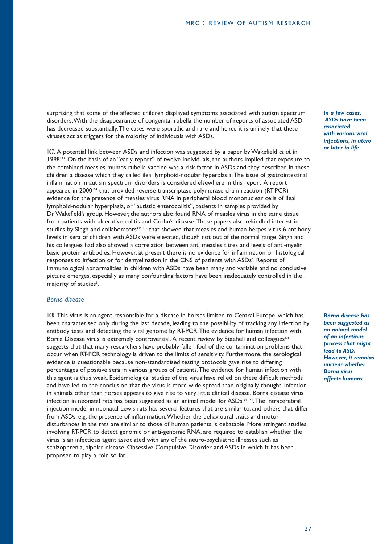surprising that some of the affected children displayed symptoms associated with autism spectrum disorders.With the disappearance of congenital rubella the number of reports of associated ASD has decreased substantially.The cases were sporadic and rare and hence it is unlikely that these viruses act as triggers for the majority of individuals with ASDs.

107. A potential link between ASDs and infection was suggested by a paper by Wakefield *et al*. in 1998133. On the basis of an "early report" of twelve individuals, the authors implied that exposure to the combined measles mumps rubella vaccine was a risk factor in ASDs and they described in these children a disease which they called ileal lymphoid-nodular hyperplasia.The issue of gastrointestinal inflammation in autism spectrum disorders is considered elsewhere in this report.A report appeared in 2000134 that provided reverse transcriptase polymerase chain reaction (RT-PCR) evidence for the presence of measles virus RNA in peripheral blood mononuclear cells of ileal lymphoid-nodular hyperplasia, or "autistic enterocolitis", patients in samples provided by Dr Wakefield's group. However, the authors also found RNA of measles virus in the same tissue from patients with ulcerative colitis and Crohn's disease.These papers also rekindled interest in studies by Singh and collaborators<sup>135,136</sup> that showed that measles and human herpes virus 6 antibody levels in sera of children with ASDs were elevated, though not out of the normal range. Singh and his colleagues had also showed a correlation between anti measles titres and levels of anti-myelin basic protein antibodies. However, at present there is no evidence for inflammation or histological responses to infection or for demyelination in the CNS of patients with ASDs<sup>6</sup>. Reports of immunological abnormalities in children with ASDs have been many and variable and no conclusive picture emerges, especially as many confounding factors have been inadequately controlled in the majority of studies<sup>6</sup>.

## *Borna disease*

108. This virus is an agent responsible for a disease in horses limited to Central Europe, which has been characterised only during the last decade, leading to the possibility of tracking any infection by antibody tests and detecting the viral genome by RT-PCR.The evidence for human infection with Borna Disease virus is extremely controversial. A recent review by Staeheli and colleagues<sup>138</sup> suggests that that many researchers have probably fallen foul of the contamination problems that occur when RT-PCR technology is driven to the limits of sensitivity. Furthermore, the serological evidence is questionable because non-standardised testing protocols gave rise to differing percentages of positive sera in various groups of patients.The evidence for human infection with this agent is thus weak. Epidemiological studies of the virus have relied on these difficult methods and have led to the conclusion that the virus is more wide spread than originally thought. Infection in animals other than horses appears to give rise to very little clinical disease. Borna disease virus infection in neonatal rats has been suggested as an animal model for ASDs<sup>139-141</sup>. The intracerebral injection model in neonatal Lewis rats has several features that are similar to, and others that differ from ASDs, e.g. the presence of inflammation.Whether the behavioural traits and motor disturbances in the rats are similar to those of human patients is debatable. More stringent studies, involving RT-PCR to detect genomic or anti-genomic RNA, are required to establish whether the virus is an infectious agent associated with any of the neuro-psychiatric illnesses such as schizophrenia, bipolar disease, Obsessive-Compulsive Disorder and ASDs in which it has been proposed to play a role so far.

*In a few cases, ASDs have been associated with various viral infections, in utero or later in life*

*Borna disease has been suggested as an animal model of an infectious process that might lead to ASD. However, it remains unclear whether Borna virus affects humans*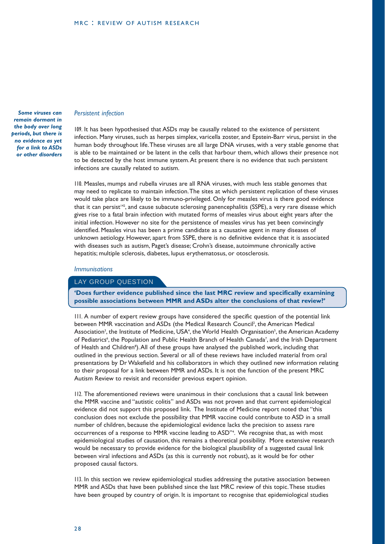## *Persistent infection*

109. It has been hypothesised that ASDs may be causally related to the existence of persistent infection. Many viruses, such as herpes simplex, varicella zoster, and Epstein-Barr virus, persist in the human body throughout life.These viruses are all large DNA viruses, with a very stable genome that is able to be maintained or be latent in the cells that harbour them, which allows their presence not to be detected by the host immune system.At present there is no evidence that such persistent infections are causally related to autism.

110. Measles, mumps and rubella viruses are all RNA viruses, with much less stable genomes that may need to replicate to maintain infection.The sites at which persistent replication of these viruses would take place are likely to be immuno-privileged. Only for measles virus is there good evidence that it can persist<sup>142</sup>, and cause subacute sclerosing panencephalitis (SSPE), a very rare disease which gives rise to a fatal brain infection with mutated forms of measles virus about eight years after the initial infection. However no site for the persistence of measles virus has yet been convincingly identified. Measles virus has been a prime candidate as a causative agent in many diseases of unknown aetiology. However, apart from SSPE, there is no definitive evidence that it is associated with diseases such as autism, Paget's disease; Crohn's disease, autoimmune chronically active hepatitis; multiple sclerosis, diabetes, lupus erythematosus, or otosclerosis.

## *Immunisations*

## LAY GROUP QUESTION

**'Does further evidence published since the last MRC review and specifically examining possible associations between MMR and ASDs alter the conclusions of that review?'**

111. A number of expert review groups have considered the specific question of the potential link between MMR vaccination and ASDs (the Medical Research Council<sup>2</sup>, the American Medical Association<sup>3</sup>, the Institute of Medicine, USA<sup>4</sup>, the World Health Organisation<sup>5</sup>, the American Academy of Pediatrics', the Population and Public Health Branch of Health Canada', and the Irish Department of Health and Children $^{\circ}$ ). All of these groups have analysed the published work, including that outlined in the previous section. Several or all of these reviews have included material from oral presentations by Dr Wakefield and his collaborators in which they outlined new information relating to their proposal for a link between MMR and ASDs. It is not the function of the present MRC Autism Review to revisit and reconsider previous expert opinion.

112. The aforementioned reviews were unanimous in their conclusions that a causal link between the MMR vaccine and "autistic colitis" and ASDs was not proven and that current epidemiological evidence did not support this proposed link. The Institute of Medicine report noted that "this conclusion does not exclude the possibility that MMR vaccine could contribute to ASD in a small number of children, because the epidemiological evidence lacks the precision to assess rare occurrences of a response to MMR vaccine leading to ASD"4 . We recognise that, as with most epidemiological studies of causation, this remains a theoretical possibility. More extensive research would be necessary to provide evidence for the biological plausibility of a suggested causal link between viral infections and ASDs (as this is currently not robust), as it would be for other proposed causal factors.

113. In this section we review epidemiological studies addressing the putative association between MMR and ASDs that have been published since the last MRC review of this topic.These studies have been grouped by country of origin. It is important to recognise that epidemiological studies

*Some viruses can remain dormant in the body over long periods, but there is no evidence as yet for a link to ASDs or other disorders*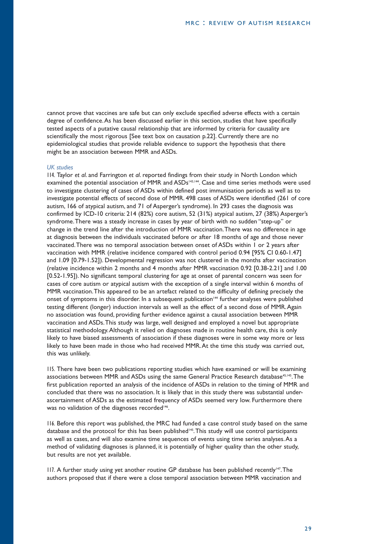cannot prove that vaccines are safe but can only exclude specified adverse effects with a certain degree of confidence.As has been discussed earlier in this section, studies that have specifically tested aspects of a putative causal relationship that are informed by criteria for causality are scientifically the most rigorous [See text box on causation p.22]. Currently there are no epidemiological studies that provide reliable evidence to support the hypothesis that there might be an association between MMR and ASDs.

#### *UK studies*

114. Taylor *et al*. and Farrington *et al*. reported findings from their study in North London which examined the potential association of MMR and ASDs<sup>143,144</sup>. Case and time series methods were used to investigate clustering of cases of ASDs within defined post immunisation periods as well as to investigate potential effects of second dose of MMR. 498 cases of ASDs were identified (261 of core autism, 166 of atypical autism, and 71 of Asperger's syndrome). In 293 cases the diagnosis was confirmed by ICD-10 criteria: 214 (82%) core autism, 52 (31%) atypical autism, 27 (38%) Asperger's syndrome.There was a steady increase in cases by year of birth with no sudden "step-up" or change in the trend line after the introduction of MMR vaccination.There was no difference in age at diagnosis between the individuals vaccinated before or after 18 months of age and those never vaccinated.There was no temporal association between onset of ASDs within 1 or 2 years after vaccination with MMR (relative incidence compared with control period 0.94 [95% CI 0.60-1.47] and 1.09 [0.79-1.52]). Developmental regression was not clustered in the months after vaccination (relative incidence within 2 months and 4 months after MMR vaccination 0.92 [0.38-2.21] and 1.00 [0.52-1.95]). No significant temporal clustering for age at onset of parental concern was seen for cases of core autism or atypical autism with the exception of a single interval within 6 months of MMR vaccination.This appeared to be an artefact related to the difficulty of defining precisely the onset of symptoms in this disorder. In a subsequent publication<sup>144</sup> further analyses were published testing different (longer) induction intervals as well as the effect of a second dose of MMR.Again no association was found, providing further evidence against a causal association between MMR vaccination and ASDs.This study was large, well designed and employed a novel but appropriate statistical methodology.Although it relied on diagnoses made in routine health care, this is only likely to have biased assessments of association if these diagnoses were in some way more or less likely to have been made in those who had received MMR.At the time this study was carried out, this was unlikely.

115. There have been two publications reporting studies which have examined or will be examining associations between MMR and ASDs using the same General Practice Research database<sup>45,145</sup>. The first publication reported an analysis of the incidence of ASDs in relation to the timing of MMR and concluded that there was no association. It is likely that in this study there was substantial underascertainment of ASDs as the estimated frequency of ASDs seemed very low. Furthermore there was no validation of the diagnoses recorded<sup>146</sup>.

116. Before this report was published, the MRC had funded a case control study based on the same database and the protocol for this has been published<sup>145</sup>. This study will use control participants as well as cases, and will also examine time sequences of events using time series analyses.As a method of validating diagnoses is planned, it is potentially of higher quality than the other study, but results are not yet available.

117. A further study using yet another routine GP database has been published recently<sup>147</sup>. The authors proposed that if there were a close temporal association between MMR vaccination and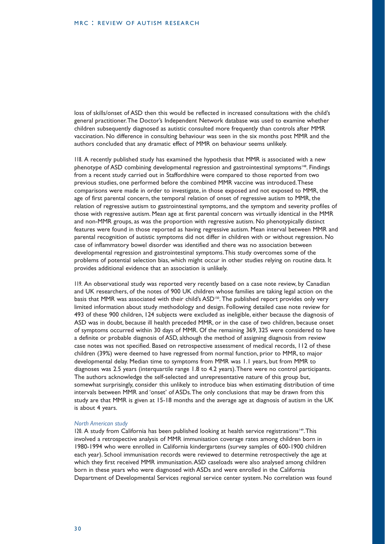loss of skills/onset of ASD then this would be reflected in increased consultations with the child's general practitioner.The Doctor's Independent Network database was used to examine whether children subsequently diagnosed as autistic consulted more frequently than controls after MMR vaccination. No difference in consulting behaviour was seen in the six months post MMR and the authors concluded that any dramatic effect of MMR on behaviour seems unlikely.

118. A recently published study has examined the hypothesis that MMR is associated with a new phenotype of ASD combining developmental regression and gastrointestinal symptoms<sup>148</sup>. Findings from a recent study carried out in Staffordshire were compared to those reported from two previous studies, one performed before the combined MMR vaccine was introduced.These comparisons were made in order to investigate, in those exposed and not exposed to MMR, the age of first parental concern, the temporal relation of onset of regressive autism to MMR, the relation of regressive autism to gastrointestinal symptoms, and the symptom and severity profiles of those with regressive autism. Mean age at first parental concern was virtually identical in the MMR and non-MMR groups, as was the proportion with regressive autism. No phenotypically distinct features were found in those reported as having regressive autism. Mean interval between MMR and parental recognition of autistic symptoms did not differ in children with or without regression. No case of inflammatory bowel disorder was identified and there was no association between developmental regression and gastrointestinal symptoms.This study overcomes some of the problems of potential selection bias, which might occur in other studies relying on routine data. It provides additional evidence that an association is unlikely.

119. An observational study was reported very recently based on a case note review, by Canadian and UK researchers, of the notes of 900 UK children whose families are taking legal action on the basis that MMR was associated with their child's ASD<sup>150</sup>. The published report provides only very limited information about study methodology and design. Following detailed case note review for 493 of these 900 children, 124 subjects were excluded as ineligible, either because the diagnosis of ASD was in doubt, because ill health preceded MMR, or in the case of two children, because onset of symptoms occurred within 30 days of MMR. Of the remaining 369, 325 were considered to have a definite or probable diagnosis of ASD, although the method of assigning diagnosis from review case notes was not specified. Based on retrospective assessment of medical records, 112 of these children (39%) were deemed to have regressed from normal function, prior to MMR, to major developmental delay. Median time to symptoms from MMR was 1.1 years, but from MMR to diagnoses was 2.5 years (interquartile range 1.8 to 4.2 years).There were no control participants. The authors acknowledge the self-selected and unrepresentative nature of this group but, somewhat surprisingly, consider this unlikely to introduce bias when estimating distribution of time intervals between MMR and 'onset' of ASDs.The only conclusions that may be drawn from this study are that MMR is given at 15-18 months and the average age at diagnosis of autism in the UK is about 4 years.

#### *North American study*

120. A study from California has been published looking at health service registrations<sup>149</sup>. This involved a retrospective analysis of MMR immunisation coverage rates among children born in 1980-1994 who were enrolled in California kindergartens (survey samples of 600-1900 children each year). School immunisation records were reviewed to determine retrospectively the age at which they first received MMR immunisation.ASD caseloads were also analysed among children born in these years who were diagnosed with ASDs and were enrolled in the California Department of Developmental Services regional service center system. No correlation was found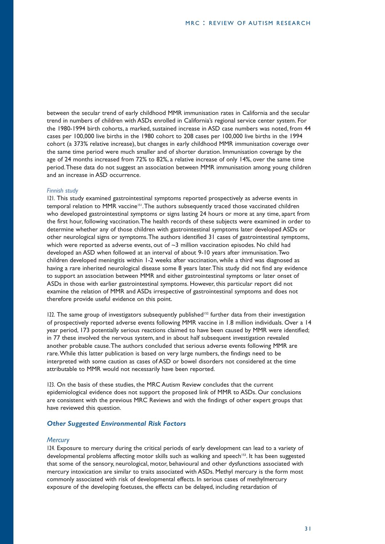between the secular trend of early childhood MMR immunisation rates in California and the secular trend in numbers of children with ASDs enrolled in California's regional service center system. For the 1980-1994 birth cohorts, a marked, sustained increase in ASD case numbers was noted, from 44 cases per 100,000 live births in the 1980 cohort to 208 cases per 100,000 live births in the 1994 cohort (a 373% relative increase), but changes in early childhood MMR immunisation coverage over the same time period were much smaller and of shorter duration. Immunisation coverage by the age of 24 months increased from 72% to 82%, a relative increase of only 14%, over the same time period.These data do not suggest an association between MMR immunisation among young children and an increase in ASD occurrence.

#### *Finnish study*

121. This study examined gastrointestinal symptoms reported prospectively as adverse events in temporal relation to MMR vaccine<sup>151</sup>. The authors subsequently traced those vaccinated children who developed gastrointestinal symptoms or signs lasting 24 hours or more at any time, apart from the first hour, following vaccination.The health records of these subjects were examined in order to determine whether any of those children with gastrointestinal symptoms later developed ASDs or other neurological signs or symptoms.The authors identified 31 cases of gastrointestinal symptoms, which were reported as adverse events, out of  $\sim$ 3 million vaccination episodes. No child had developed an ASD when followed at an interval of about 9-10 years after immunisation.Two children developed meningitis within 1-2 weeks after vaccination, while a third was diagnosed as having a rare inherited neurological disease some 8 years later.This study did not find any evidence to support an association between MMR and either gastrointestinal symptoms or later onset of ASDs in those with earlier gastrointestinal symptoms. However, this particular report did not examine the relation of MMR and ASDs irrespective of gastrointestinal symptoms and does not therefore provide useful evidence on this point.

122. The same group of investigators subsequently published<sup>152</sup> further data from their investigation of prospectively reported adverse events following MMR vaccine in 1.8 million individuals. Over a 14 year period, 173 potentially serious reactions claimed to have been caused by MMR were identified; in 77 these involved the nervous system, and in about half subsequent investigation revealed another probable cause.The authors concluded that serious adverse events following MMR are rare.While this latter publication is based on very large numbers, the findings need to be interpreted with some caution as cases of ASD or bowel disorders not considered at the time attributable to MMR would not necessarily have been reported.

123. On the basis of these studies, the MRC Autism Review concludes that the current epidemiological evidence does not support the proposed link of MMR to ASDs. Our conclusions are consistent with the previous MRC Reviews and with the findings of other expert groups that have reviewed this question.

## *Other Suggested Environmental Risk Factors*

#### *Mercury*

124. Exposure to mercury during the critical periods of early development can lead to a variety of developmental problems affecting motor skills such as walking and speech<sup>153</sup>. It has been suggested that some of the sensory, neurological, motor, behavioural and other dysfunctions associated with mercury intoxication are similar to traits associated with ASDs. Methyl mercury is the form most commonly associated with risk of developmental effects. In serious cases of methylmercury exposure of the developing foetuses, the effects can be delayed, including retardation of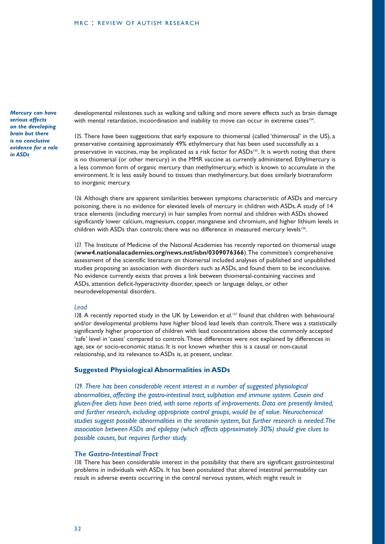*Mercury can have serious affects on the developing brain but there is no conclusive evidence for a role in ASDs*

developmental milestones such as walking and talking and more severe effects such as brain damage with mental retardation, incoordination and inability to move can occur in extreme cases<sup>154</sup>.

125. There have been suggestions that early exposure to thiomersal (called 'thimerosal' in the US), a preservative containing approximately 49% ethylmercury that has been used successfully as a preservative in vaccines, may be implicated as a risk factor for ASDs<sup>155</sup>. It is worth noting that there is no thiomersal (or other mercury) in the MMR vaccine as currently administered. Ethylmercury is a less common form of organic mercury than methylmercury, which is known to accumulate in the environment. It is less easily bound to tissues than methylmercury, but does similarly biotransform to inorganic mercury.

126. Although there are apparent similarities between symptoms characteristic of ASDs and mercury poisoning, there is no evidence for elevated levels of mercury in children with ASDs.A study of 14 trace elements (including mercury) in hair samples from normal and children with ASDs showed significantly lower calcium, magnesium, copper, manganese and chromium, and higher lithium levels in children with ASDs than controls; there was no difference in measured mercury levels<sup>156</sup>.

127. The Institute of Medicine of the National Academies has recently reported on thiomersal usage (**www4.nationalacademies.org/news.nst/isbn/0309076366**).The committee's comprehensive assessment of the scientific literature on thiomersal included analyses of published and unpublished studies proposing an association with disorders such as ASDs, and found them to be inconclusive. No evidence currently exists that proves a link between thiomersal-containing vaccines and ASDs, attention deficit-hyperactivity disorder, speech or language delays, or other neurodevelopmental disorders.

#### *Lead*

128. A recently reported study in the UK by Lewendon et al.<sup>157</sup> found that children with behavioural and/or developmental problems have higher blood lead levels than controls.There was a statistically significantly higher proportion of children with lead concentrations above the commonly accepted 'safe' level in 'cases' compared to controls.These differences were not explained by differences in age, sex or socio-economic status. It is not known whether this is a causal or non-causal relationship, and its relevance to ASDs is, at present, unclear.

#### **Suggested Physiological Abnormalities in ASDs**

129. *There has been considerable recent interest in a number of suggested physiological abnormalities, affecting the gastro-intestinal tract, sulphation and immune system. Casein and gluten-free diets have been tried, with some reports of improvements. Data are presently limited, and further research, including appropriate control groups, would be of value. Neurochemical studies suggest possible abnormalities in the serotonin system, but further research is needed.The association between ASDs and epilepsy (which affects approximately 30%) should give clues to possible causes, but requires further study.*

# *The Gastro-Intestinal Tract*

130. There has been considerable interest in the possibility that there are significant gastrointestinal problems in individuals with ASDs. It has been postulated that altered intestinal permeability can result in adverse events occurring in the central nervous system, which might result in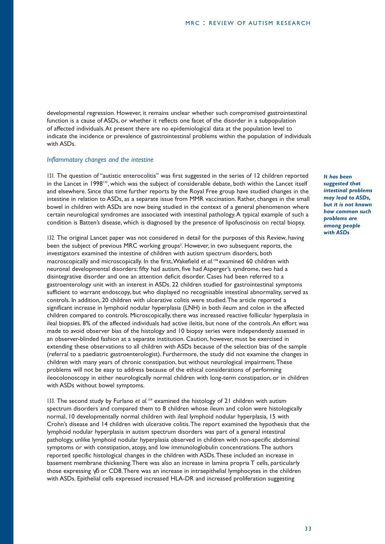developmental regression. However, it remains unclear whether such compromised gastrointestinal function is a cause of ASDs, or whether it reflects one facet of the disorder in a subpopulation of affected individuals.At present there are no epidemiological data at the population level to indicate the incidence or prevalence of gastrointestinal problems within the population of individuals with ASDs.

## *Inflammatory changes and the intestine*

131. The question of "autistic enterocolitis" was first suggested in the series of 12 children reported in the Lancet in 1998<sup>133</sup>, which was the subject of considerable debate, both within the Lancet itself and elsewhere. Since that time further reports by the Royal Free group have studied changes in the intestine in relation to ASDs, as a separate issue from MMR vaccination. Rather, changes in the small bowel in children with ASDs are now being studied in the context of a general phenomenon where certain neurological syndromes are associated with intestinal pathology.A typical example of such a condition is Batten's disease, which is diagnosed by the presence of lipofuscinosis on rectal biopsy.

132. The original Lancet paper was not considered in detail for the purposes of this Review, having been the subject of previous MRC working groups<sup>2</sup>. However, in two subsequent reports, the investigators examined the intestine of children with autism spectrum disorders, both macroscopically and microscopically. In the first,Wakefield *et al.*<sup>158</sup> examined 60 children with neuronal developmental disorders: fifty had autism, five had Asperger's syndrome, two had a disintegrative disorder and one an attention deficit disorder. Cases had been referred to a gastroenterology unit with an interest in ASDs. 22 children studied for gastrointestinal symptoms sufficient to warrant endoscopy, but who displayed no recognisable intestinal abnormality, served as controls. In addition, 20 children with ulcerative colitis were studied.The article reported a significant increase in lymphoid nodular hyperplasia (LNH) in both ileum and colon in the affected children compared to controls. Microscopically, there was increased reactive follicular hyperplasia in ileal biopsies. 8% of the affected individuals had active ileitis, but none of the controls.An effort was made to avoid observer bias of the histology and 10 biopsy series were independently assessed in an observer-blinded fashion at a separate institution. Caution, however, must be exercised in extending these observations to all children with ASDs because of the selection bias of the sample (referral to a paediatric gastroenterologist). Furthermore, the study did not examine the changes in children with many years of chronic constipation, but without neurological impairment.These problems will not be easy to address because of the ethical considerations of performing ileocolonoscopy in either neurologically normal children with long-term constipation, or in children with ASDs without bowel symptoms.

133. The second study by Furlano et al.<sup>159</sup> examined the histology of 21 children with autism spectrum disorders and compared them to 8 children whose ileum and colon were histologically normal, 10 developmentally normal children with ileal lymphoid nodular hyperplasia, 15 with Crohn's disease and 14 children with ulcerative colitis.The report examined the hypothesis that the lymphoid nodular hyperplasia in autism spectrum disorders was part of a general intestinal pathology, unlike lymphoid nodular hyperplasia observed in children with non-specific abdominal symptoms or with constipation, atopy, and low immunologlobulin concentrations.The authors reported specific histological changes in the children with ASDs.These included an increase in basement membrane thickening.There was also an increase in lamina propria T cells, particularly those expressing γδ or CD8.There was an increase in intraepithelial lymphocytes in the children with ASDs. Epithelial cells expressed increased HLA-DR and increased proliferation suggesting

*It has been suggested that intestinal problems may lead to ASDs, but it is not known how common such problems are among people with ASDs*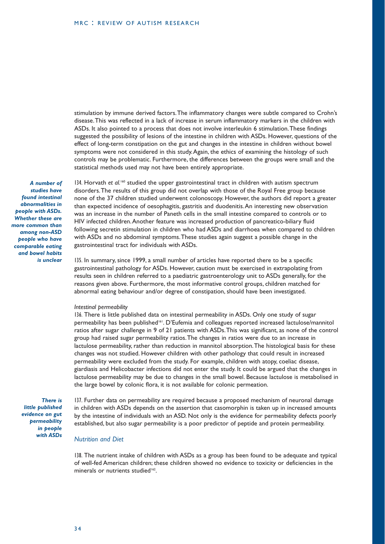stimulation by immune derived factors.The inflammatory changes were subtle compared to Crohn's disease.This was reflected in a lack of increase in serum inflammatory markers in the children with ASDs. It also pointed to a process that does not involve interleukin 6 stimulation.These findings suggested the possibility of lesions of the intestine in children with ASDs. However, questions of the effect of long-term constipation on the gut and changes in the intestine in children without bowel symptoms were not considered in this study.Again, the ethics of examining the histology of such controls may be problematic. Furthermore, the differences between the groups were small and the statistical methods used may not have been entirely appropriate.

*A number of studies have found intestinal abnormalities in people with ASDs. Whether these are more common than among non-ASD people who have comparable eating and bowel habits is unclear*

134. Horvath *et al.*<sup>160</sup> studied the upper gastrointestinal tract in children with autism spectrum disorders.The results of this group did not overlap with those of the Royal Free group because none of the 37 children studied underwent colonoscopy. However, the authors did report a greater than expected incidence of oesophagitis, gastritis and duodenitis.An interesting new observation was an increase in the number of Paneth cells in the small intestine compared to controls or to HIV infected children.Another feature was increased production of pancreatico-biliary fluid following secretin stimulation in children who had ASDs and diarrhoea when compared to children with ASDs and no abdominal symptoms.These studies again suggest a possible change in the gastrointestinal tract for individuals with ASDs.

135. In summary, since 1999, a small number of articles have reported there to be a specific gastrointestinal pathology for ASDs. However, caution must be exercised in extrapolating from results seen in children referred to a paediatric gastroenterology unit to ASDs generally, for the reasons given above. Furthermore, the most informative control groups, children matched for abnormal eating behaviour and/or degree of constipation, should have been investigated.

#### *Intestinal permeability*

136. There is little published data on intestinal permeability in ASDs. Only one study of sugar permeability has been published<sup>161</sup>. D'Eufemia and colleagues reported increased lactulose/mannitol ratios after sugar challenge in 9 of 21 patients with ASDs.This was significant, as none of the control group had raised sugar permeability ratios.The changes in ratios were due to an increase in lactulose permeability, rather than reduction in mannitol absorption.The histological basis for these changes was not studied. However children with other pathology that could result in increased permeability were excluded from the study. For example, children with atopy, coeliac disease, giardiasis and Helicobacter infections did not enter the study. It could be argued that the changes in lactulose permeability may be due to changes in the small bowel. Because lactulose is metabolised in the large bowel by colonic flora, it is not available for colonic permeation.

*There is little published evidence on gut permeability in people with ASDs*

137. Further data on permeability are required because a proposed mechanism of neuronal damage in children with ASDs depends on the assertion that casomorphin is taken up in increased amounts by the intestine of individuals with an ASD. Not only is the evidence for permeability defects poorly established, but also sugar permeability is a poor predictor of peptide and protein permeability.

#### *Nutrition and Diet*

138. The nutrient intake of children with ASDs as a group has been found to be adequate and typical of well-fed American children; these children showed no evidence to toxicity or deficiencies in the minerals or nutrients studied<sup>162</sup>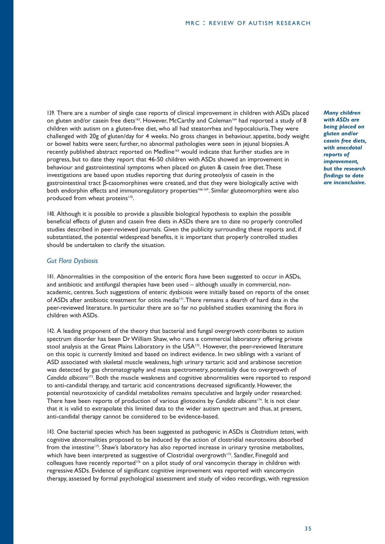139. There are a number of single case reports of clinical improvement in children with ASDs placed on gluten and/or casein free diets<sup>163</sup>. However, McCarthy and Coleman<sup>164</sup> had reported a study of 8 children with autism on a gluten-free diet, who all had steatorrhea and hypocalciuria.They were challenged with 20g of gluten/day for 4 weeks. No gross changes in behaviour, appetite, body weight or bowel habits were seen; further, no abnormal pathologies were seen in jejunal biopsies.A recently published abstract reported on Medline<sup>165</sup> would indicate that further studies are in progress, but to date they report that 46-50 children with ASDs showed an improvement in behaviour and gastrointestinal symptoms when placed on gluten & casein free diet.These investigations are based upon studies reporting that during proteolysis of casein in the gastrointestinal tract β-casomorphines were created, and that they were biologically active with both endorphin effects and immunoregulatory properties<sup>166-169</sup>. Similar gluteomorphins were also produced from wheat proteins<sup>170</sup>.

140. Although it is possible to provide a plausible biological hypothesis to explain the possible beneficial effects of gluten and casein free diets in ASDs there are to date no properly controlled studies described in peer-reviewed journals. Given the publicity surrounding these reports and, if substantiated, the potential widespread benefits, it is important that properly controlled studies should be undertaken to clarify the situation.

#### *Gut Flora Dysbiosis*

141. Abnormalities in the composition of the enteric flora have been suggested to occur in ASDs, and antibiotic and antifungal therapies have been used – although usually in commercial, nonacademic, centres. Such suggestions of enteric dysbiosis were initially based on reports of the onset of ASDs after antibiotic treatment for otitis media171.There remains a dearth of hard data in the peer-reviewed literature. In particular there are so far no published studies examining the flora in children with ASDs.

142. A leading proponent of the theory that bacterial and fungal overgrowth contributes to autism spectrum disorder has been Dr William Shaw, who runs a commercial laboratory offering private stool analysis at the Great Plains Laboratory in the USA<sup>172</sup>. However, the peer-reviewed literature on this topic is currently limited and based on indirect evidence. In two siblings with a variant of ASD associated with skeletal muscle weakness, high urinary tartaric acid and arabinose secretion was detected by gas chromatography and mass spectrometry, potentially due to overgrowth of *Candida albicans*173. Both the muscle weakness and cognitive abnormalities were reported to respond to anti-candidal therapy, and tartaric acid concentrations decreased significantly. However, the potential neurotoxicity of candidal metabolites remains speculative and largely under researched. There have been reports of production of various gliotoxins by *Candida albicans*174. It is not clear that it is valid to extrapolate this limited data to the wider autism spectrum and thus, at present, anti-candidal therapy cannot be considered to be evidence-based.

143. One bacterial species which has been suggested as pathogenic in ASDs is *Clostridium tetani*, with cognitive abnormalities proposed to be induced by the action of clostridial neurotoxins absorbed from the intestine<sup>175</sup>. Shaw's laboratory has also reported increase in urinary tyrosine metabolites, which have been interpreted as suggestive of Clostridial overgrowth<sup>172</sup>. Sandler, Finegold and colleagues have recently reported<sup>176</sup> on a pilot study of oral vancomycin therapy in children with regressive ASDs. Evidence of significant cognitive improvement was reported with vancomycin therapy, assessed by formal psychological assessment and study of video recordings, with regression *Many children with ASDs are being placed on gluten and/or casein free diets, with anecdotal reports of improvement, but the research findings to date are inconclusive.*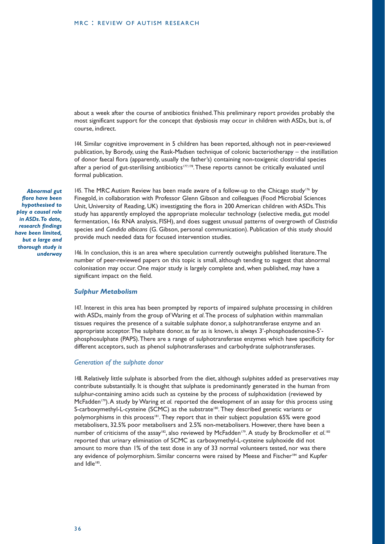about a week after the course of antibiotics finished.This preliminary report provides probably the most significant support for the concept that dysbiosis may occur in children with ASDs, but is, of course, indirect.

144. Similar cognitive improvement in 5 children has been reported, although not in peer-reviewed publication, by Borody, using the Rask-Madsen technique of colonic bacteriotherapy – the instillation of donor faecal flora (apparently, usually the father's) containing non-toxigenic clostridial species after a period of gut-sterilising antibiotics $177,178$ . These reports cannot be critically evaluated until formal publication.

*Abnormal gut flora have been hypothesised to play a causal role in ASDs.To date, research findings have been limited, but a large and thorough study is underway*

145. The MRC Autism Review has been made aware of a follow-up to the Chicago study<sup>176</sup> by Finegold, in collaboration with Professor Glenn Gibson and colleagues (Food Microbial Sciences Unit, University of Reading, UK) investigating the flora in 200 American children with ASDs.This study has apparently employed the appropriate molecular technology (selective media, gut model fermentation, 16s RNA analysis, FISH), and does suggest unusual patterns of overgrowth of *Clostridia* species and *Candida albicans* (G. Gibson, personal communication). Publication of this study should provide much needed data for focused intervention studies.

146. In conclusion, this is an area where speculation currently outweighs published literature.The number of peer-reviewed papers on this topic is small, although tending to suggest that abnormal colonisation may occur. One major study is largely complete and, when published, may have a significant impact on the field.

#### *Sulphur Metabolism*

147. Interest in this area has been prompted by reports of impaired sulphate processing in children with ASDs, mainly from the group of Waring *et al*.The process of sulphation within mammalian tissues requires the presence of a suitable sulphate donor, a sulphotransferase enzyme and an appropriate acceptor.The sulphate donor, as far as is known, is always 3'-phosphoadenosine-5' phosphosulphate (PAPS).There are a range of sulphotransferase enzymes which have specificity for different acceptors, such as phenol sulphotransferases and carbohydrate sulphotransferases.

## *Generation of the sulphate donor*

148. Relatively little sulphate is absorbed from the diet, although sulphites added as preservatives may contribute substantially. It is thought that sulphate is predominantly generated in the human from sulphur-containing amino acids such as cysteine by the process of sulphoxidation (reviewed by McFadden<sup>179</sup>). A study by Waring *et al.* reported the development of an assay for this process using S-carboxymethyl-L-cysteine (SCMC) as the substrate<sup>180</sup>. They described genetic variants or polymorphisms in this process<sup>181</sup>. They report that in their subject population 65% were good metabolisers, 32.5% poor metabolisers and 2.5% non-metabolisers. However, there have been a number of criticisms of the assay<sup>182</sup>, also reviewed by McFadden<sup>179</sup>. A study by Brockmoller et *al.*'<sup>83</sup> reported that urinary elimination of SCMC as carboxymethyl-L-cysteine sulphoxide did not amount to more than 1% of the test dose in any of 33 normal volunteers tested, nor was there any evidence of polymorphism. Similar concerns were raised by Meese and Fischer<sup>184</sup> and Kupfer and Idle<sup>185</sup>.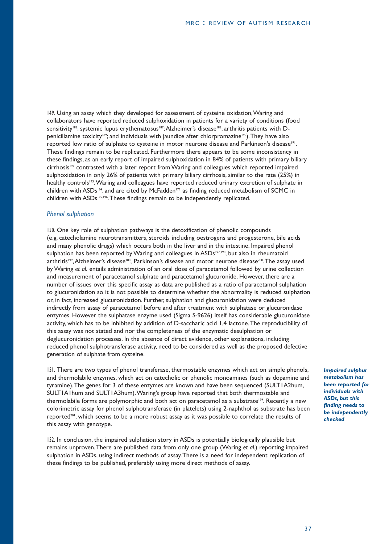149. Using an assay which they developed for assessment of cysteine oxidation,Waring and collaborators have reported reduced sulphoxidation in patients for a variety of conditions (food sensitivity<sup>186</sup>; systemic lupus erythematosus<sup>187</sup>; Alzheimer's disease<sup>188</sup>; arthritis patients with Dpenicillamine toxicity<sup>189</sup>; and individuals with jaundice after chlorpromazine<sup>190</sup>). They have also reported low ratio of sulphate to cysteine in motor neurone disease and Parkinson's disease<sup>191</sup>. These findings remain to be replicated. Furthermore there appears to be some inconsistency in these findings, as an early report of impaired sulphoxidation in 84% of patients with primary biliary cirrhosis<sup>192</sup> contrasted with a later report from Waring and colleagues which reported impaired sulphoxidation in only 26% of patients with primary biliary cirrhosis, similar to the rate (25%) in healthy controls<sup>193</sup>. Waring and colleagues have reported reduced urinary excretion of sulphate in children with ASDs<sup>194</sup>, and are cited by McFadden<sup>179</sup> as finding reduced metabolism of SCMC in children with ASDs<sup>195,196</sup>. These findings remain to be independently replicated.

#### *Phenol sulphation*

150. One key role of sulphation pathways is the detoxification of phenolic compounds (e.g. catecholamine neurotransmitters, steroids including oestrogens and progesterone, bile acids and many phenolic drugs) which occurs both in the liver and in the intestine. Impaired phenol sulphation has been reported by Waring and colleagues in ASDs<sup>197,198</sup>, but also in rheumatoid arthritis<sup>199</sup>, Alzheimer's disease<sup>188</sup>, Parkinson's disease and motor neurone disease<sup>200</sup>. The assay used by Waring *et al.* entails administration of an oral dose of paracetamol followed by urine collection and measurement of paracetamol sulphate and paracetamol glucuronide. However, there are a number of issues over this specific assay as data are published as a ratio of paracetamol sulphation to glucuronidation so it is not possible to determine whether the abnormality is reduced sulphation or, in fact, increased glucuronidation. Further, sulphation and glucuronidation were deduced indirectly from assay of paracetamol before and after treatment with sulphatase or glucuronidase enzymes. However the sulphatase enzyme used (Sigma S-9626) itself has considerable glucuronidase activity, which has to be inhibited by addition of D-saccharic acid 1,4 lactone.The reproducibility of this assay was not stated and nor the completeness of the enzymatic desulphation or deglucuronidation processes. In the absence of direct evidence, other explanations, including reduced phenol sulphotransferase activity, need to be considered as well as the proposed defective generation of sulphate from cysteine.

151. There are two types of phenol transferase, thermostable enzymes which act on simple phenols, and thermolabile enzymes, which act on catecholic or phenolic monoamines (such as dopamine and tyramine).The genes for 3 of these enzymes are known and have been sequenced (SULT1A2hum, SULT1A1hum and SULT1A3hum).Waring's group have reported that both thermostable and thermolabile forms are polymorphic and both act on paracetamol as a substrate<sup>179</sup>. Recently a new colorimetric assay for phenol sulphotransferase (in platelets) using 2-naphthol as substrate has been reported<sup>201</sup>, which seems to be a more robust assay as it was possible to correlate the results of this assay with genotype.

152. In conclusion, the impaired sulphation story in ASDs is potentially biologically plausible but remains unproven.There are published data from only one group (Waring *et al.*) reporting impaired sulphation in ASDs, using indirect methods of assay.There is a need for independent replication of these findings to be published, preferably using more direct methods of assay.

*Impaired sulphur metabolism has been reported for individuals with ASDs, but this finding needs to be independently checked*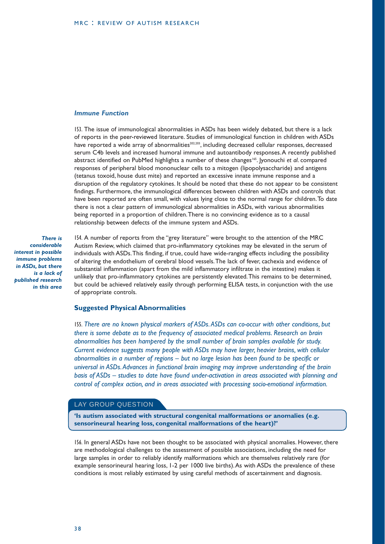#### *Immune Function*

153. The issue of immunological abnormalities in ASDs has been widely debated, but there is a lack of reports in the peer-reviewed literature. Studies of immunological function in children with ASDs have reported a wide array of abnormalities<sup>202,203</sup>, including decreased cellular responses, decreased serum C4b levels and increased humoral immune and autoantibody responses. A recently published abstract identified on PubMed highlights a number of these changes<sup>165</sup>. Jyonouchi et al. compared responses of peripheral blood mononuclear cells to a mitogen (lipopolysaccharide) and antigens (tetanus toxoid, house dust mite) and reported an excessive innate immune response and a disruption of the regulatory cytokines. It should be noted that these do not appear to be consistent findings. Furthermore, the immunological differences between children with ASDs and controls that have been reported are often small, with values lying close to the normal range for children.To date there is not a clear pattern of immunological abnormalities in ASDs, with various abnormalities being reported in a proportion of children.There is no convincing evidence as to a causal relationship between defects of the immune system and ASDs.

*There is considerable interest in possible immune problems in ASDs, but there is a lack of published research in this area*

154. A number of reports from the "grey literature" were brought to the attention of the MRC Autism Review, which claimed that pro-inflammatory cytokines may be elevated in the serum of individuals with ASDs.This finding, if true, could have wide-ranging effects including the possibility of altering the endothelium of cerebral blood vessels.The lack of fever, cachexia and evidence of substantial inflammation (apart from the mild inflammatory infiltrate in the intestine) makes it unlikely that pro-inflammatory cytokines are persistently elevated.This remains to be determined, but could be achieved relatively easily through performing ELISA tests, in conjunction with the use of appropriate controls.

#### **Suggested Physical Abnormalities**

155. *There are no known physical markers of ASDs.ASDs can co-occur with other conditions, but there is some debate as to the frequency of associated medical problems. Research on brain abnormalities has been hampered by the small number of brain samples available for study. Current evidence suggests many people with ASDs may have larger, heavier brains, with cellular abnormalities in a number of regions – but no large lesion has been found to be specific or universal in ASDs.Advances in functional brain imaging may improve understanding of the brain basis of ASDs – studies to date have found under-activation in areas associated with planning and control of complex action, and in areas associated with processing socio-emotional information.*

## LAY GROUP QUESTION

**'Is autism associated with structural congenital malformations or anomalies (e.g. sensorineural hearing loss, congenital malformations of the heart)?'**

156. In general ASDs have not been thought to be associated with physical anomalies. However, there are methodological challenges to the assessment of possible associations, including the need for large samples in order to reliably identify malformations which are themselves relatively rare (for example sensorineural hearing loss, 1-2 per 1000 live births).As with ASDs the prevalence of these conditions is most reliably estimated by using careful methods of ascertainment and diagnosis.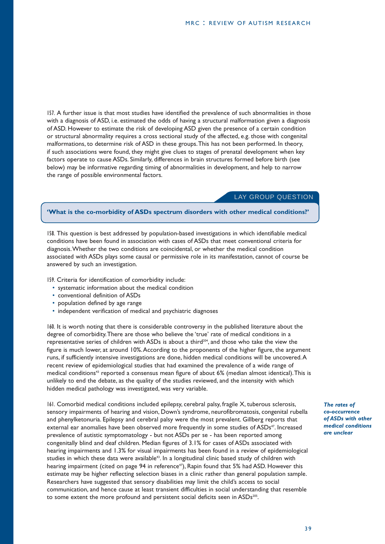157. A further issue is that most studies have identified the prevalence of such abnormalities in those with a diagnosis of ASD, i.e. estimated the odds of having a structural malformation given a diagnosis of ASD. However to estimate the risk of developing ASD given the presence of a certain condition or structural abnormality requires a cross sectional study of the affected, e.g. those with congenital malformations, to determine risk of ASD in these groups.This has not been performed. In theory, if such associations were found, they might give clues to stages of prenatal development when key factors operate to cause ASDs. Similarly, differences in brain structures formed before birth (see below) may be informative regarding timing of abnormalities in development, and help to narrow the range of possible environmental factors.

# LAY GROUP QUESTION

# **'What is the co-morbidity of ASDs spectrum disorders with other medical conditions?'**

158. This question is best addressed by population-based investigations in which identifiable medical conditions have been found in association with cases of ASDs that meet conventional criteria for diagnosis.Whether the two conditions are coincidental, or whether the medical condition associated with ASDs plays some causal or permissive role in its manifestation, cannot of course be answered by such an investigation.

159. Criteria for identification of comorbidity include:

- systematic information about the medical condition
- conventional definition of ASDs
- population defined by age range
- independent verification of medical and psychiatric diagnoses

160. It is worth noting that there is considerable controversy in the published literature about the degree of comorbidity.There are those who believe the 'true' rate of medical conditions in a representative series of children with ASDs is about a third<sup>204</sup>, and those who take the view the figure is much lower, at around 10%.According to the proponents of the higher figure, the argument runs, if sufficiently intensive investigations are done, hidden medical conditions will be uncovered.A recent review of epidemiological studies that had examined the prevalence of a wide range of medical conditions<sup>43</sup> reported a consensus mean figure of about 6% (median almost identical). This is unlikely to end the debate, as the quality of the studies reviewed, and the intensity with which hidden medical pathology was investigated, was very variable.

161. Comorbid medical conditions included epilepsy, cerebral palsy, fragile X, tuberous sclerosis, sensory impairments of hearing and vision, Down's syndrome, neurofibromatosis, congenital rubella and phenylketonuria. Epilepsy and cerebral palsy were the most prevalent. Gillberg reports that external ear anomalies have been observed more frequently in some studies of ASDs<sup>47</sup>. Increased prevalence of autistic symptomatology - but not ASDs per se - has been reported among congenitally blind and deaf children. Median figures of 3.1% for cases of ASDs associated with hearing impairments and 1.3% for visual impairments has been found in a review of epidemiological studies in which these data were available<sup>43</sup>. In a longitudinal clinic based study of children with hearing impairment (cited on page 94 in reference<sup>47</sup>), Rapin found that 5% had ASD. However this estimate may be higher reflecting selection biases in a clinic rather than general population sample. Researchers have suggested that sensory disabilities may limit the child's access to social communication, and hence cause at least transient difficulties in social understanding that resemble to some extent the more profound and persistent social deficits seen in ASDs<sup>205</sup>.

*The rates of co-occurrence of ASDs with other medical conditions are unclear*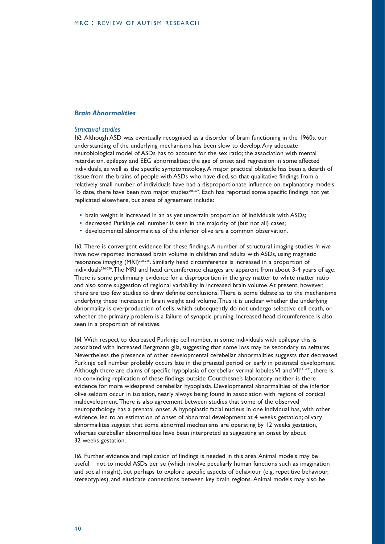#### *Brain Abnormalities*

# *Structural studies*

162. Although ASD was eventually recognised as a disorder of brain functioning in the 1960s, our understanding of the underlying mechanisms has been slow to develop.Any adequate neurobiological model of ASDs has to account for the sex ratio; the association with mental retardation, epilepsy and EEG abnormalities; the age of onset and regression in some affected individuals, as well as the specific symptomatology.A major practical obstacle has been a dearth of tissue from the brains of people with ASDs who have died, so that qualitative findings from a relatively small number of individuals have had a disproportionate influence on explanatory models. To date, there have been two major studies<sup>206,207</sup>. Each has reported some specific findings not yet replicated elsewhere, but areas of agreement include:

- brain weight is increased in an as yet uncertain proportion of individuals with ASDs;
- decreased Purkinje cell number is seen in the majority of (but not all) cases;
- developmental abnormalities of the inferior olive are a common observation.

163. There is convergent evidence for these findings.A number of structural imaging studies *in vivo* have now reported increased brain volume in children and adults with ASDs, using magnetic resonance imaging (MRI)208-215. Similarly head circumference is increased in a proportion of individuals<sup>216-220</sup>. The MRI and head circumference changes are apparent from about 3-4 years of age. There is some preliminary evidence for a disproportion in the grey matter to white matter ratio and also some suggestion of regional variability in increased brain volume.At present, however, there are too few studies to draw definite conclusions. There is some debate as to the mechanisms underlying these increases in brain weight and volume.Thus it is unclear whether the underlying abnormality is overproduction of cells, which subsequently do not undergo selective cell death, or whether the primary problem is a failure of synaptic pruning. Increased head circumference is also seen in a proportion of relatives.

164. With respect to decreased Purkinje cell number, in some individuals with epilepsy this is associated with increased Bergmann glia, suggesting that some loss may be secondary to seizures. Nevertheless the presence of other developmental cerebellar abnormalities suggests that decreased Purkinje cell number probably occurs late in the prenatal period or early in postnatal development. Although there are claims of specific hypoplasia of cerebellar vermal lobules VI and VII<sup>221-223</sup>, there is no convincing replication of these findings outside Courchesne's laboratory; neither is there evidence for more widespread cerebellar hypoplasia. Developmental abnormalities of the inferior olive seldom occur in isolation, nearly always being found in association with regions of cortical maldevelopment.There is also agreement between studies that some of the observed neuropathology has a prenatal onset. A hypoplastic facial nucleus in one individual has, with other evidence, led to an estimation of onset of abnormal development at 4 weeks gestation; olivary abnormailites suggest that some abnormal mechanisms are operating by 12 weeks gestation, whereas cerebellar abnormalities have been interpreted as suggesting an onset by about 32 weeks gestation.

165. Further evidence and replication of findings is needed in this area.Animal models may be useful – not to model ASDs per se (which involve peculiarly human functions such as imagination and social insight), but perhaps to explore specific aspects of behaviour (e.g. repetitive behaviour, stereotypies), and elucidate connections between key brain regions. Animal models may also be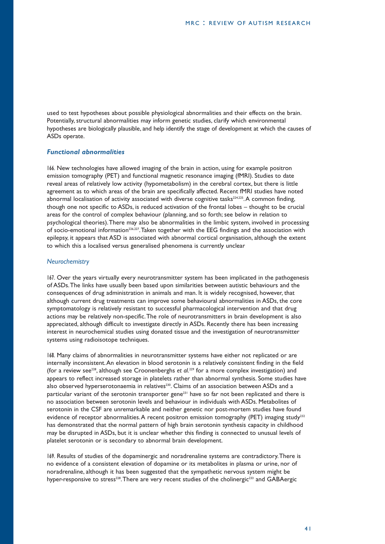used to test hypotheses about possible physiological abnormalities and their effects on the brain. Potentially, structural abnormalities may inform genetic studies, clarify which environmental hypotheses are biologically plausible, and help identify the stage of development at which the causes of ASDs operate.

#### *Functional abnormalities*

166. New technologies have allowed imaging of the brain in action, using for example positron emission tomography (PET) and functional magnetic resonance imaging (fMRI). Studies to date reveal areas of relatively low activity (hypometabolism) in the cerebral cortex, but there is little agreement as to which areas of the brain are specifically affected. Recent fMRI studies have noted abnormal localisation of activity associated with diverse cognitive tasks<sup>224,225</sup>. A common finding, though one not specific to ASDs, is reduced activation of the frontal lobes – thought to be crucial areas for the control of complex behaviour (planning, and so forth; see below in relation to psychological theories).There may also be abnormalities in the limbic system, involved in processing of socio-emotional information<sup>226,227</sup>. Taken together with the EEG findings and the association with epilepsy, it appears that ASD is associated with abnormal cortical organisation, although the extent to which this a localised versus generalised phenomena is currently unclear

#### *Neurochemistry*

167. Over the years virtually every neurotransmitter system has been implicated in the pathogenesis of ASDs.The links have usually been based upon similarities between autistic behaviours and the consequences of drug administration in animals and man. It is widely recognised, however, that although current drug treatments can improve some behavioural abnormalities in ASDs, the core symptomatology is relatively resistant to successful pharmacological intervention and that drug actions may be relatively non-specific.The role of neurotransmitters in brain development is also appreciated, although difficult to investigate directly in ASDs. Recently there has been increasing interest in neurochemical studies using donated tissue and the investigation of neurotransmitter systems using radioisotope techniques.

168. Many claims of abnormalities in neurotransmitter systems have either not replicated or are internally inconsistent.An elevation in blood serotonin is a relatively consistent finding in the field (for a review see228, although see Croonenberghs *et al*. <sup>229</sup> for a more complex investigation) and appears to reflect increased storage in platelets rather than abnormal synthesis. Some studies have also observed hyperserotonaemia in relatives<sup>230</sup>. Claims of an association between ASDs and a particular variant of the serotonin transporter gene<sup>231</sup> have so far not been replicated and there is no association between serotonin levels and behaviour in individuals with ASDs. Metabolites of serotonin in the CSF are unremarkable and neither genetic nor post-mortem studies have found evidence of receptor abnormalities. A recent positron emission tomography (PET) imaging study<sup>232</sup> has demonstrated that the normal pattern of high brain serotonin synthesis capacity in childhood may be disrupted in ASDs, but it is unclear whether this finding is connected to unusual levels of platelet serotonin or is secondary to abnormal brain development.

169. Results of studies of the dopaminergic and noradrenaline systems are contradictory.There is no evidence of a consistent elevation of dopamine or its metabolites in plasma or urine, nor of noradrenaline, although it has been suggested that the sympathetic nervous system might be hyper-responsive to stress<sup>228</sup>. There are very recent studies of the cholinergic<sup>233</sup> and GABAergic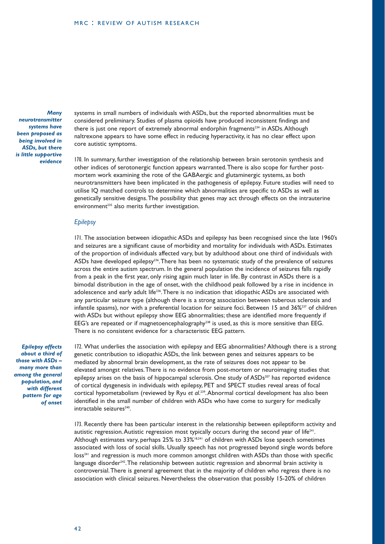#### *Many neurotransmitter systems have been proposed as being involved in ASDs, but there is little supportive evidence*

systems in small numbers of individuals with ASDs, but the reported abnormalities must be considered preliminary. Studies of plasma opioids have produced inconsistent findings and there is just one report of extremely abnormal endorphin fragments<sup>234</sup> in ASDs. Although naltrexone appears to have some effect in reducing hyperactivity, it has no clear effect upon core autistic symptoms.

170. In summary, further investigation of the relationship between brain serotonin synthesis and other indices of serotonergic function appears warranted.There is also scope for further postmortem work examining the rote of the GABAergic and glutaminergic systems, as both neurotransmitters have been implicated in the pathogenesis of epilepsy. Future studies will need to utilise IQ matched controls to determine which abnormalities are specific to ASDs as well as genetically sensitive designs.The possibility that genes may act through effects on the intrauterine environment<sup>235</sup> also merits further investigation.

#### *Epilepsy*

171. The association between idiopathic ASDs and epilepsy has been recognised since the late 1960's and seizures are a significant cause of morbidity and mortality for individuals with ASDs. Estimates of the proportion of individuals affected vary, but by adulthood about one third of individuals with ASDs have developed epilepsy<sup>236</sup>. There has been no systematic study of the prevalence of seizures across the entire autism spectrum. In the general population the incidence of seizures falls rapidly from a peak in the first year, only rising again much later in life. By contrast in ASDs there is a bimodal distribution in the age of onset, with the childhood peak followed by a rise in incidence in adolescence and early adult life<sup>236</sup>. There is no indication that idiopathic ASDs are associated with any particular seizure type (although there is a strong association between tuberous sclerosis and infantile spasms), nor with a preferential location for seizure foci. Between 15 and 36%<sup>237</sup> of children with ASDs but without epilepsy show EEG abnormalities; these are identified more frequently if EEG's are repeated or if magnetoencephalography<sup>238</sup> is used, as this is more sensitive than EEG. There is no consistent evidence for a characteristic EEG pattern.

*Epilepsy affects about a third of those with ASDs – many more than among the general population, and with different pattern for age of onset*

172. What underlies the association with epilepsy and EEG abnormalities? Although there is a strong genetic contribution to idiopathic ASDs, the link between genes and seizures appears to be mediated by abnormal brain development, as the rate of seizures does not appear to be elevated amongst relatives.There is no evidence from post-mortem or neuroimaging studies that epilepsy arises on the basis of hippocampal sclerosis. One study of ASDs<sup>207</sup> has reported evidence of cortical dysgenesis in individuals with epilepsy, PET and SPECT studies reveal areas of focal cortical hypometabolism (reviewed by Ryu *et al*. 239.Abnormal cortical development has also been identified in the small number of children with ASDs who have come to surgery for medically  $intractable$  seizures $240$ .

173. Recently there has been particular interest in the relationship between epileptiform activity and autistic regression. Autistic regression most typically occurs during the second year of life<sup>241</sup>. Although estimates vary, perhaps 25% to 33%<sup>18,241</sup> of children with ASDs lose speech sometimes associated with loss of social skills. Usually speech has not progressed beyond single words before loss<sup>241</sup> and regression is much more common amongst children with ASDs than those with specific language disorder<sup>242</sup>. The relationship between autistic regression and abnormal brain activity is controversial.There is general agreement that in the majority of children who regress there is no association with clinical seizures. Nevertheless the observation that possibly 15-20% of children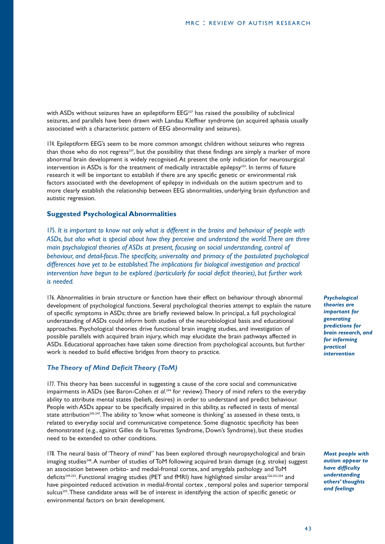with ASDs without seizures have an epileptiform EEG<sup>237</sup> has raised the possibility of subclinical seizures, and parallels have been drawn with Landau Kleffner syndrome (an acquired aphasia usually associated with a characteristic pattern of EEG abnormality and seizures).

174. Epileptiform EEG's seem to be more common amongst children without seizures who regress than those who do not regress<sup>237</sup>, but the possibility that these findings are simply a marker of more abnormal brain development is widely recognised.At present the only indication for neurosurgical intervention in ASDs is for the treatment of medically intractable epilepsy $243$ . In terms of future research it will be important to establish if there are any specific genetic or environmental risk factors associated with the development of epilepsy in individuals on the autism spectrum and to more clearly establish the relationship between EEG abnormalities, underlying brain dysfunction and autistic regression.

## **Suggested Psychological Abnormalities**

175. *It is important to know not only what is different in the brains and behaviour of people with ASDs, but also what is special about how they perceive and understand the world.There are three main psychological theories of ASDs at present, focusing on social understanding, control of behaviour, and detail-focus.The specificity, universality and primacy of the postulated psychological differences have yet to be established.The implications for biological investigation and practical intervention have begun to be explored (particularly for social deficit theories), but further work is needed.*

176. Abnormalities in brain structure or function have their effect on behaviour through abnormal development of psychological functions. Several psychological theories attempt to explain the nature of specific symptoms in ASDs; three are briefly reviewed below. In principal, a full psychological understanding of ASDs could inform both studies of the neurobiological basis and educational approaches. Psychological theories drive functional brain imaging studies, and investigation of possible parallels with acquired brain injury, which may elucidate the brain pathways affected in ASDs. Educational approaches have taken some direction from psychological accounts, but further work is needed to build effective bridges from theory to practice.

## *The Theory of Mind Deficit Theory (ToM)*

177. This theory has been successful in suggesting a cause of the core social and communicative impairments in ASDs (see Baron-Cohen *et al*. <sup>244</sup> for review).Theory of mind refers to the everyday ability to attribute mental states (beliefs, desires) in order to understand and predict behaviour. People with ASDs appear to be specifically impaired in this ability, as reflected in tests of mental state attribution<sup>245-247</sup>. The ability to 'know what someone is thinking' as assessed in these tests, is related to everyday social and communicative competence. Some diagnostic specificity has been demonstrated (e.g., against Gilles de la Tourettes Syndrome, Down's Syndrome), but these studies need to be extended to other conditions.

178. The neural basis of 'Theory of mind" has been explored through neuropsychological and brain imaging studies<sup>248</sup>.A number of studies of ToM following acquired brain damage (e.g. stroke) suggest an association between orbito- and medial-frontal cortex, and amygdala pathology and ToM deficits<sup>249,252</sup>. Functional imaging studies (PET and fMRI) have highlighted similar areas<sup>226,253,254</sup> and have pinpointed reduced activation in medial-frontal cortex , temporal poles and superior temporal sulcus<sup>255</sup>. These candidate areas will be of interest in identifying the action of specific genetic or environmental factors on brain development.

*Psychological theories are important for generating predictions for brain research, and for informing practical intervention*

*Most people with autism appear to have difficulty understanding others' thoughts and feelings*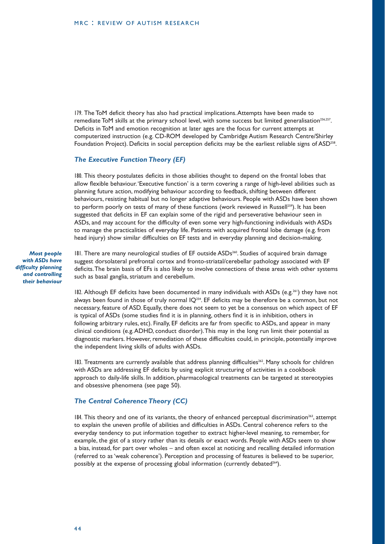179. The ToM deficit theory has also had practical implications.Attempts have been made to remediate ToM skills at the primary school level, with some success but limited generalisation<sup>256,257</sup>. Deficits in ToM and emotion recognition at later ages are the focus for current attempts at computerized instruction (e.g. CD-ROM developed by Cambridge Autism Research Centre/Shirley Foundation Project). Deficits in social perception deficits may be the earliest reliable signs of ASD<sup>258</sup>.

### *The Executive Function Theory (EF)*

180. This theory postulates deficits in those abilities thought to depend on the frontal lobes that allow flexible behaviour.'Executive function' is a term covering a range of high-level abilities such as planning future action, modifying behaviour according to feedback, shifting between different behaviours, resisting habitual but no longer adaptive behaviours. People with ASDs have been shown to perform poorly on tests of many of these functions (work reviewed in Russell<sup>259</sup>). It has been suggested that deficits in EF can explain some of the rigid and perseverative behaviour seen in ASDs, and may account for the difficulty of even some very high-functioning individuals with ASDs to manage the practicalities of everyday life. Patients with acquired frontal lobe damage (e.g. from head injury) show similar difficulties on EF tests and in everyday planning and decision-making.

*Most people with ASDs have difficulty planning and controlling their behaviour*

181. There are many neurological studies of EF outside ASDs<sup>260</sup>. Studies of acquired brain damage suggest dorsolateral prefrontal cortex and fronto-striatal/cerebellar pathology associated with EF deficits.The brain basis of EFs is also likely to involve connections of these areas with other systems such as basal ganglia, striatum and cerebellum.

182. Although EF deficits have been documented in many individuals with ASDs (e.g.<sup>261</sup>) they have not always been found in those of truly normal  $IQ<sup>254</sup>$ . EF deficits may be therefore be a common, but not necessary, feature of ASD. Equally, there does not seem to yet be a consensus on which aspect of EF is typical of ASDs (some studies find it is in planning, others find it is in inhibition, others in following arbitrary rules, etc). Finally, EF deficits are far from specific to ASDs, and appear in many clinical conditions (e.g.ADHD, conduct disorder).This may in the long run limit their potential as diagnostic markers. However, remediation of these difficulties could, in principle, potentially improve the independent living skills of adults with ASDs.

183. Treatments are currently available that address planning difficulties<sup>262</sup>. Many schools for children with ASDs are addressing EF deficits by using explicit structuring of activities in a cookbook approach to daily-life skills. In addition, pharmacological treatments can be targeted at stereotypies and obsessive phenomena (see page 50).

## *The Central Coherence Theory (CC)*

 $184$ . This theory and one of its variants, the theory of enhanced perceptual discrimination<sup>263</sup>, attempt to explain the uneven profile of abilities and difficulties in ASDs. Central coherence refers to the everyday tendency to put information together to extract higher-level meaning, to remember, for example, the gist of a story rather than its details or exact words. People with ASDs seem to show a bias, instead, for part over wholes – and often excel at noticing and recalling detailed information (referred to as 'weak coherence'). Perception and processing of features is believed to be superior, possibly at the expense of processing global information (currently debated<sup>264</sup>).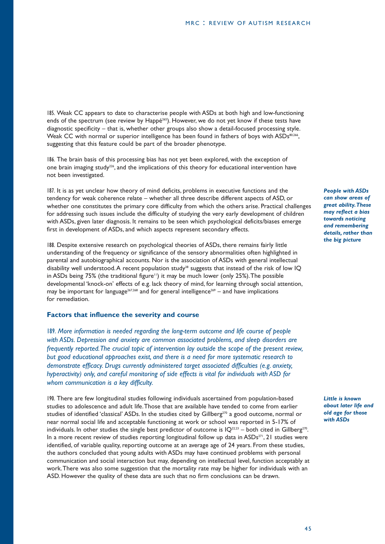185. Weak CC appears to date to characterise people with ASDs at both high and low-functioning ends of the spectrum (see review by Happé<sup>265</sup>). However, we do not yet know if these tests have diagnostic specificity – that is, whether other groups also show a detail-focused processing style. Weak CC with normal or superior intelligence has been found in fathers of boys with ASDs<sup>80,266</sup>, suggesting that this feature could be part of the broader phenotype.

186. The brain basis of this processing bias has not yet been explored, with the exception of one brain imaging study<sup>226</sup>, and the implications of this theory for educational intervention have not been investigated.

187. It is as yet unclear how theory of mind deficits, problems in executive functions and the tendency for weak coherence relate – whether all three describe different aspects of ASD, or whether one constitutes the primary core difficulty from which the others arise. Practical challenges for addressing such issues include the difficulty of studying the very early development of children with ASDs, given later diagnosis. It remains to be seen which psychological deficits/biases emerge first in development of ASDs, and which aspects represent secondary effects.

188. Despite extensive research on psychological theories of ASDs, there remains fairly little understanding of the frequency or significance of the sensory abnormalities often highlighted in parental and autobiographical accounts. Nor is the association of ASDs with general intellectual disability well understood. A recent population study<sup>38</sup> suggests that instead of the risk of low IQ in ASDs being 75% (the traditional figure<sup>11</sup>) it may be much lower (only 25%). The possible developmental 'knock-on' effects of e.g. lack theory of mind, for learning through social attention, may be important for language<sup>267,268</sup> and for general intelligence<sup>269</sup> – and have implications for remediation.

## **Factors that influence the severity and course**

189. *More information is needed regarding the long-term outcome and life course of people with ASDs. Depression and anxiety are common associated problems, and sleep disorders are frequently reported.The crucial topic of intervention lay outside the scope of the present review, but good educational approaches exist, and there is a need for more systematic research to demonstrate efficacy. Drugs currently administered target associated difficulties (e.g. anxiety, hyperactivity) only, and careful monitoring of side effects is vital for individuals with ASD for whom communication is a key difficulty.*

190. There are few longitudinal studies following individuals ascertained from population-based studies to adolescence and adult life.Those that are available have tended to come from earlier studies of identified 'classical' ASDs. In the studies cited by Gillberg<sup>270</sup> a good outcome, normal or near normal social life and acceptable functioning at work or school was reported in 5-17% of individuals. In other studies the single best predictor of outcome is  $IQ^{22,23}$  – both cited in Gillberg<sup>270</sup>. In a more recent review of studies reporting longitudinal follow up data in ASDs<sup>271</sup>, 21 studies were identified, of variable quality, reporting outcome at an average age of 24 years. From these studies, the authors concluded that young adults with ASDs may have continued problems with personal communication and social interaction but may, depending on intellectual level, function acceptably at work.There was also some suggestion that the mortality rate may be higher for individuals with an ASD. However the quality of these data are such that no firm conclusions can be drawn.

*People with ASDs can show areas of great ability.These may reflect a bias towards noticing and remembering details, rather than the big picture*

*Little is known about later life and old age for those with ASDs*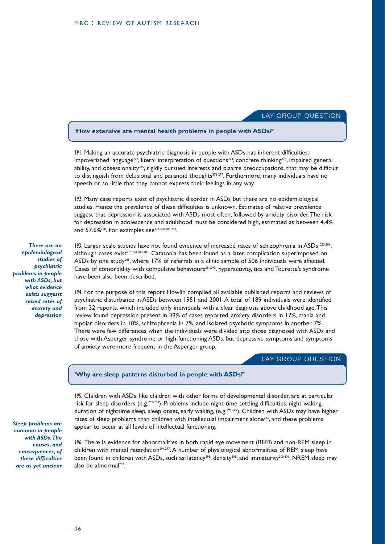# LAY GROUP QUESTION

#### **'How extensive are mental health problems in people with ASDs?'**

191. Making an accurate psychiatric diagnosis in people with ASDs has inherent difficulties: impoverished language<sup>272</sup>, literal interpretation of questions<sup>273</sup>, concrete thinking<sup>274</sup>, impaired general ability, and obsessionality $275$ , rigidly pursued interests and bizarre preoccupations, that may be difficult to distinguish from delusional and paranoid thoughts<sup> $276-279$ </sup>. Furthermore, many individuals have no speech or so little that they cannot express their feelings in any way.

192. Many case reports exist of psychiatric disorder in ASDs but there are no epidemiological studies. Hence the prevalence of these difficulties is unknown. Estimates of relative prevalence suggest that depression is associated with ASDs most often, followed by anxiety disorder.The risk for depression in adolescence and adulthood must be considered high, estimated as between 4.4% and 57.6%<sup>280</sup>. For examples see<sup>276,278,281,282</sup>.

193. Larger scale studies have not found evidence of increased rates of schizophrenia in ASDs<sup>283,284</sup>, although cases exist<sup>275,278,285-288</sup>. Catatonia has been found as a later complication superimposed on ASDs by one study<sup>289</sup>, where 17% of referrals in a clinic sample of 506 individuals were affected. Cases of comorbidity with compulsive behaviours<sup>281,290</sup>, hyperactivity, tics and Tourette's syndrome have been also been described.

194. For the purpose of this report Howlin compiled all available published reports and reviews of psychiatric disturbance in ASDs between 1951 and 2001.A total of 189 individuals were identified from 32 reports, which included only individuals with a clear diagnosis above childhood age.This review found depression present in 39% of cases reported, anxiety disorders in 17%, mania and bipolar disorders in 10%, schizophrenia in 7%, and isolated psychotic symptoms in another 7%. There were few differences when the individuals were divided into those diagnosed with ASDs and those with Asperger syndrome or high-functioning ASDs, but depressive symptoms and symptoms of anxiety were more frequent in the Asperger group.

#### LAY GROUP QUESTION

# **'Why are sleep patterns disturbed in people with ASDs?'**

195. Children with ASDs, like children with other forms of developmental disorder, are at particular risk for sleep disorders (e.g.<sup>291-293</sup>). Problems include night-time settling difficulties, night waking, duration of nighttime sleep, sleep onset, early waking, (e.g.<sup>294,295</sup>). Children with ASDs may have higher rates of sleep problems than children with intellectual impairment alone<sup>292</sup>, and these problems appear to occur at all levels of intellectual functioning.

196. There is evidence for abnormalities in both rapid eye movement (REM) and non-REM sleep in children with mental retardation<sup>294,297</sup>. A number of physiological abnormalities of REM sleep have been found in children with ASDs, such as: latency<sup>298</sup>; density<sup>299</sup>; and immaturity<sup>300,301</sup>. NREM sleep may also be abnormal<sup>297</sup>.

*There are no epidemiological studies of psychiatric problems in people with ASDs, but what evidence exists suggests raised rates of anxiety and depression*

*Sleep problems are common in people with ASDs.The causes, and consequences, of these difficulties are as yet unclear*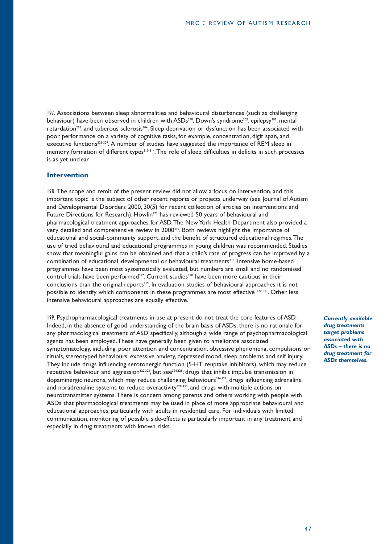197. Associations between sleep abnormalities and behavioural disturbances (such as challenging behaviour) have been observed in children with ASDs<sup>298</sup>, Down's syndrome<sup>302</sup>, epilepsy<sup>303</sup>, mental retardation<sup>292</sup>, and tuberous sclerosis<sup>304</sup>. Sleep deprivation or dysfunction has been associated with poor performance on a variety of cognitive tasks, for example, concentration, digit span, and executive functions<sup>305.309</sup>. A number of studies have suggested the importance of REM sleep in memory formation of different types310-314.The role of sleep difficulties in deficits in such processes is as yet unclear.

#### **Intervention**

198. The scope and remit of the present review did not allow a focus on intervention, and this important topic is the subject of other recent reports or projects underway (see Journal of Autism and Developmental Disorders 2000, 30(5) for recent collection of articles on Interventions and Future Directions for Research). Howlin<sup>272</sup> has reviewed 50 years of behavioural and pharmacological treatment approaches for ASD.The New York Health Department also provided a very detailed and comprehensive review in 2000<sup>315</sup>. Both reviews highlight the importance of educational and social-community support, and the benefit of structured educational regimes.The use of tried behavioural and educational programmes in young children was recommended. Studies show that meaningful gains can be obtained and that a child's rate of progress can be improved by a combination of educational, developmental or behavioural treatments<sup>316</sup>. Intensive home-based programmes have been most systematically evaluated, but numbers are small and no randomised control trials have been performed<sup>317</sup>. Current studies<sup>318</sup> have been more cautious in their conclusions than the original reports<sup>319</sup>. In evaluation studies of behavioural approaches it is not possible to identify which components in these programmes are most effective 320, 321. Other less intensive behavioural approaches are equally effective.

199. Psychopharmacological treatments in use at present do not treat the core features of ASD. Indeed, in the absence of good understanding of the brain basis of ASDs, there is no rationale for any pharmacological treatment of ASD specifically, although a wide range of psychopharmacological agents has been employed.These have generally been given to ameliorate associated symptomatology, including: poor attention and concentration, obsessive phenomena, compulsions or rituals, stereotyped behaviours, excessive anxiety, depressed mood, sleep problems and self injury. They include drugs influencing serotonergic function (5-HT reuptake inhibitors), which may reduce repetitive behaviour and aggression $322,323$ , but see $324,325$ ; drugs that inhibit impulse transmission in dopaminergic neurons, which may reduce challenging behaviours<sup>326,327</sup>; drugs influencing adrenaline and noradrenaline systems to reduce overactivity<sup>328-330</sup>; and drugs with multiple actions on neurotransmitter systems.There is concern among parents and others working with people with ASDs that pharmacological treatments may be used in place of more appropriate behavioural and educational approaches, particularly with adults in residential care. For individuals with limited communication, monitoring of possible side-effects is particularly important in any treatment and especially in drug treatments with known risks.

*Currently available drug treatments target problems associated with ASDs – there is no drug treatment for ASDs themselves.*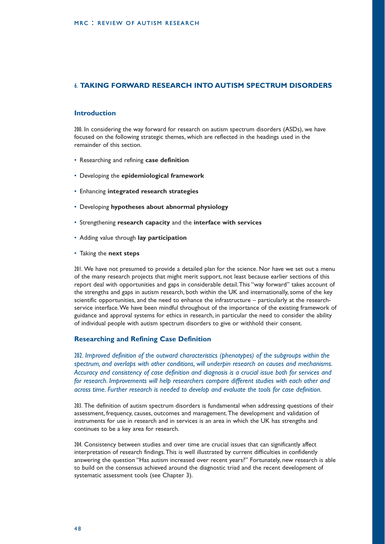## 6. **TAKING FORWARD RESEARCH INTO AUTISM SPECTRUM DISORDERS**

## **Introduction**

200. In considering the way forward for research on autism spectrum disorders (ASDs), we have focused on the following strategic themes, which are reflected in the headings used in the remainder of this section.

- Researching and refining **case definition**
- Developing the **epidemiological framework**
- Enhancing **integrated research strategies**
- Developing **hypotheses about abnormal physiology**
- Strengthening **research capacity** and the **interface with services**
- Adding value through **lay participation**
- Taking the **next steps**

201. We have not presumed to provide a detailed plan for the science. Nor have we set out a menu of the many research projects that might merit support, not least because earlier sections of this report deal with opportunities and gaps in considerable detail.This "way forward" takes account of the strengths and gaps in autism research, both within the UK and internationally, some of the key scientific opportunities, and the need to enhance the infrastructure – particularly at the researchservice interface.We have been mindful throughout of the importance of the existing framework of guidance and approval systems for ethics in research, in particular the need to consider the ability of individual people with autism spectrum disorders to give or withhold their consent.

## **Researching and Refining Case Definition**

202. *Improved definition of the outward characteristics (phenotypes) of the subgroups within the spectrum, and overlaps with other conditions, will underpin research on causes and mechanisms. Accuracy and consistency of case definition and diagnosis is a crucial issue both for services and for research. Improvements will help researchers compare different studies with each other and across time. Further research is needed to develop and evaluate the tools for case definition.*

203. The definition of autism spectrum disorders is fundamental when addressing questions of their assessment, frequency, causes, outcomes and management.The development and validation of instruments for use in research and in services is an area in which the UK has strengths and continues to be a key area for research.

204. Consistency between studies and over time are crucial issues that can significantly affect interpretation of research findings.This is well illustrated by current difficulties in confidently answering the question "Has autism increased over recent years?" Fortunately, new research is able to build on the consensus achieved around the diagnostic triad and the recent development of systematic assessment tools (see Chapter 3).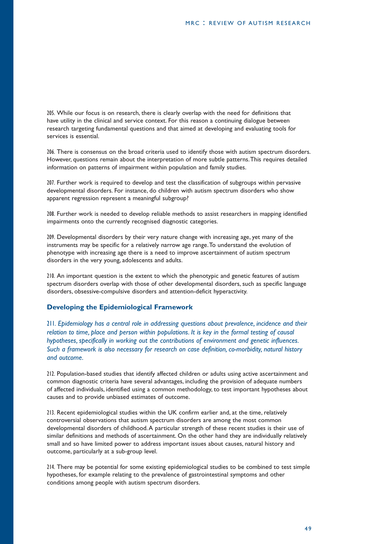205. While our focus is on research, there is clearly overlap with the need for definitions that have utility in the clinical and service context. For this reason a continuing dialogue between research targeting fundamental questions and that aimed at developing and evaluating tools for services is essential.

206. There is consensus on the broad criteria used to identify those with autism spectrum disorders. However, questions remain about the interpretation of more subtle patterns.This requires detailed information on patterns of impairment within population and family studies.

207. Further work is required to develop and test the classification of subgroups within pervasive developmental disorders. For instance, do children with autism spectrum disorders who show apparent regression represent a meaningful subgroup?

208. Further work is needed to develop reliable methods to assist researchers in mapping identified impairments onto the currently recognised diagnostic categories.

209. Developmental disorders by their very nature change with increasing age, yet many of the instruments may be specific for a relatively narrow age range.To understand the evolution of phenotype with increasing age there is a need to improve ascertainment of autism spectrum disorders in the very young, adolescents and adults.

210. An important question is the extent to which the phenotypic and genetic features of autism spectrum disorders overlap with those of other developmental disorders, such as specific language disorders, obsessive-compulsive disorders and attention-deficit hyperactivity.

#### **Developing the Epidemiological Framework**

211. *Epidemiology has a central role in addressing questions about prevalence, incidence and their relation to time, place and person within populations. It is key in the formal testing of causal hypotheses, specifically in working out the contributions of environment and genetic influences. Such a framework is also necessary for research on case definition, co-morbidity, natural history and outcome.*

212. Population-based studies that identify affected children or adults using active ascertainment and common diagnostic criteria have several advantages, including the provision of adequate numbers of affected individuals, identified using a common methodology, to test important hypotheses about causes and to provide unbiased estimates of outcome.

213. Recent epidemiological studies within the UK confirm earlier and, at the time, relatively controversial observations that autism spectrum disorders are among the most common developmental disorders of childhood.A particular strength of these recent studies is their use of similar definitions and methods of ascertainment. On the other hand they are individually relatively small and so have limited power to address important issues about causes, natural history and outcome, particularly at a sub-group level.

214. There may be potential for some existing epidemiological studies to be combined to test simple hypotheses, for example relating to the prevalence of gastrointestinal symptoms and other conditions among people with autism spectrum disorders.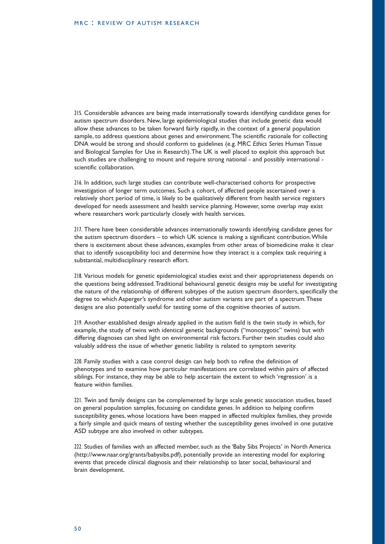215. Considerable advances are being made internationally towards identifying candidate genes for autism spectrum disorders. New, large epidemiological studies that include genetic data would allow these advances to be taken forward fairly rapidly, in the context of a general population sample, to address questions about genes and environment.The scientific rationale for collecting DNA would be strong and should conform to guidelines (e.g. MRC *Ethics Series* Human Tissue and Biological Samples for Use in Research).The UK is well placed to exploit this approach but such studies are challenging to mount and require strong national - and possibly international scientific collaboration.

216. In addition, such large studies can contribute well-characterised cohorts for prospective investigation of longer term outcomes. Such a cohort, of affected people ascertained over a relatively short period of time, is likely to be qualitatively different from health service registers developed for needs assessment and health service planning. However, some overlap may exist where researchers work particularly closely with health services.

217. There have been considerable advances internationally towards identifying candidate genes for the autism spectrum disorders – to which UK science is making a significant contribution.While there is excitement about these advances, examples from other areas of biomedicine make it clear that to identify susceptibility loci and determine how they interact is a complex task requiring a substantial, multidisciplinary research effort.

218. Various models for genetic epidemiological studies exist and their appropriateness depends on the questions being addressed.Traditional behavioural genetic designs may be useful for investigating the nature of the relationship of different subtypes of the autism spectrum disorders, specifically the degree to which Asperger's syndrome and other autism variants are part of a spectrum.These designs are also potentially useful for testing some of the cognitive theories of autism.

219. Another established design already applied in the autism field is the twin study in which, for example, the study of twins with identical genetic backgrounds ("monozygotic" twins) but with differing diagnoses can shed light on environmental risk factors. Further twin studies could also valuably address the issue of whether genetic liability is related to symptom severity.

220. Family studies with a case control design can help both to refine the definition of phenotypes and to examine how particular manifestations are correlated within pairs of affected siblings. For instance, they may be able to help ascertain the extent to which 'regression' is a feature within families.

221. Twin and family designs can be complemented by large scale genetic association studies, based on general population samples, focussing on candidate genes. In addition to helping confirm susceptibility genes, whose locations have been mapped in affected multiplex families, they provide a fairly simple and quick means of testing whether the susceptibility genes involved in one putative ASD subtype are also involved in other subtypes.

222. Studies of families with an affected member, such as the 'Baby Sibs Projects' in North America (http://www.naar.org/grants/babysibs.pdf), potentially provide an interesting model for exploring events that precede clinical diagnosis and their relationship to later social, behavioural and brain development.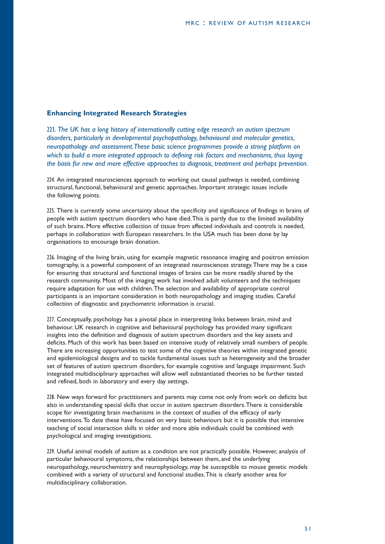## **Enhancing Integrated Research Strategies**

223. *The UK has a long history of internationally cutting edge research on autism spectrum disorders, particularly in developmental psychopathology, behavioural and molecular genetics, neuropathology and assessment.These basic science programmes provide a strong platform on which to build a more integrated approach to defining risk factors and mechanisms, thus laying the basis for new and more effective approaches to diagnosis, treatment and perhaps prevention.*

224. An integrated neurosciences approach to working out causal pathways is needed, combining structural, functional, behavioural and genetic approaches. Important strategic issues include the following points.

225. There is currently some uncertainty about the specificity and significance of findings in brains of people with autism spectrum disorders who have died.This is partly due to the limited availability of such brains. More effective collection of tissue from affected individuals and controls is needed, perhaps in collaboration with European researchers. In the USA much has been done by lay organisations to encourage brain donation.

226. Imaging of the living brain, using for example magnetic resonance imaging and positron emission tomography, is a powerful component of an integrated neurosciences strategy.There may be a case for ensuring that structural and functional images of brains can be more readily shared by the research community. Most of the imaging work has involved adult volunteers and the techniques require adaptation for use with children.The selection and availability of appropriate control participants is an important consideration in both neuropathology and imaging studies. Careful collection of diagnostic and psychometric information is crucial.

227. Conceptually, psychology has a pivotal place in interpreting links between brain, mind and behaviour. UK research in cognitive and behavioural psychology has provided many significant insights into the definition and diagnosis of autism spectrum disorders and the key assets and deficits. Much of this work has been based on intensive study of relatively small numbers of people. There are increasing opportunities to test some of the cognitive theories within integrated genetic and epidemiological designs and to tackle fundamental issues such as heterogeneity and the broader set of features of autism spectrum disorders, for example cognitive and language impairment. Such integrated multidisciplinary approaches will allow well substantiated theories to be further tested and refined, both in laboratory and every day settings.

228. New ways forward for practitioners and parents may come not only from work on deficits but also in understanding special skills that occur in autism spectrum disorders.There is considerable scope for investigating brain mechanisms in the context of studies of the efficacy of early interventions.To date these have focused on very basic behaviours but it is possible that intensive teaching of social interaction skills in older and more able individuals could be combined with psychological and imaging investigations.

229. Useful animal models of autism as a condition are not practically possible. However, analysis of particular behavioural symptoms, the relationships between them, and the underlying neuropathology, neurochemistry and neurophysiology, may be susceptible to mouse genetic models combined with a variety of structural and functional studies.This is clearly another area for multidisciplinary collaboration.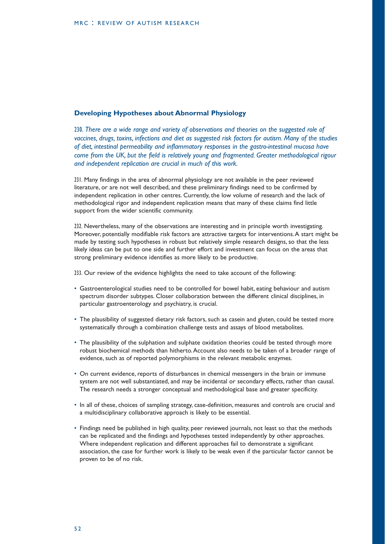#### **Developing Hypotheses about Abnormal Physiology**

230. *There are a wide range and variety of observations and theories on the suggested role of vaccines, drugs, toxins, infections and diet as suggested risk factors for autism. Many of the studies of diet, intestinal permeability and inflammatory responses in the gastro-intestinal mucosa have come from the UK, but the field is relatively young and fragmented. Greater methodological rigour and independent replication are crucial in much of this work.*

231. Many findings in the area of abnormal physiology are not available in the peer reviewed literature, or are not well described, and these preliminary findings need to be confirmed by independent replication in other centres. Currently, the low volume of research and the lack of methodological rigor and independent replication means that many of these claims find little support from the wider scientific community.

232. Nevertheless, many of the observations are interesting and in principle worth investigating. Moreover, potentially modifiable risk factors are attractive targets for interventions.A start might be made by testing such hypotheses in robust but relatively simple research designs, so that the less likely ideas can be put to one side and further effort and investment can focus on the areas that strong preliminary evidence identifies as more likely to be productive.

233. Our review of the evidence highlights the need to take account of the following:

- Gastroenterological studies need to be controlled for bowel habit, eating behaviour and autism spectrum disorder subtypes. Closer collaboration between the different clinical disciplines, in particular gastroenterology and psychiatry, is crucial.
- The plausibility of suggested dietary risk factors, such as casein and gluten, could be tested more systematically through a combination challenge tests and assays of blood metabolites.
- The plausibility of the sulphation and sulphate oxidation theories could be tested through more robust biochemical methods than hitherto.Account also needs to be taken of a broader range of evidence, such as of reported polymorphisms in the relevant metabolic enzymes.
- On current evidence, reports of disturbances in chemical messengers in the brain or immune system are not well substantiated, and may be incidental or secondary effects, rather than causal. The research needs a stronger conceptual and methodological base and greater specificity.
- In all of these, choices of sampling strategy, case-definition, measures and controls are crucial and a multidisciplinary collaborative approach is likely to be essential.
- Findings need be published in high quality, peer reviewed journals, not least so that the methods can be replicated and the findings and hypotheses tested independently by other approaches. Where independent replication and different approaches fail to demonstrate a significant association, the case for further work is likely to be weak even if the particular factor cannot be proven to be of no risk.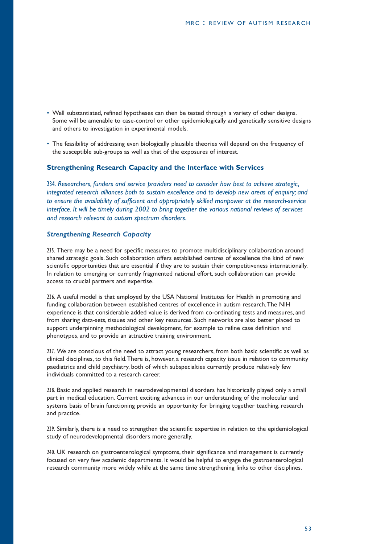- Well substantiated, refined hypotheses can then be tested through a variety of other designs. Some will be amenable to case-control or other epidemiologically and genetically sensitive designs and others to investigation in experimental models.
- The feasibility of addressing even biologically plausible theories will depend on the frequency of the susceptible sub-groups as well as that of the exposures of interest.

# **Strengthening Research Capacity and the Interface with Services**

234. *Researchers, funders and service providers need to consider how best to achieve strategic, integrated research alliances both to sustain excellence and to develop new areas of enquiry; and to ensure the availability of sufficient and appropriately skilled manpower at the research-service interface. It will be timely during 2002 to bring together the various national reviews of services and research relevant to autism spectrum disorders.*

# *Strengthening Research Capacity*

235. There may be a need for specific measures to promote multidisciplinary collaboration around shared strategic goals. Such collaboration offers established centres of excellence the kind of new scientific opportunities that are essential if they are to sustain their competitiveness internationally. In relation to emerging or currently fragmented national effort, such collaboration can provide access to crucial partners and expertise.

236. A useful model is that employed by the USA National Institutes for Health in promoting and funding collaboration between established centres of excellence in autism research.The NIH experience is that considerable added value is derived from co-ordinating tests and measures, and from sharing data-sets, tissues and other key resources. Such networks are also better placed to support underpinning methodological development, for example to refine case definition and phenotypes, and to provide an attractive training environment.

237. We are conscious of the need to attract young researchers, from both basic scientific as well as clinical disciplines, to this field.There is, however, a research capacity issue in relation to community paediatrics and child psychiatry, both of which subspecialties currently produce relatively few individuals committed to a research career.

238. Basic and applied research in neurodevelopmental disorders has historically played only a small part in medical education. Current exciting advances in our understanding of the molecular and systems basis of brain functioning provide an opportunity for bringing together teaching, research and practice.

239. Similarly, there is a need to strengthen the scientific expertise in relation to the epidemiological study of neurodevelopmental disorders more generally.

240. UK research on gastroenterological symptoms, their significance and management is currently focused on very few academic departments. It would be helpful to engage the gastroenterological research community more widely while at the same time strengthening links to other disciplines.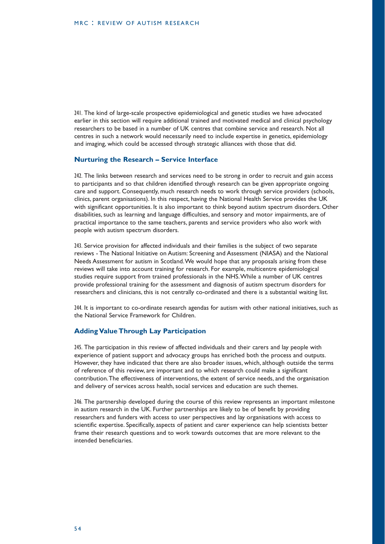241. The kind of large-scale prospective epidemiological and genetic studies we have advocated earlier in this section will require additional trained and motivated medical and clinical psychology researchers to be based in a number of UK centres that combine service and research. Not all centres in such a network would necessarily need to include expertise in genetics, epidemiology and imaging, which could be accessed through strategic alliances with those that did.

#### **Nurturing the Research – Service Interface**

242. The links between research and services need to be strong in order to recruit and gain access to participants and so that children identified through research can be given appropriate ongoing care and support. Consequently, much research needs to work through service providers (schools, clinics, parent organisations). In this respect, having the National Health Service provides the UK with significant opportunities. It is also important to think beyond autism spectrum disorders. Other disabilities, such as learning and language difficulties, and sensory and motor impairments, are of practical importance to the same teachers, parents and service providers who also work with people with autism spectrum disorders.

243. Service provision for affected individuals and their families is the subject of two separate reviews - The National Initiative on Autism: Screening and Assessment (NIASA) and the National Needs Assessment for autism in Scotland.We would hope that any proposals arising from these reviews will take into account training for research. For example, multicentre epidemiological studies require support from trained professionals in the NHS.While a number of UK centres provide professional training for the assessment and diagnosis of autism spectrum disorders for researchers and clinicians, this is not centrally co-ordinated and there is a substantial waiting list.

244. It is important to co-ordinate research agendas for autism with other national initiatives, such as the National Service Framework for Children.

## **Adding Value Through Lay Participation**

245. The participation in this review of affected individuals and their carers and lay people with experience of patient support and advocacy groups has enriched both the process and outputs. However, they have indicated that there are also broader issues, which, although outside the terms of reference of this review, are important and to which research could make a significant contribution.The effectiveness of interventions, the extent of service needs, and the organisation and delivery of services across health, social services and education are such themes.

246. The partnership developed during the course of this review represents an important milestone in autism research in the UK. Further partnerships are likely to be of benefit by providing researchers and funders with access to user perspectives and lay organisations with access to scientific expertise. Specifically, aspects of patient and carer experience can help scientists better frame their research questions and to work towards outcomes that are more relevant to the intended beneficiaries.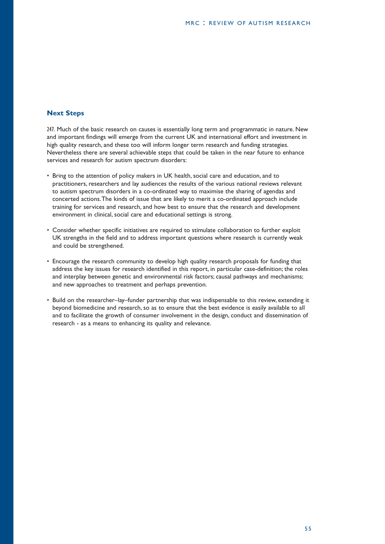## **Next Steps**

247. Much of the basic research on causes is essentially long term and programmatic in nature. New and important findings will emerge from the current UK and international effort and investment in high quality research, and these too will inform longer term research and funding strategies. Nevertheless there are several achievable steps that could be taken in the near future to enhance services and research for autism spectrum disorders:

- Bring to the attention of policy makers in UK health, social care and education, and to practitioners, researchers and lay audiences the results of the various national reviews relevant to autism spectrum disorders in a co-ordinated way to maximise the sharing of agendas and concerted actions.The kinds of issue that are likely to merit a co-ordinated approach include training for services and research, and how best to ensure that the research and development environment in clinical, social care and educational settings is strong.
- Consider whether specific initiatives are required to stimulate collaboration to further exploit UK strengths in the field and to address important questions where research is currently weak and could be strengthened.
- Encourage the research community to develop high quality research proposals for funding that address the key issues for research identified in this report, in particular case-definition; the roles and interplay between genetic and environmental risk factors; causal pathways and mechanisms; and new approaches to treatment and perhaps prevention.
- Build on the researcher–lay–funder partnership that was indispensable to this review, extending it beyond biomedicine and research, so as to ensure that the best evidence is easily available to all and to facilitate the growth of consumer involvement in the design, conduct and dissemination of research - as a means to enhancing its quality and relevance.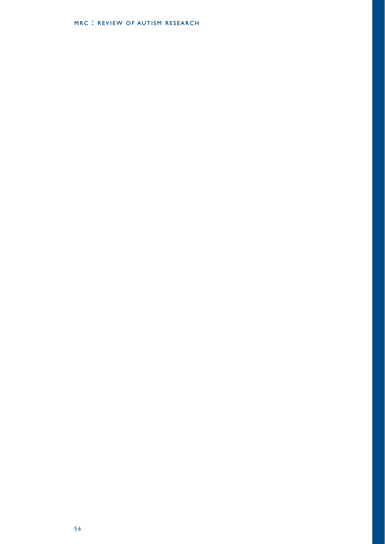# MRC : REVIEW OF AUTISM RESEARCH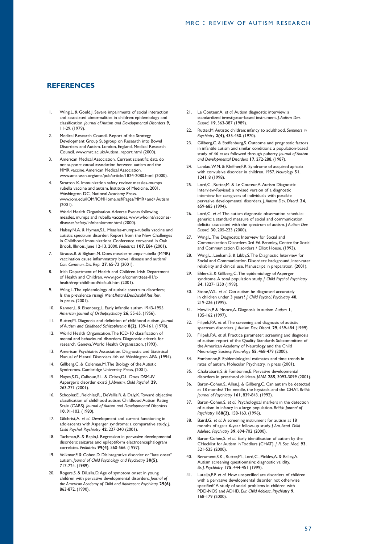## **REFERENCES**

- 1. Wing,L. & Gould,J. Severe impairments of social interaction and associated abnormalities in children: epidemiology and classification. *Journal of Autism and Developmental Disorders* **9**, 11-29. (1979).
- 2. Medical Research Council. Report of the Strategy Development Group Subgroup on Research into Bowel Disorders and Autism. London, England, Medical Research Council. www.mrc.ac.uk/Autism\_report.html (2000).
- 3. American Medical Association. Current scientific data do not support causal association between autism and the MMR vaccine.American Medical Association. www.ama-assn.org/ama/pub/article/1824-2080.html (2000).
- 4. Stratton K. Immunization safety review: measles-mumps rubella vaccine and autism. Institute of Medicine. 2001. Washington DC, National Academy Press. www.iom.edu/IOM/IOMHome.nsf/Pages/MMR+and+Autism (2001).
- 5. World Health Organisation.Adverse Events following measles, mumps and rubella vaccines. www.who.int/vaccinesdiseases/safety/infobank/mmr.html (2000).
- 6. Halsey,N.A. & Hyman,S.L. Measles-mumps-rubella vaccine and autistic spectrum disorder: Report from the New Challenges in Childhood Immunizations Conference convened in Oak Brook, Illinois, June 12-13, 2000. *Pediatrics* **107**, E84 (2001).
- 7. Strauss,B. & Bigham,M. Does measles-mumps-rubella (MMR) vaccination cause inflammatory bowel disease and autism? *Can. Commun. Dis. Rep.* **27**, 65-72 (2001).
- 8. Irish Department of Health and Children. Irish Department of Health and Children. www.gov.ie/committees-01/chealth/rep-childhood/default.htm (2001).
- 9. Wing,L.The epidemiology of autistic spectrum disorders; Is the prevalence rising? *Ment.Retard.Dev.Disabil.Res.Rev*. in press. (2001).
- 10. Kanner,L. & Eisenberg,L. Early infantile autism 1943-1955. *American Journal of Orthopsychiatry* **26**, 55-65. (1956).
- 11. Rutter,M. Diagnosis and definition of childhood autism. *Journal of Autism and Childhood Schizophrenia* **8(2)**, 139-161. (1978).
- 12. World Health Organisation.The ICD-10 classification of mental and behavioural disorders. Diagnostic criteria for research. Geneva,World Health Organisation. (1993).
- 13. American Psychiatric Association. Diagnostic and Statistical Manual of Mental Disorders 4th ed.Washington,APA. (1994).
- 14. Gillberg,C. & Coleman,M.The Biology of the Autistic Syndromes. Cambridge University Press, (2001)
- 15. Mayes,S.D., Calhoun,S.L. & Crites,D.L. Does DSM-IV Asperger's disorder exist? *J.Abnorm. Child Psychol.* **29**, 263-271 (2001).
- Schopler,E., Reichler,R., DeVellis,R. & Daly,K. Toward objective classification of childhood autism: Childhood Autism Rating Scale (CARS). *Journal of Autism and Developmental Disorders* **10**, 91-103. (1980).
- Gilchrist, A. et al. Development and current functioning in adolescents with Asperger syndrome: a comparative study. *J. Child Psychol. Psychiatry* **42**, 227-240 (2001).
- 18. Tuchman, R. & Rapin, I. Regression in pervasive developmental disorders: seizures and epileptiform electroencephalogram correlates. *Pediatrics* **99(4)**, 560-566. (1997).
- 19. Volkmar,F. & Cohen,D. Disintegrative disorder or "late onset" autism. *Journal of Child Psychology and Psychiatry* **30(5)**, 717-724. (1989).
- 20. Rogers,S. & DiLalla,D.Age of symptom onset in young children with pervasive developmental disorders. *Journal of the American Academy of Child and Adolescent Psychiatry* **29(6)**, 863-872. (1990).
- 21. Le Couteur,A. *et al.* Autism diagnostic interview: a standardized investigator-based instrument. *J.Autism Dev. Disord.* **19**, 363-387 (1989).
- 22. Rutter,M.Autistic children: infancy to adulthood. *Seminars in Psychiatry* **2(4)**, 435-450. (1970).
- 23. Gillberg,C. & Steffenburg,S. Outcome and prognostic factors in infantile autism and similar conditions: a population-based study of 46 cases followed through puberty. *Journal of Autism and Developmental Disorders* **17**, 272-288. (1987).
- 24. Landau,W.M. & Kleffner,F.R. Syndrome of acquired aphasia with convulsive disorder in children. 1957. *Neurology* **51**, 1241, 8 (1998).
- 25. Lord,C., Rutter,M. & Le Couteur,A.Autism Diagnostic Interview-Revised: a revised version of a diagnostic interview for caregivers of individuals with possible pervasive developmental disorders. *J.Autism Dev. Disord.* **24**, 659-685 (1994).
- 26. Lord,C. *et al.* The autism diagnostic observation schedulegeneric: a standard measure of social and communication deficits associated with the spectrum of autism. *J Autism Dev. Disord.* **30**, 205-223 (2000).
- 27. Wing,L.The Diagnostic Interview for Social and Communication Disorders 3rd Ed. Bromley, Centre for Social and Communication Disorders / Elliot House. (1993).
- 28. Wing,L., Leekam,S. & Libby,S.The Diagnostic Interview for Social and Communication Disorders: background, inter-rater reliability and clinical use. Manuscript in preparation. (2001).
- 29. Ehlers, S. & Gillberg, C. The epidemiology of Asperger syndrome.A total population study. *J. Child Psychol. Psychiatry* **34**, 1327-1350 (1993).
- 30. Stone,W.L. *et al.* Can autism be diagnosed accurately in children under 3 years? *J. Child Psychol. Psychiatry* **40**, 219-226 (1999).
- 31. Howlin,P. & Moore,A. Diagnosis in autism. *Autism* **1**, 135-162 (1997).
- 32. Filipek,P.A. *et al.* The screening and diagnosis of autistic spectrum disorders. *J.Autism Dev. Disord.* **29**, 439-484 (1999).
- 33. Filipek,P.A. *et al.* Practice parameter: screening and diagnosis of autism: report of the Quality Standards Subcommittee of the American Academy of Neurology and the Child Neurology Society. *Neurology* **55**, 468-479 (2000).
- 34. Fombonne,E. Epidemiological estimates and time trends in rates of autism. Molecular Psychiatry. in press (2001).
- 35. Chakrabarti,S. & Fombonne,E. Pervasive developmental disorders in preschool children. *JAMA* **285**, 3093-3099 (2001).
- 36. Baron-Cohen,S.,Allen,J. & Gillberg,C. Can autism be detected at 18 months? The needle, the haystack, and the CHAT. *British Journal of Psychiatry* **161**, 839-843. (1992).
- 37. Baron-Cohen,S. *et al.* Psychological markers in the detection of autism in infancy in a large population. *British Journal of Psychiatry* **168(2)**, 158-163. (1996).
- 38. Baird,G. *et al.* A screening instrument for autism at 18 months of age: a 6-year follow-up study. *J.Am.Acad. Child Adolesc. Psychiatry* **39**, 694-702 (2000).
- Baron-Cohen,S. et al. Early identification of autism by the CHecklist for Autism in Toddlers (CHAT). *J. R. Soc. Med.* **93**, 521-525 (2000).
- Berument,S.K., Rutter,M., Lord,C., Pickles,A. & Bailey,A. Autism screening questionnaire: diagnostic validity. *Br. J. Psychiatry* **175**, 444-451 (1999).
- 41. Luteijn,E.F. *et al.* How unspecified are disorders of children with a pervasive developmental disorder not otherwise specified? A study of social problems in children with PDD-NOS and ADHD. *Eur. Child Adolesc. Psychiatry* **9**, 168-179 (2000).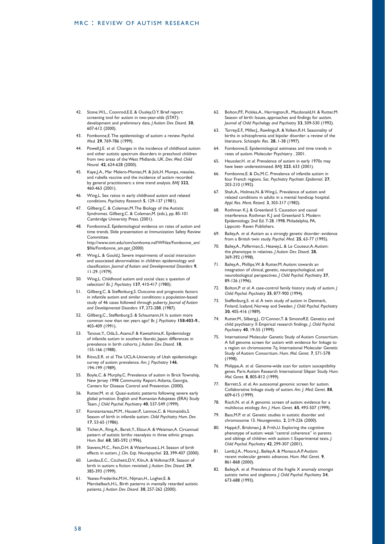- 42. Stone,W.L., Coonrod,E.E. & Ousley,O.Y. Brief report: screening tool for autism in two-year-olds (STAT): development and preliminary data. *J Autism Dev. Disord.* **30**, 607-612 (2000).
- 43. Fombonne,E.The epidemiology of autism: a review. *Psychol. Med.* **29**, 769-786 (1999).
- 44. Powell, J.E. et al. Changes in the incidence of childhood autism and other autistic spectrum disorders in preschool children from two areas of the West Midlands, UK. *Dev. Med. Child Neurol.* **42**, 624-628 (2000).
- 45. Kaye,J.A., Mar Melero-Montes,M. & Jick,H. Mumps, measles, and rubella vaccine and the incidence of autism recorded by general practitioners: a time trend analysis. *BMJ* **322**, 460-463 (2001).
- 46. Wing,L. Sex ratios in early childhood autism and related conditions. *Psychiatry Research* **5**, 129-137 (1981).
- 47. Gillberg,C. & Coleman,M.The Biology of the Autistic Syndromes. Gillberg,C. & Coleman,M. (eds.), pp. 85-101 Cambridge University Press. (2001).
- 48. Fombonne,E. Epidemiological evidence on rates of autism and time trends. Slide presentation at Immunization Safety Review **Committee** http://www.iom.edu/iom/iomhome.nsf/WFiles/Fombonne\_am/ \$file/Fombonne\_am.ppt (2000)
- 49. Wing,L. & Gould,J. Severe impairments of social interaction and associated abnormalities in children: epidemiology and classification. *Journal of Autism and Developmental Disorders* **9**, 11-29. (1979).
- 50. Wing,L. Childhood autism and social class: a question of selection? *Br. J. Psychiatry* **137**, 410-417 (1980).
- 51. Gillberg,C. & Steffenburg,S. Outcome and prognostic factors in infantile autism and similar conditions: a population-based study of 46 cases followed through puberty. *Journal of Autism and Developmental Disorders* **17**, 272-288. (1987).
- 52. Gillberg,C., Steffenburg,S. & Schaumann,H. Is autism more common now than ten years ago? *Br. J. Psychiatry* **158:403-9.**, 403-409 (1991).
- 53. Tanoue,Y., Oda,S.,Asano,F. & Kawashima,K. Epidemiology of infantile autism in southern Ibaraki, Japan: differences in prevalence in birth cohorts. *J.Autism Dev. Disord.* **18**, 155-166 (1988).
- 54. Ritvo,E.R. *et al.* The UCLA-University of Utah epidemiologic survey of autism: prevalence. *Am. J. Psychiatry* **146**, 194-199 (1989).
- 55. Boyle,C. & Murphy,C. Prevalence of autism in Brick Township, New Jersey 1998 Community Report.Atlanta, Georgia, Centers for Disease Control and Prevention. (2000).
- 56. Rutter,M. *et al.* Quasi-autistic patterns following severe early global privation. English and Romanian Adoptees (ERA) Study Team. *J Child Psychol. Psychiatry* **40**, 537-549 (1999).
- Konstantareas, M.M., Hauser, P., Lennox, C. & Homatidis, S. Season of birth in infantile autism. *Child Psychiatry Hum. Dev.* **17**, 53-65 (1986).
- 58. Ticher,A., Ring,A., Barak,Y., Elizur,A. & Weizman,A. Circannual pattern of autistic births: reanalysis in three ethnic groups. *Hum. Biol.* **68**, 585-592 (1996).
- 59. Stevens,M.C., Fein,D.H. & Waterhouse,L.H. Season of birth effects in autism. *J. Clin. Exp. Neuropsychol.* **22**, 399-407 (2000).
- Landau, E.C., Cicchetti, D.V., Klin, A. & Volkmar, F.R. Season of birth in autism: a fiction revisited. *J.Autism Dev. Disord.* **29**, 385-393 (1999).
- Yeates-Frederikx, M.H., Nijman, H., Logher, E. & Merckelbach,H.L. Birth patterns in mentally retarded autistic patients. *J.Autism Dev. Disord.* **30**, 257-262 (2000).
- 62. Bolton,P.F., Pickles,A., Harrington,R., Macdonald,H. & Rutter,M. Season of birth: Issues, approaches and findings for autism. *Journal of Child Psychology and Psychiatry* **33**, 509-530 (1992).
- 63. Torrey,E.F., Miller,J., Rawlings,R. & Yolken,R.H. Seasonality of births in schizophrenia and bipolar disorder: a review of the literature. *Schizophr. Res.* **28**, 1-38 (1997).
- Fombonne,E. Epidemiological estimates and time trends in rates of autism. Molecular Psychiatry . 2001.
- 65. Heussler,H. *et al.* Prevalence of autism in early 1970s may have been underestimated. *BMJ* **323**, 633 (2001).
- 66. Fombonne,E. & Du,M.C. Prevalence of infantile autism in four French regions. *Soc. Psychiatry Psychiatr. Epidemiol.* **27**, 203-210 (1992).
- Shah,A., Holmes,N. & Wing,L. Prevalence of autism and related conditions in adults in a mental handicap hospital. *Appl. Res. Ment. Retard.* **3**, 303-317 (1982).
- 68. Rothman K.J. & Greenland S. Causation and causal interference. Rothman K.J and Greenland S. Modern Epidemiology. 2nd Ed. 7-28. 1998. Philadelphia, PA, Lippcott- Raven Publishers.
- 69. Bailey,A. *et al.* Autism as a strongly genetic disorder: evidence from a British twin study. *Psychol. Med.* **25**, 63-77 (1995).
- 70. Bailey,A., Palferman,S., Heavey,L. & Le Couteur,A.Autism: the phenotype in relatives. *J Autism Dev. Disord.* **28**, 369-392 (1998).
- Bailey,A., Phillips, W. & Rutter, M. Autism: towards an integration of clinical, genetic, neuropsychological, and neurobiological perspectives. *J Child Psychol. Psychiatry* **37**, 89-126 (1996).
- 72. Bolton,P. *et al.* A case-control family history study of autism. *J Child Psychol. Psychiatry* **35**, 877-900 (1994).
- 73. Steffenburg,S. *et al.* A twin study of autism in Denmark, Finland, Iceland, Norway and Sweden. *J Child Psychol. Psychiatry* **30**, 405-416 (1989).
- Rutter,M., Silberg,J., O'Connor,T. & Simonoff,E. Genetics and child psychiatry: II Empirical research findings. *J. Child Psychol. Psychiatry* **40**, 19-55 (1999).
- International Molecular Genetic Study of Autism Consortium. A full genome screen for autism with evidence for linkage to a region on chromosome 7q. International Molecular Genetic Study of Autism Consortium. *Hum. Mol. Genet.* **7**, 571-578 (1998).
- 76. Philippe,A. *et al.* Genome-wide scan for autism susceptibility genes. Paris Autism Research International Sibpair Study. *Hum. Mol. Genet.* **8**, 805-812 (1999).
- 77. Barrett,S. *et al.* An autosomal genomic screen for autism. Collaborative linkage study of autism. *Am. J. Med. Genet.* **88**, 609-615 (1999).
- 78. Risch,N. *et al.* A genomic screen of autism: evidence for a multilocus etiology. *Am. J. Hum. Genet.* **65**, 493-507 (1999).
- 79. Bass,M.P. *et al.* Genetic studies in autistic disorder and chromosome 15. *Neurogenetics.* **2**, 219-226 (2000).
- 80. Happé, F., Briskman, J. & Frith, U. Exploring the cognitive phenotype of autism: weak "central coherence" in parents and siblings of children with autism: I. Experimental tests. *J. Child Psychol. Psychiatry* **42**, 299-307 (2001).
- 81. Lamb,J.A., Moore,J., Bailey,A. & Monaco,A.P.Autism: recent molecular genetic advances. *Hum. Mol. Genet.* **9**, 861-868 (2000).
- Bailey, A. *et al.* Prevalence of the fragile X anomaly amongst autistic twins and singletons. *J Child Psychol. Psychiatry* **34**, 673-688 (1993).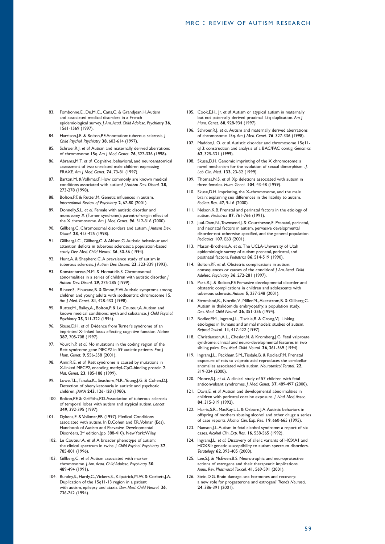- 83. Fombonne,E., Du,M.C., Cans,C. & Grandjean,H.Autism and associated medical disorders in a French epidemiological survey. *J.Am.Acad. Child Adolesc. Psychiatry* **36**, 1561-1569 (1997).
- 84. Harrison,J.E. & Bolton,P.F.Annotation: tuberous sclerosis. *J Child Psychol. Psychiatry* **38**, 603-614 (1997).
- 85. Schroer,R.J. *et al.* Autism and maternally derived aberrations of chromosome 15q. *Am J Med. Genet.* **76**, 327-336 (1998).
- Abrams, M.T. *et al.* Cognitive, behavioral, and neuroanatomical assessment of two unrelated male children expressing FRAXE. *Am J Med. Genet.* **74**, 73-81 (1997).
- Barton, M. & Volkmar, F. How commonly are known medical conditions associated with autism? *J Autism Dev. Disord.* **28**, 273-278 (1998).
- 88. Bolton,P.F. & Rutter,M. Genetic influences in autism. *International Review of Psychiatry* **2**, 67-80 (2001).
- 89. Donnelly,S.L. *et al.* Female with autistic disorder and monosomy X (Turner syndrome): parent-of-origin effect of the X chromosome. *Am J Med. Genet.* **96**, 312-316 (2000).
- 90. Gillberg,C. Chromosomal disorders and autism. *J Autism Dev. Disord.* **28**, 415-425 (1998).
- 91. Gillberg,I.C., Gillberg,C. & Ahlsen,G.Autistic behaviour and attention deficits in tuberous sclerosis: a population-based study. *Dev. Med. Child Neurol.* **36**, 50-56 (1994).
- 92. Hunt,A. & Shepherd,C.A prevalence study of autism in tuberous sclerosis. *J Autism Dev. Disord.* **23**, 323-339 (1993).
- Konstantareas, M.M. & Homatidis, S. Chromosomal abnormalities in a series of children with autistic disorder. *J Autism Dev. Disord.* **29**, 275-285 (1999).
- 94. Rineer,S., Finucane,B. & Simon,E.W.Autistic symptoms among children and young adults with isodicentric chromosome 15. *Am J Med. Genet.* **81**, 428-433 (1998).
- Rutter,M., Bailey,A., Bolton,P. & Le Couteur,A. Autism and known medical conditions: myth and substance. *J Child Psychol. Psychiatry* **35**, 311-322 (1994).
- Skuse, D.H. *et al.* Evidence from Turner's syndrome of an imprinted X-linked locus affecting cognitive function. *Nature* **387**, 705-708 (1997).
- 97. Vourc'h,P. *et al.* No mutations in the coding region of the Rett syndrome gene MECP2 in 59 autistic patients. *Eur. J Hum. Genet.* **9**, 556-558 (2001).
- 98. Amir,R.E. *et al.* Rett syndrome is caused by mutations in X-linked MECP2, encoding methyl-CpG-binding protein 2. *Nat. Genet.* **23**, 185-188 (1999).
- Lowe, T.L., Tanaka, K., Seashore, M.R., Young, J.G. & Cohen, D.J. Detection of phenylketonuria in autistic and psychotic children. *JAMA* **243**, 126-128 (1980).
- 100. Bolton,P.F. & Griffiths,P.D.Association of tuberous sclerosis of temporal lobes with autism and atypical autism. *Lancet* **349**, 392-395 (1997).
- 101. Dykens,E. & Volkmar,F.R (1997). Medical Conditions associated with autism. In D.Cohen and F.R.Volmar (Eds), Handbook of Autism and Pervasive Developmental Disorders, 2nd edition,(pp. 388-410). New York:Wiley.
- 102. Le Couteur,A. *et al.* A broader phenotype of autism: the clinical spectrum in twins. *J. Child Psychol. Psychiatry* **37**, 785-801 (1996).
- 103. Gillberg,C. *et al.* Autism associated with marker chromosome. *J.Am.Acad. Child Adolesc. Psychiatry* **30**, 489-494 (1991).
- 104. Bundey,S., Hardy,C.,Vickers,S., Kilpatrick,M.W. & Corbett,J.A. Duplication of the 15q11-13 region in a patient with autism, epilepsy and ataxia. *Dev. Med. Child Neurol.* **36**, 736-742 (1994).
- 105. Cook,E.H., Jr. *et al.* Autism or atypical autism in maternally but not paternally derived proximal 15q duplication. *Am J Hum. Genet.* **60**, 928-934 (1997).
- 106. Schroer,R.J. *et al.* Autism and maternally derived aberrations of chromosome 15q. *Am J Med. Genet.* **76**, 327-336 (1998).
- 107. Maddox,L.O. *et al.* Autistic disorder and chromosome 15q11 q13: construction and analysis of a BAC/PAC contig. *Genomics* **62**, 325-331 (1999).
- 108. Skuse,D.H. Genomic imprinting of the X chromosome: a novel mechanism for the evolution of sexual dimorphism . *J. Lab Clin. Med.* **133**, 23-32 (1999).
- 109. Thomas,N.S. *et al.* Xp deletions associated with autism in three females. *Hum. Genet.* **104**, 43-48 (1999).
- 110. Skuse,D.H. Imprinting, the X-chromosome, and the male brain: explaining sex differences in the liability to autism. *Pediatr. Res.* **47**, 9-16 (2000).
- 111. Nelson,K.B. Prenatal and perinatal factors in the etiology of autism. *Pediatrics* **87**, 761-766 (1991).
- 112. Juul-Dam,N.,Townsend,J. & Courchesne,E. Prenatal, perinatal, and neonatal factors in autism, pervasive developmental disorder-not otherwise specified, and the general population. *Pediatrics* **107**, E63 (2001).
- 113. Mason-Brothers,A. *et al.* The UCLA-University of Utah epidemiologic survey of autism: prenatal, perinatal, and postnatal factors. *Pediatrics* **86**, 514-519 (1990).
- 114. Bolton,P.F. *et al.* Obstetric complications in autism: consequences or causes of the condition? *J.Am.Acad. Child Adolesc. Psychiatry* **36**, 272-281 (1997).
- 115. Park,R.J. & Bolton,P.F. Pervasive developmental disorder and obstetric complications in children and adolescents with tuberous sclerosis. *Autism* **5**, 237-248 (2001).
- 116. Stromland,K., Nordin,V., Miller,M.,Akerstrom,B. & Gillberg,C. Autism in thalidomide embryopathy: a population study. *Dev. Med. Child Neurol.* **36**, 351-356 (1994).
- 117. Rodier,P.M., Ingram,J.L.,Tisdale,B. & Croog,V.J. Linking etiologies in humans and animal models: studies of autism. *Reprod.Toxicol.* **11**, 417-422 (1997).
- 118. Christianson,A.L., Chesler,N. & Kromberg,J.G. Fetal valproate syndrome: clinical and neuro-developmental features in two sibling pairs. *Dev. Med. Child Neurol.* **36**, 361-369 (1994).
- 119. Ingram,J.L., Peckham,S.M.,Tisdale,B. & Rodier,P.M. Prenatal exposure of rats to valproic acid reproduces the cerebellar anomalies associated with autism. *Neurotoxicol.Teratol.* **22**, 319-324 (2000).
- 120. Moore,S.J. *et al.* A clinical study of 57 children with fetal anticonvulsant syndromes. *J. Med. Genet.* **37**, 489-497 (2000).
- 121. Davis,E. *et al.* Autism and developmental abnormalities in children with perinatal cocaine exposure. *J. Natl. Med.Assoc.* **84**, 315-319 (1992).
- 122. Harris,S.R., MacKay,L.L. & Osborn,J.A.Autistic behaviors in offspring of mothers abusing alcohol and other drugs: a series of case reports. *Alcohol Clin. Exp. Res.* **19**, 660-665 (1995).
- 123. Nanson, J.L. Autism in fetal alcohol syndrome: a report of six cases. *Alcohol Clin. Exp. Res.* **16**, 558-565 (1992).
- 124. Ingram,J.L. *et al.* Discovery of allelic variants of HOXA1 and HOXB1: genetic susceptibility to autism spectrum disorders. *Teratology* **62**, 393-405 (2000).
- 125. Lee,S.J. & McEwen,B.S. Neurotrophic and neuroprotective actions of estrogens and their therapeutic implications. *Annu. Rev. Pharmacol.Toxicol.* **41**, 569-591 (2001).
- 126. Stein,D.G. Brain damage, sex hormones and recovery: a new role for progesterone and estrogen? *Trends Neurosci.* **24**, 386-391 (2001).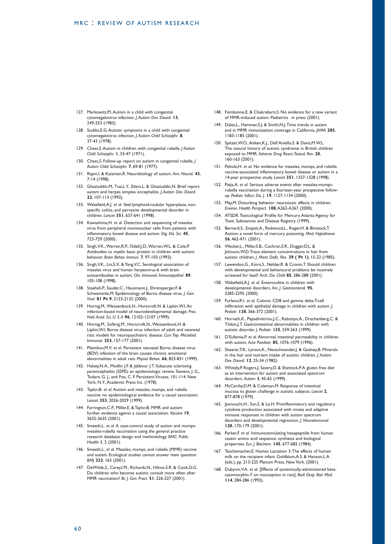- 127. Markowitz,P.I.Autism in a child with congenital cytomegalovirus infection. *J.Autism Dev. Disord.* **13**, 249-253 (1983).
- 128. Stubbs,E.G.Autistic symptoms in a child with congenital cytomegalovirus infection. *J.Autism Child Schizophr.* **8**, 37-43 (1978).
- 129. Chess,S.Autism in children with congenital rubella. *J Autism Child Schizophr.* **1**, 33-47 (1971).
- 130. Chess,S. Follow-up report on autism in congenital rubella. *J Autism Child Schizophr.* **7**, 69-81 (1977).
- 131. Rapin,I. & Katzman,R. Neurobiology of autism. *Ann. Neurol.* **43**, 7-14 (1998).
- 132. Ghaziuddin,M.,Tsai,L.Y., Eilers,L. & Ghaziuddin,N. Brief report: autism and herpes simplex encephalitis. *J.Autism Dev. Disord.* **22**, 107-113 (1992).
- 133. Wakefield,A.J. *et al.* Ileal-lymphoid-nodular hyperplasia, nonspecific colitis, and pervasive developmental disorder in children. *Lancet* **351**, 637-641 (1998).
- 134. Kawashima,H. *et al.* Detection and sequencing of measles virus from peripheral mononuclear cells from patients with inflammatory bowel disease and autism. *Dig. Dis. Sci.* **45**, 723-729 (2000).
- 135. Singh,V.K.,Warren,R.P., Odell,J.D.,Warren,W.L. & Cole,P. Antibodies to myelin basic protein in children with autistic behavior. *Brain Behav. Immun.* **7**, 97-103 (1993).
- 136. Singh,V.K., Lin,S.X. & Yang,V.C. Serological association of measles virus and human herpesvirus-6 with brain autoantibodies in autism. *Clin. Immunol. Immunopathol.* **89**, 105-108 (1998).
- 138. Staeheli,P., Sauder,C., Hausmann,J., Ehrensperger,F. & Schwemmle,M. Epidemiology of Borna disease virus. *J. Gen. Virol.* **81 Pt 9**, 2123-2135 (2000).
- 139. Hornig,M.,Weissenbock,H., Horscroft,N. & Lipkin,W.I.An infection-based model of neurodevelopmental damage. *Proc. Natl.Acad. Sci. U. S.A* **96**, 12102-12107 (1999).
- 140. Hornig,M., Solbrig,M., Horscroft,N.,Weissenbock,H. & Lipkin,W.I. Borna disease virus infection of adult and neonatal rats: models for neuropsychiatric disease. *Curr.Top. Microbiol. Immunol.* **253**, 157-177 (2001).
- 141. Pletnikov,M.V. *et al.* Persistent neonatal Borna disease virus (BDV) infection of the brain causes chronic emotional abnormalities in adult rats. *Physiol Behav.* **66**, 823-831 (1999).
- 142. Halsey,N.A., Modlin J.F. & Jabbour J.T. Subacute sclerosing panencephalitis (SSPE): an epidemiologic review. Stevens, J. G., Todaro, G. J., and Fox, C. F. Persistent Viruses. 101-114. New York, N.Y.,Academic Press Inc. (1978).
- 143. Taylor,B. *et al.* Autism and measles, mumps, and rubella vaccine: no epidemiological evidence for a causal association. *Lancet* **353**, 2026-2029 (1999).
- 144. Farrington,C.P., Miller,E. & Taylor,B. MMR and autism: further evidence against a causal association. *Vaccine* **19**, 3632-3635 (2001).
- 145. Smeeth, L. et al. A case-control study of autism and mumpsmeasles-rubella vaccination using the general practice research database: design and methodology. *BMC. Public Health* **1**, 2 (2001).
- 146. Smeeth,L. *et al.* Measles, mumps, and rubella (MMR) vaccine and autism. Ecological studies cannot answer main question. *BMJ* **323**, 163 (2001).
- 147. DeWilde,S., Carey,I.M., Richards,N., Hilton,S.R. & Cook,D.G. Do children who become autistic consult more often after MMR vaccination? *Br. J. Gen. Pract.* **51**, 226-227 (2001).
- 148. Fombonne,E. & Chakrabarti,S. No evidence for a new variant of MMR-induced autism. Pediatrics . in press (2001).
- 149. Dales,L., Hammer,S.J. & Smith,N.J.Time trends in autism and in MMR immunization coverage in California. *JAMA* **285**, 1183-1185 (2001).
- 150. Spitzer,W.O.,Aitken,K.J., Dell'Aniello,S. & Davis,M.W.L. The natural history of autistic syndrome in British children exposed to MMR. *Adverse Drug React.Toxicol. Rev.* **20**, 160-163 (2001).
- 151. Peltola,H. *et al.* No evidence for measles, mumps, and rubella vaccine-associated inflammatory bowel disease or autism in a 14-year prospective study. *Lancet* **351**, 1327-1328 (1998).
- 152. Patja,A. *et al.* Serious adverse events after measles-mumpsrubella vaccination during a fourteen-year prospective followup. *Pediatr. Infect. Dis. J.* **19**, 1127-1134 (2000).
- 153. May,M. Disturbing behavior: neurotoxic effects in children. *Environ. Health Perspect.* **108**,A262-A267 (2000).
- 154. ATSDR.Toxicological Profile for Mercury.Atlanta Agency for Toxic Substances and Disease Registry. (1999).
- 155. Bernard,S., Enayati,A., Redwood,L., Roger,H. & Binstock,T. Autism: a novel form of mercury poisoning. *Med. Hypotheses* **56**, 462-471 (2001).
- 156. Wecker,L., Miller,S.B., Cochran,S.R., Dugger,D.L. & Johnson,W.D.Trace element concentrations in hair from autistic children. *J. Ment. Defic. Res.* **29 ( Pt 1)**, 15-22 (1985).
- 157. Lewendon,G., Kinra,S., Nelder,R. & Cronin,T. Should children with developmental and behavioural problems be routinely screened for lead? *Arch. Dis. Child* **85**, 286-288 (2001).
- 158. Wakefield,A.J. *et al.* Enterocolitis in children with developmental disorders. *Am. J. Gastroenterol.* **95**, 2285-2295 (2000).
- 159. Furlano,R.I. *et al.* Colonic CD8 and gamma delta T-cell infiltration with epithelial damage in children with autism. *J. Pediatr.* **138**, 366-372 (2001).
- 160. Horvath,K., Papadimitriou,J.C., Rabsztyn,A., Drachenberg,C. & Tildon,J.T. Gastrointestinal abnormalities in children with autistic disorder. *J. Pediatr.* **135**, 559-563 (1999).
- 161. D'Eufemia,P. *et al.* Abnormal intestinal permeability in children with autism. *Acta Paediatr.* **85**, 1076-1079 (1996).
- 162. Shearer,T.R., Larson,K., Neuschwander,J. & Gedney,B. Minerals in the hair and nutrient intake of autistic children. *J.Autism Dev. Disord.* **12**, 25-34 (1982).
- 163. Whitely,P, Rogers,J. Savery,D. & Shattock,P.A gluten free diet as an intervention for autism and associated spectrum disorders. *Autism* **3**, 45-65 (1999).
- 164. McCarthy,D.M. & Coleman,M. Response of intestinal mucosa to gluten challenge in autistic subjects. *Lancet* **2**, 877-878 (1979).
- 165. Jyonouchi,H., Sun,S. & Le,H. Proinflammatory and regulatory cytokine production associated with innate and adaptive immune responses in children with autism spectrum disorders and developmental regression. *J. Neuroimmunol.* **120**, 170-179 (2001).
- 166. Parker,F. *et al.* Immunostimulating hexapeptide from human casein: amino acid sequence, synthesis and biological properties. *Eur. J. Biochem.* **145**, 677-682 (1984).
- 167. Teschemacher,E. Human Lactation 3:The effects of human milk on the recipient infant. Goldblum,A.S. & Hanson,L.A. (eds.), pp. 213-225 Plenum Press, New York. (2001).
- 168. Dubynin,V.A. *et al.* [Effects of systemically-administered betacasomorphin-7 on nociception in rats]. *Biull. Eksp. Biol. Med.* **114**, 284-286 (1992).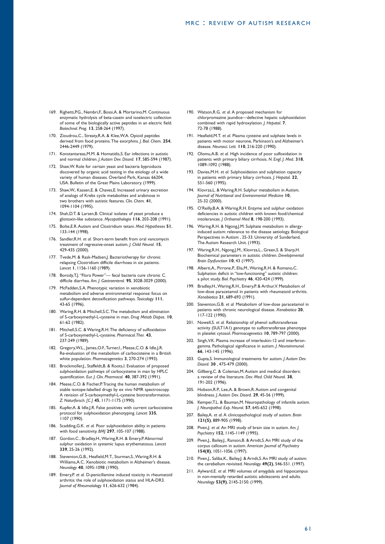- 169. Righetti,P.G., Nembri,F., Bossi,A. & Mortarino,M. Continuous enzymatic hydrolysis of beta-casein and isoelectric collection of some of the biologically active peptides in an electric field. *Biotechnol. Prog.* **13**, 258-264 (1997).
- 170. Zioudrou,C., Streaty,R.A. & Klee,W.A. Opioid peptides derived from food proteins.The exorphins. *J. Biol. Chem.* **254**, 2446-2449 (1979).
- 171. Konstantareas,M.M. & Homatidis,S. Ear infections in autistic and normal children. *J.Autism Dev. Disord.* **17**, 585-594 (1987).
- 172. Shaw,W. Role for certain yeast and bacteria byproducts discovered by organic acid testing in the etiology of a wide variety of human diseases. Overland Park, Kansas 66204, USA. Bulletin of the Great Plains Laboratory. (1999).
- 173. Shaw,W., Kassen,E. & Chaves,E. Increased urinary excretion of analogs of Krebs cycle metabolites and arabinose in two brothers with autistic features. *Clin. Chem.* **41**, 1094-1104 (1995).
- 174. Shah,D.T. & Larsen,B. Clinical isolates of yeast produce a gliotoxin-like substance. *Mycopathologia* **116**, 203-208 (1991).
- 175. Bolte,E.R.Autism and Clostridium tetani. *Med. Hypotheses* **51**, 133-144 (1998).
- 176. Sandler,R.H. *et al.* Short-term benefit from oral vancomycin treatment of regressive-onset autism. *J. Child Neurol.* **15**, 429-435 (2000).
- 177. Tvede,M. & Rask-Madsen,J. Bacteriotherapy for chronic relapsing Clostridium difficile diarrhoea in six patients. *Lancet* **1**, 1156-1160 (1989).
- 178. Borody,T.J."Flora Power"— fecal bacteria cure chronic C. difficile diarrhea. *Am. J. Gastroenterol.* **95**, 3028-3029 (2000).
- 179. McFadden,S.A. Phenotypic variation in xenobiotic metabolism and adverse environmental response: focus on sulfur-dependent detoxification pathways. *Toxicology* **111**, 43-65 (1996).
- 180. Waring,R.H. & Mitchell,S.C.The metabolism and elimination of S-carboxymethyl-L-cysteine in man. *Drug Metab Dispos.* **10**, 61-62 (1982).
- 181. Mitchell,S.C. & Waring,R.H.The deficiency of sulfoxidation of S-carboxymethyl-L-cysteine. *Pharmacol.Ther.* **43**, 237-249 (1989).
- 182. Gregory,W.L., James,O.F.,Turner,I., Meese,C.O. & Idle,J.R. Re-evaluation of the metabolism of carbocisteine in a British white population. *Pharmacogenetics* **3**, 270-274 (1993).
- 183. Brockmoller,J., Staffeldt,B. & Roots,I. Evaluation of proposed sulphoxidation pathways of carbocysteine in man by HPLC quantification. *Eur. J. Clin. Pharmacol.* **40**, 387-392 (1991).
- 184. Meese,C.O. & Fischer,P.Tracing the human metabolism of stable isotope-labelled drugs by ex vivo NMR spectroscopy. A revision of S-carboxymethyl-L-cysteine biotransformation. *Z. Naturforsch. [C.]* **45**, 1171-1175 (1990).
- 185. Kupfer,A. & Idle,J.R. False positives with current carbocisteine protocol for sulphoxidation phenotyping. *Lancet* **335**, 1107 (1990).
- 186. Scadding,G.K. *et al.* Poor sulphoxidation ability in patients with food sensitivity. *BMJ* **297**, 105-107 (1988).
- 187. Gordon,C., Bradley,H.,Waring,R.H. & Emery,P.Abnormal sulphur oxidation in systemic lupus erythematosus. *Lancet* **339**, 25-26 (1992).
- 188. Steventon,G.B., Heafield,M.T., Sturman,S.,Waring,R.H. & Williams,A.C. Xenobiotic metabolism in Alzheimer's disease. *Neurology* **40**, 1095-1098 (1990).
- 189. Emery,P. *et al.* D-penicillamine induced toxicity in rheumatoid arthritis: the role of sulphoxidation status and HLA-DR3. *Journal of Rheumatology* **11**, 626-632 (1984).
- 190. Watson,R.G. *et al.* A proposed mechanism for chlorpromazine jaundice—defective hepatic sulphoxidation combined with rapid hydroxylation. *J. Hepatol.* **7**, 72-78 (1988).
- 191. Heafield,M.T. *et al.* Plasma cysteine and sulphate levels in patients with motor neurone, Parkinson's and Alzheimer's disease. *Neurosci. Lett.* **110**, 216-220 (1990).
- 192. Olomu,A.B. *et al.* High incidence of poor sulfoxidation in patients with primary biliary cirrhosis. *N. Engl. J. Med.* **318**, 1089-1092 (1988).
- 193. Davies,M.H. *et al.* Sulphoxidation and sulphation capacity in patients with primary biliary cirrhosis. *J. Hepatol.* **22**, 551-560 (1995).
- 194. Klovrza,L. & Waring,R.H. Sulphur metabolism in Autism. *Journal of Nutritional and Environmental Medicine* **10**, 25-32 (2000).
- 195. O'Reilly,B.A. & Waring,R.H. Enzyme and sulphur oxidation deficiencies in autistic children with known food/chemical intolerances. *J Orthomol Med* **8**, 198-200 (1993).
- 196. Waring,R.H. & Ngong,J.M. Sulphate metabolism in allergyinduced autism: relevance to the disease aetiology. Biological Perspectives in Autism , 25-33. University of Sunderland, The Autism Research Unit. (1993).
- 197. Waring,R.H., Ngong,J.M., Klovrza,L., Green,S. & Sharp,H. Biochemical parameters in autistic children. *Developmental Brain Dysfunction* **10**, 43 (1997).
- 198. Alberti,A., Pirrone,P., Elia,M.,Waring,R.H. & Romano,C. Sulphation deficit in "low-functioning" autistic children: a pilot study. *Biol. Psychiatry* **46**, 420-424 (1999).
- 199. Bradley,H.,Waring,R.H., Emery,P. & Arthur,V. Metabolism of low-dose paracetamol in patients with rheumatoid arthritis. *Xenobiotica* **21**, 689-693 (1991).
- 200. Steventon,G.B. *et al.* Metabolism of low-dose paracetamol in patients with chronic neurological disease. *Xenobiotica* **20**, 117-122 (1990).
- 201. Nowell,S. *et al.* Relationship of phenol sulfotransferase activity (SULT1A1) genotype to sulfotransferase phenotype in platelet cytosol. *Pharmacogenetics* **10**, 789-797 (2000).
- 202. Singh,V.K. Plasma increase of interleukin-12 and interferongamma. Pathological significance in autism. *J. Neuroimmunol.* **66**, 143-145 (1996).
- 203. Gupta,S. Immunological treatments for autism. *J.Autism Dev. Disord.* **30** , 475-479 (2000).
- 204. Gillberg,C. & Coleman,M.Autism and medical disorders: a review of the literature. *Dev. Med. Child Neurol.* **38**, 191-202 (1996).
- 205. Hobson,R.P., Lee,A. & Brown,R.Autism and congenital blindness. *J.Autism Dev. Disord.* **29**, 45-56 (1999).
- 206. Kemper,T.L. & Bauman,M. Neuropathology of infantile autism. *J. Neuropathol. Exp. Neurol.* **57**, 645-652 (1998).
- 207. Bailey,A. *et al.* A clinicopathological study of autism. *Brain* **121(5)**, 889-905 (1998).
- 208. Piven,J. *et al.* An MRI study of brain size in autism. *Am. J. Psychiatry* **152**, 1145-1149 (1995).
- 209. Piven,J., Bailey,J., Ranson,B. & Arndt,S.An MRI study of the corpus callosum in autism. *American Journal of Psychiatry* **154(8)**, 1051-1056. (1997).
- 210. Piven,J., Saliba,K., Bailey,J. & Arndt,S.An MRI study of autism: the cerebellum revisited. *Neurology* **49(2)**, 546-551. (1997).
- 211. Aylward,E. *et al.* MRI volumes of amygdala and hippocampus in non-mentally retarded autistic adolescents and adults. *Neurology* **53(9)**, 2145-2150. (1999).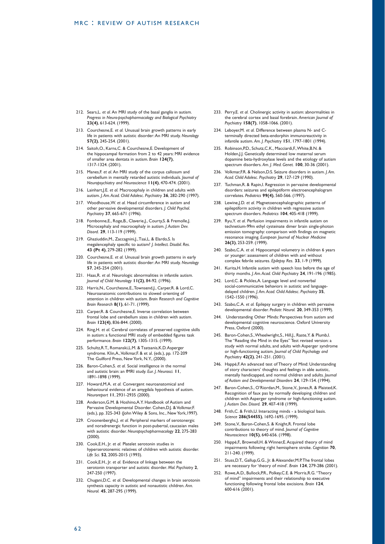- 212. Sears,L. *et al.* An MRI study of the basal ganglia in autism. *Progress in Neuro-psychopharmacology and Biological Psychiatry* **23(4)**, 613-624. (1999).
- 213. Courchesne,E. *et al.* Unusual brain growth patterns in early life in patients with autistic disorder:An MRI study. *Neurology* **57(2)**, 245-254. (2001).
- 214. Saitoh,O., Karns,C. & Courchesne,E. Development of the hippocampal formation from 2 to 42 years: MRI evidence of smaller area dentata in autism. *Brain* **124(7)**, 1317-1324. (2001).
- 215. Manes,F. *et al.* An MRI study of the corpus callosum and cerebellum in mentally retarded autistic individuals. *Journal of Neuropsychiatry and Neuroscience* **11(4)**, 470-474. (2001).
- 216. Lainhart,J.E. *et al.* Macrocephaly in children and adults with autism. *J.Am.Acad. Child Adolesc. Psychiatry* **36**, 282-290 (1997).
- 217. Woodhouse,W. *et al.* Head circumference in autism and other pervasive developmental disorders. *J. Child Psychol. Psychiatry* **37**, 665-671 (1996).
- 218. Fombonne,E., Roge,B., Claverie,J., Courty,S. & Fremolle,J. Microcephaly and macrocephaly in autism. *J.Autism Dev. Disord.* **29**, 113-119 (1999).
- 219. Ghaziuddin,M., Zaccagnini,J.,Tsai,L. & Elardo,S. Is megalencephaly specific to autism? *J. Intellect. Disabil. Res.* **43 (Pt 4)**, 279-282 (1999).
- 220. Courchesne,E. *et al.* Unusual brain growth patterns in early life in patients with autistic disorder:An MRI study. *Neurology* **57**, 245-254 (2001).
- 221. Haas,R. *et al.* Neurologic abnormalities in infantile autism. *Journal of Child Neurology* **11(2)**, 84-92. (1996).
- 222. Harris,N., Courchesne,E.,Townsend,J., Carper,R. & Lord,C. Neuroanatomic contributions to slowed orienting of attention in children with autism. *Brain Research and Cognitive Brain Research* **8(1)**, 61-71. (1999).
- 223. Carper,R. & Courchesne,E. Inverse correlation between frontal lobe and cerebellum sizes in children with autism. *Brain* **123(4)**, 836-844. (2000).
- 224. Ring,H. *et al.* Cerebral correlates of preserved cognitive skills in autism: a functional MRI study of embedded figures task performance. *Brain* **122(7)**, 1305-1315. (1999).
- 225. Schultz,R.T., Romanski,L.M. & Tsatsanis,K.D.Asperger syndrome. Klin,A.,Volkmar,F. & et al. (eds.), pp. 172-209 The Guilford Press, New York, N.Y., (2000).
- 226. Baron-Cohen,S. *et al.* Social intelligence in the normal and autistic brain: an fMRI study. *Eur. J. Neurosci.* **11**, 1891-1898 (1999).
- 227. Howard,M.A. *et al.* Convergent neuroanatomical and behavioural evidence of an amygdala hypothesis of autism. *Neuroreport* **11**, 2931-2935 (2000).
- 228. Anderson,G.M. & Hoshino,A.Y. Handbook of Autism and Pervasive Developmental Disorder. Cohen,D.J. & Volkmar,F. (eds.), pp. 325-343 (John Wiley & Sons, Inc., New York,1997).
- 229. Croonenberghs,J. *et al.* Peripheral markers of serotonergic and noradrenergic function in post-pubertal, caucasian males with autistic disorder. *Neuropsychopharmacology* **22**, 275-283 (2000).
- 230. Cook,E.H., Jr. *et al.* Platelet serotonin studies in hyperserotonemic relatives of children with autistic disorder. *Life Sci.* **52**, 2005-2015 (1993).
- 231. Cook,E.H., Jr. *et al.* Evidence of linkage between the serotonin transporter and autistic disorder. *Mol. Psychiatry* **2**, 247-250 (1997).
- 232. Chugani,D.C. *et al.* Developmental changes in brain serotonin synthesis capacity in autistic and nonautistic children. *Ann. Neurol.* **45**, 287-295 (1999).
- 233. Perry,E. *et al.* Cholinergic activity in autism: abnormalities in the cerebral cortex and basal forebrain. *American Journal of Psychiatry* **158(7)**, 1058-1066. (2001).
- 234. Leboyer,M. *et al.* Difference between plasma N- and Cterminally directed beta-endorphin immunoreactivity in infantile autism. *Am. J. Psychiatry* **151**, 1797-1801 (1994).
- 235. Robinson,P.D., Schutz,C.K., Macciardi,F.,White,B.N. & Holden,J.J. Genetically determined low maternal serum dopamine beta-hydroxylase levels and the etiology of autism spectrum disorders. *Am. J. Med. Genet.* **100**, 30-36 (2001).
- 236. Volkmar,F.R. & Nelson,D.S. Seizure disorders in autism. *J.Am. Acad. Child Adolesc. Psychiatry* **29**, 127-129 (1990).
- 237. Tuchman,R. & Rapin,I. Regression in pervasive developmental disorders: seizures and epileptiform electroencephalogram correlates. *Pediatrics* **99(4)**, 560-566. (1997).
- 238. Lewine,J.D. *et al.* Magnetoencephalographic patterns of epileptiform activity in children with regressive autism spectrum disorders. *Pediatrics* **104**, 405-418 (1999).
- 239. Ryu,Y. *et al.* Perfusion impairments in infantile autism on technetium-99m ethyl cysteinate dimer brain single-photon emission tomography: comparison with findings on magnetic resonance imaging. *European Journal of Nuclear Medicine* **26(3)**, 253-259. (1999).
- 240. Szabo,C.A. *et al.* Hippocampal volumetry in children 6 years or younger: assessment of children with and without complex febrile seizures. *Epilepsy Res.* **33**, 1-9 (1999).
- 241. Kurita,H. Infantile autism with speech loss before the age of thirty months. *J.Am.Acad. Child Psychiatry* **24**, 191-196 (1985).
- 242. Lord,C. & Pickles,A. Language level and nonverbal social-communicative behaviors in autistic and languagedelayed children. *J.Am.Acad. Child Adolesc. Psychiatry* **35**, 1542-1550 (1996).
- 243. Szabo,C.A. *et al.* Epilepsy surgery in children with pervasive developmental disorder. *Pediatr. Neurol.* **20**, 349-353 (1999).
- 244. Understanding Other Minds: Perspectives from autism and developmental cognitive neuroscience. Oxford University Press, Oxford (2000).
- 245. Baron-Cohen, S., Wheelwright, S., Hill, J., Raste, Y. & Plumb, I. The "Reading the Mind in the Eyes" Test revised version: a study with normal adults, and adults with Asperger syndrome or high-functioning autism. *Journal of Child Psychology and Psychiatry* **42(2)**, 241-251. (2001).
- 246. Happé,F.An advanced test of Theory of Mind: Understanding of story characters' thoughts and feelings in able autistic, mentally handicapped, and normal children and adults. *Journal of Autism and Developmental Disorders* **24**, 129-154. (1994).
- 247. Baron-Cohen,S., O'Riordan,M., Stone,V., Jones,R. & Plaisted,K. Recognition of faux pas by normally developing children and children with Asperger syndrome or high-functioning autism. *J.Autism Dev. Disord.* **29**, 407-418 (1999).
- 248. Frith,C. & Frith,U. Interacting minds a biological basis. *Science* **286(54455)**, 1692-1695. (1999).
- 249. Stone,V., Baron-Cohen,S. & Knight,R. Frontal lobe contributions to theory of mind. *Journal of Cognitive Neuroscience* **10(5)**, 640-656. (1998).
- 250. Happé,F., Brownell,H. & Winner,E.Acquired theory of mind impairments following right hemisphere stroke. *Cognition* **70**, 211-240. (1999).
- 251. Stuss,D.T., Gallup,G.G., Jr. & Alexander,M.P.The frontal lobes are necessary for 'theory of mind'. *Brain* **124**, 279-286 (2001).
- 252. Rowe,A.D., Bullock,P.R., Polkey,C.E. & Morris,R.G."Theory of mind" impairments and their relationship to executive functioning following frontal lobe excisions. *Brain* **124**, 600-616 (2001).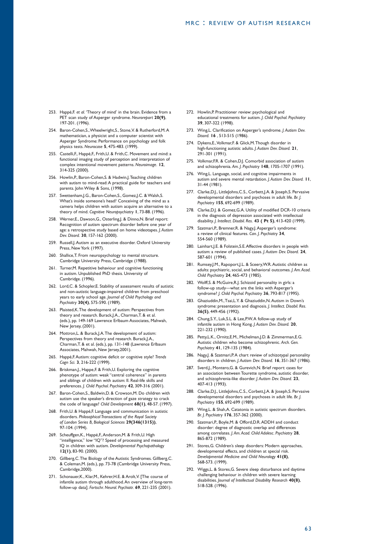- 253. Happé,F. *et al.* 'Theory of mind' in the brain. Evidence from a PET scan study of Asperger syndrome. *Neuroreport* **20(9)**, 197-201. (1996).
- 254. Baron-Cohen,S.,Wheelwright,S., Stone,V. & Rutherford,M.A mathematician, a physicist and a computer scientist with Asperger Syndrome: Performance on psychology and folk physics tests. *Neurocase* **5**, 475-483. (1999).
- 255. Castelli,F., Happé,F., Frith,U. & Frith,C. Movement and mind: a functional imaging study of perception and interpretation of complex intentional movement patterns. *Neuroimage.* **12**, 314-325 (2000).
- 256. Howlin,P., Baron-Cohen,S. & Hadwin,J.Teaching children with autism to mind-read:A practical guide for teachers and parents. John Wiley & Sons, (1998).
- 257. Swettenham,J.G., Baron-Cohen,S., Gomez,J.C. & Walsh,S. What's inside someone's head? Conceiving of the mind as a camera helps children with autism acquire an alternative to a theory of mind. *Cognitive Neuropsychiatry* **1**, 73-88. (1996).
- 258. Werner,E., Dawson,G., Osterling,J. & Dinno,N. Brief report: Recognition of autism spectrum disorder before one year of age: a retrospective study based on home videotapes. *J.Autism Dev. Disord.* **30**, 157-162 (2000).
- 259. Russell,J.Autism as an executive disorder. Oxford University Press, New York (1997).
- 260. Shallice,T. From neuropsychology to mental structure. Cambridge University Press, Cambridge (1988).
- 261. Turner,M. Repetitive behaviour and cognitive functioning in autism. Unpublished PhD thesis. University of Cambridge. (1996).
- 262. Lord,C. & Schopler,E. Stability of assessment results of autistic and non-autistic language-impaired children from preschool years to early school age. *Journal of Child Psychology and Psychiatry* **30(4)**, 575-590. (1989).
- 263. Plaisted,K.The development of autism: Perspectives from theory and research. Burack,J.A., Charman,T. & et al. (eds.), pp. 149-169 Lawrence Erlbaum Associates, Mahwah, New Jersey, (2001).
- 264. Mottron,L. & Burack,J.A.The development of autism: Perspectives from theory and research. Burack, J.A. Charman,T. & et al. (eds.), pp. 131-148 (Lawrence Erlbaum Associates, Mahwah, New Jersey,2001).
- 265. Happé,F.Autism: cognitive deficit or cognitive style? *Trends Cogn Sci.* **3**, 216-222 (1999).
- 266. Briskman,J., Happe,F. & Frith,U. Exploring the cognitive phenotype of autism: weak "central coherence" in parents and siblings of children with autism: II. Real-life skills and preferences. *J. Child Psychol. Psychiatry* **42**, 309-316 (2001).
- 267. Baron-Cohen,S., Baldwin,D. & Crowson,M. Do children with autism use the speaker's direction of gaze strategy to crack the code of language? *Child Development* **68(1)**, 48-57. (1997).
- 268. Frith,U. & Happé,F. Language and communication in autistic disorders. *Philosophical Transactions of the Royal Society of London Series B, Biological Sciences* **29(346(1315))**, 97-104. (1994).
- 269. Scheuffgen,K., Happé,F.,Anderson,M. & Frith,U. High "intelligence," low "IQ"? Speed of processing and measured IQ in children with autism. *Developmental Psychopathology* **12(1)**, 83-90. (2000).
- 270. Gillberg,C.The Biology of the Autistic Syndromes. Gillberg,C. & Coleman,M. (eds.), pp. 73-78 (Cambridge University Press, Cambridge,2000).
- 271. Schonauer,K., Klar,M., Kehrer,H.E. & Arolt,V. [The course of infantile autism through adulthood.An overview of long-term follow-up data]. *Fortschr. Neurol. Psychiatr.* **69**, 221-235 (2001).
- 272. Howlin,P. Practitioner review: psychological and educational treatments for autism. *J. Child Psychol. Psychiatry* **39**, 307-322 (1998).
- 273. Wing,L. Clarification on Asperger's syndrome. *J.Autism Dev. Disord.* **16** , 513-515 (1986).
- 274. Dykens,E.,Volkmar,F. & Glick,M.Though disorder in high-functioning autistic adults. *J.Autism Dev. Disord.* **21**, 291-301 (1991).
- 275. Volkmar,F.R. & Cohen,D.J. Comorbid association of autism and schizophrenia. *Am. J. Psychiatry* **148**, 1705-1707 (1991).
- 276. Wing,L. Language, social, and cognitive impairments in autism and severe mental retardation. *J.Autism Dev. Disord.* **11**, 31-44 (1981).
- 277. Clarke,D.J., LittleJohns,C.S., Corbett,J.A. & Joseph,S. Pervasive developmental disorders and psychoses in adult life. *Br. J. Psychiatry* **155**, 692-699 (1989).
- 278. Clarke,D.J. & Gomez,G.A. Utility of modified DCR-10 criteria in the diagnosis of depression associated with intellectual disability. *J. Intellect. Disabil. Res.* **43 ( Pt 5)**, 413-420 (1999).
- 279. Szatmari,P., Bremner,R. & Nagy,J.Asperger's syndrome: a review of clinical features. *Can. J. Psychiatry* **34**, 554-560 (1989).
- 280. Lainhart,J.E. & Folstein,S.E.Affective disorders in people with autism: a review of published cases. *J.Autism Dev. Disord.* **24**, 587-601 (1994).
- 281. Rumsey,J.M., Rapoport,J.L. & Sceery,W.R.Autistic children as adults: psychiatric, social, and behavioral outcomes. *J.Am.Acad. Child Psychiatry* **24**, 465-473 (1985).
- 282. Wolff,S. & McGuire,R.J. Schizoid personality in girls: a follow-up study—what are the links with Asperger's syndrome? *J. Child Psychol. Psychiatry* **36**, 793-817 (1995).
- 283. Ghaziuddin,M.,Tsai,L.Y. & Ghaziuddin,N.Autism in Down's syndrome: presentation and diagnosis. *J. Intellect. Disabil. Res.* **36(5)**, 449-456 (1992).
- 284. Chung,S.Y., Luk,S.L. & Lee,P.W.A follow-up study of infantile autism in Hong Kong. *J.Autism Dev. Disord.* **20**, 221-232 (1990).
- 285. Petty,L.K., Ornitz,E.M., Michelman,J.D. & Zimmerman,E.G. Autistic children who become schizophrenic. *Arch. Gen. Psychiatry* **41**, 129-135 (1984).
- 286. Nagy,J. & Szatmari,P.A chart review of schizotypal personality disorders in children. *J.Autism Dev. Disord.* **16**, 351-367 (1986).
- 287. Sverd,J., Montero,G. & Gurevich,N. Brief report: cases for an association between Tourette syndrome, autistic disorder, and schizophrenia-like disorder. *J.Autism Dev. Disord.* **23**, 407-413 (1993).
- 288. Clarke,D.J., LittleJohns,C.S., Corbett,J.A. & Joseph,S. Pervasive developmental disorders and psychoses in adult life. *Br. J. Psychiatry* **155**, 692-699 (1989).
- 289. Wing,L. & Shah,A. Catatonia in autistic spectrum disorders. *Br. J. Psychiatry* **176**, 357-362 (2000).
- 290. Szatmari,P., Boyle,M. & Offord,D.R.ADDH and conduct disorder: degree of diagnostic overlap and differences among correlates. *J.Am.Acad. Child Adolesc. Psychiatry* **28**, 865-872 (1989).
- 291. Stores,G. Children's sleep disorders: Modern approaches, developmental effects, and children at special risk. *Developmental Medicine and Child Neurology* **41(8)**, 568-573. (1999).
- 292. Wiggs,L. & Stores,G. Severe sleep disturbance and daytime challenging behaviour in children with severe learning disabilities. *Journal of Intellectual Disability Research* **40(8)**, 518-528. (1996).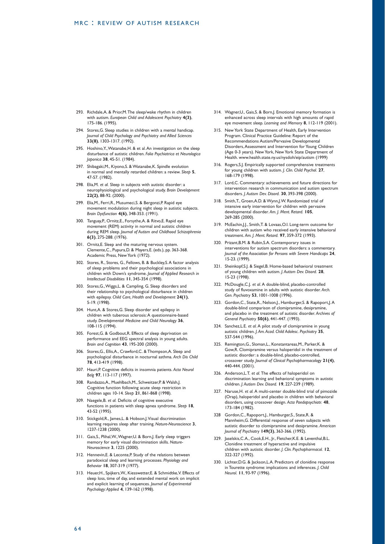- 293. Richdale,A. & Prior,M.The sleep/wake rhythm in children with autism. *European Child and Adolescent Psychiatry* **4(3)**, 175-186. (1995).
- 294. Stores,G. Sleep studies in children with a mental handicap. *Journal of Child Psychology and Psychiatry and Allied Sciences* **33(8)**, 1303-1317. (1992).
- 295. Hoshino,Y.,Watanabe,H. & et al.An investigation on the sleep disturbance of autistic children. *Folia Psychiatrica et Neurologica Japonica* **38**, 45-51. (1984).
- 297. Shibagaki,M., Kiyono,S. & Watanabe,K. Spindle evolution in normal and mentally retarded children: a review. *Sleep* **5**, 47-57. (1982).
- 298. Elia,M. *et al.* Sleep in subjects with autistic disorder: a neurophysiological and psychological study. *Brain Development* **22(2)**, 88-92. (2000).
- 299. Elia,M., Ferri,R., Musumeci,S. & Bergonzi,P. Rapid eye movement modulation during night sleep in autistic subjects. *Brain Dysfunction* **4(6)**, 348-353. (1991).
- 300. Tanguay,P., Ornitz,E., Forsythe,A. & Ritvo,E. Rapid eye movement (REM) activity in normal and autistic children during REM sleep. *Journal of Autism and Childhood Schizophrenia* **6(3)**, 275-288. (1976).
- 301. Ornitz,E. Sleep and the maturing nervous system. Clemente,C., Pupura,D. & Mayers,E. (eds.), pp. 363-368. Academic Press, New York (1972).
- 302. Stores, R., Stores, G., Fellows, B. & Buckley,S.A factor analysis of sleep problems and their psychological associations in children with Down's syndrome. *Journal of Applied Research in Intellectual Disabilities* **11**, 345-354 (1998).
- 303. Stores,G.,Wiggs,L. & Campling, G. Sleep disorders and their relationship to psychological disturbance in children with epilepsy. *Child Care, Health and Development* **24(1)**, 5-19. (1998).
- 304. Hunt,A. & Stores,G. Sleep disorder and epilepsy in children with tuberous sclerosis:A questionnaire-based study. *Developmental Medicine and Child Neurology* **36**, 108-115 (1994).
- 305. Forest,G. & Godbout,R. Effects of sleep deprivation on performance and EEG spectral analysis in young adults. *Brain and Cognition* **43**, 195-200 (2000).
- 306. Stores,G., Ellis,A., Crawford,C. & Thompson,A. Sleep and psychological disturbance in nocturnal asthma. *Arch Dis Child* **78**, 413-419 (1998).
- 307. Hauri,P. Cognitive deficits in insomnia patients. *Acta Neurol Belg* **97**, 113-117 (1997).
- 308. Randazzo,A., Muehlbach,M., Schweitzer,P. & Walsh,J. Cognitive function following acute sleep restriction in children ages 10-14. *Sleep* **21**, 861-868 (1998).
- 309. Naegele,B. *et al.* Deficits of cognitive executive functions in patients with sleep apnea syndrome. *Sleep* **18**, 43-52 (1995).
- 310. Stickgold,R., James,L. & Hobson,J.Visual discrimination learning requires sleep after training. *Nature-Neuroscience* **3**, 1237-1238 (2000).
- 311. Gais,S., Plihal,W.,Wagner,U. & Born,J. Early sleep triggers memory for early visual discrimination skills. *Nature-Neuroscience* **3**, 1225 (2000).
- 312. Hennevin,E. & Leconte,P. Study of the relations between paradoxical sleep and learning processes. *Physiology and Behavior* **18**, 307-319 (1977).
- 313. Heuer,H., Spijkers,W., Kiesswetter,E. & Schmidtke,V. Effects of sleep loss, time of day, and extended mental work on implicit and explicit learning of sequences. *Journal of Experimental Psychology:Applied* **4**, 139-162 (1998).
- 314. Wagner,U., Gais,S. & Born,J. Emotional memory formation is enhanced across sleep intervals with high amounts of rapid eye movement sleep. *Learning and Memory* **8**, 112-119 (2001).
- 315. New York State Department of Health, Early Intervention Program. Clinical Practice Guideline: Report of the Recommendations Autism/Pervasive Developmental Disorders,Assessment and Intervention for Young Children (Age 0-3 years). New York, New York State Department of Health. www.health.state.ny.us/nysdoh/eip/autism (1999)
- 316. Rogers,S.J. Empirically supported comprehensive treatments for young children with autism. *J. Clin. Child Psychol.* **27**, 168-179 (1998).
- 317. Lord,C. Commentary: achievements and future directions for intervention research in communication and autism spectrum disorders. *J.Autism Dev. Disord.* **30**, 393-398 (2000).
- 318. Smith,T., Groen,A.D. & Wynn,J.W. Randomized trial of intensive early intervention for children with pervasive developmental disorder. *Am. J. Ment. Retard.* **105**, 269-285 (2000).
- 319. McEachin,J.J., Smith,T. & Lovaas,O.I. Long-term outcome for children with autism who received early intensive behavioral treatment. *Am. J. Ment. Retard.* **97**, 359-372 (1993).
- 320. Prizant,B.M. & Rubin,S.A. Contemporary issues in interventions for autism spectrum disorders: a commentary. *Journal of the Association for Persons with Severe Handicaps* **24**, 15-23. (1999).
- 321. Sheinkopf,S.J. & Siegel,B. Home-based behavioral treatment of young children with autism. *J.Autism Dev. Disord.* **28**, 15-23 (1998).
- 322. McDougle,C.J. *et al.* A double-blind, placebo-controlled study of fluvoxamine in adults with autistic disorder. *Arch. Gen. Psychiatry* **53**, 1001-1008 (1996).
- 323. Gordon,C., State,R., Nelson,J., Hamburger,S. & Rapoport,J.A double-blind comparison of clomipramine, desipramine, and placebo in the treatment of autistic disorder. *Archives of General Psychiatry* **50(6)**, 441-447. (1993).
- 324. Sanchez,L.E. *et al.* A pilot study of clomipramine in young autistic children. *J.Am.Acad. Child Adolesc. Psychiatry* **35**, 537-544 (1996).
- 325. Remington,G., Sloman,L., Konstantareas,M., Parker,K. & Gow,R. Clomipramine versus haloperidol in the treatment of autistic disorder: a double-blind, placebo-controlled, crossover study. *Journal of Clinical Psychopharmacology* **21(4)**, 440-444. (2001).
- 326. Anderson,L.T. *et al.* The effects of haloperidol on discrimination learning and behavioral symptoms in autistic children. *J.Autism Dev. Disord.* **19**, 227-239 (1989).
- 327. Naruse,H. *et al.* A multi-center double-blind trial of pimozide (Orap), haloperidol and placebo in children with behavioral disorders, using crossover design. *Acta Paedopsychiatr.* **48**, 173-184 (1982).
- 328 Gordon,C., Rapoport,J., Hamburger,S., State,R. & Mannheim,G. Differential response of seven subjects with autistic disorder to clomipramine and desipramine. *American Journal of Psychiatry* **149(3)**, 363-366. (1992).
- 329. Jaselskis,C.A., Cook,E.H., Jr., Fletcher,K.E. & Leventhal,B.L. Clonidine treatment of hyperactive and impulsive children with autistic disorder. *J. Clin. Psychopharmacol.* **12**, 322-327 (1992).
- 330. Lichter,D.G. & Jackson,L.A. Predictors of clonidine response in Tourette syndrome: implications and inferences. *J. Child Neurol.* **11**, 93-97 (1996).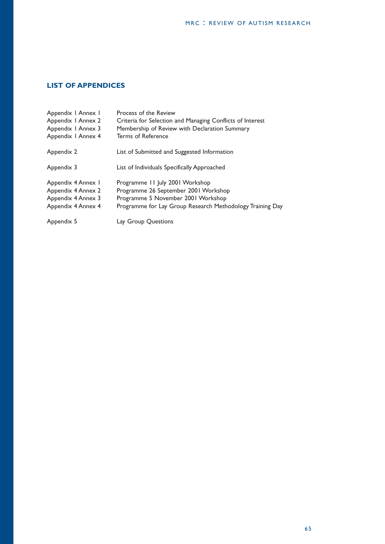# **LIST OF APPENDICES**

| Appendix   Annex  <br>Appendix   Annex 2<br>Appendix   Annex 3<br>Appendix   Annex 4 | Process of the Review<br>Criteria for Selection and Managing Conflicts of Interest<br>Membership of Review with Declaration Summary<br>Terms of Reference                  |
|--------------------------------------------------------------------------------------|----------------------------------------------------------------------------------------------------------------------------------------------------------------------------|
| Appendix 2                                                                           | List of Submitted and Suggested Information                                                                                                                                |
| Appendix 3                                                                           | List of Individuals Specifically Approached                                                                                                                                |
| Appendix 4 Annex 1<br>Appendix 4 Annex 2<br>Appendix 4 Annex 3<br>Appendix 4 Annex 4 | Programme 11 July 2001 Workshop<br>Programme 26 September 2001 Workshop<br>Programme 5 November 2001 Workshop<br>Programme for Lay Group Research Methodology Training Day |
| Appendix 5                                                                           | Lay Group Questions                                                                                                                                                        |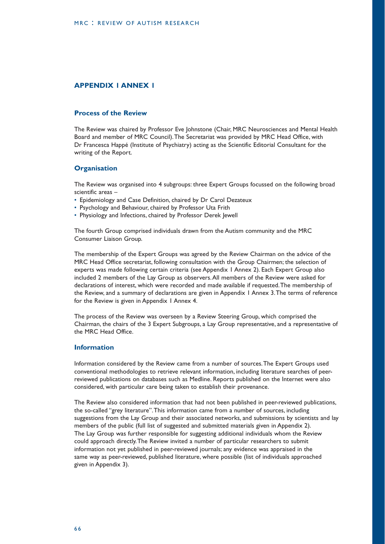## **APPENDIX 1 ANNEX 1**

# **Process of the Review**

The Review was chaired by Professor Eve Johnstone (Chair, MRC Neurosciences and Mental Health Board and member of MRC Council).The Secretariat was provided by MRC Head Office, with Dr Francesca Happé (Institute of Psychiatry) acting as the Scientific Editorial Consultant for the writing of the Report.

#### **Organisation**

The Review was organised into 4 subgroups: three Expert Groups focussed on the following broad scientific areas –

- Epidemiology and Case Definition, chaired by Dr Carol Dezateux
- Psychology and Behaviour, chaired by Professor Uta Frith
- Physiology and Infections, chaired by Professor Derek Jewell

The fourth Group comprised individuals drawn from the Autism community and the MRC Consumer Liaison Group.

The membership of the Expert Groups was agreed by the Review Chairman on the advice of the MRC Head Office secretariat, following consultation with the Group Chairmen; the selection of experts was made following certain criteria (see Appendix 1 Annex 2). Each Expert Group also included 2 members of the Lay Group as observers.All members of the Review were asked for declarations of interest, which were recorded and made available if requested.The membership of the Review, and a summary of declarations are given in Appendix 1 Annex 3.The terms of reference for the Review is given in Appendix 1 Annex 4.

The process of the Review was overseen by a Review Steering Group, which comprised the Chairman, the chairs of the 3 Expert Subgroups, a Lay Group representative, and a representative of the MRC Head Office.

# **Information**

Information considered by the Review came from a number of sources.The Expert Groups used conventional methodologies to retrieve relevant information, including literature searches of peerreviewed publications on databases such as Medline. Reports published on the Internet were also considered, with particular care being taken to establish their provenance.

The Review also considered information that had not been published in peer-reviewed publications, the so-called "grey literature".This information came from a number of sources, including suggestions from the Lay Group and their associated networks, and submissions by scientists and lay members of the public (full list of suggested and submitted materials given in Appendix 2). The Lay Group was further responsible for suggesting additional individuals whom the Review could approach directly.The Review invited a number of particular researchers to submit information not yet published in peer-reviewed journals; any evidence was appraised in the same way as peer-reviewed, published literature, where possible (list of individuals approached given in Appendix 3).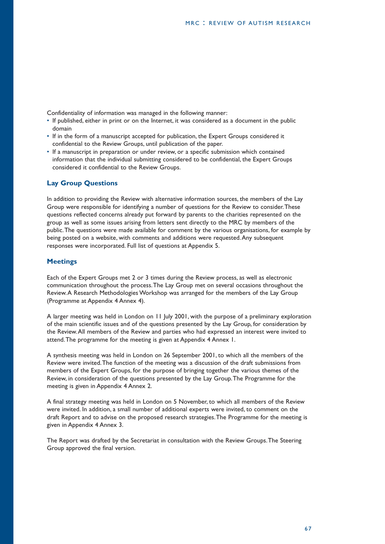Confidentiality of information was managed in the following manner:

- If published, either in print or on the Internet, it was considered as a document in the public domain
- If in the form of a manuscript accepted for publication, the Expert Groups considered it confidential to the Review Groups, until publication of the paper.
- If a manuscript in preparation or under review, or a specific submission which contained information that the individual submitting considered to be confidential, the Expert Groups considered it confidential to the Review Groups.

## **Lay Group Questions**

In addition to providing the Review with alternative information sources, the members of the Lay Group were responsible for identifying a number of questions for the Review to consider.These questions reflected concerns already put forward by parents to the charities represented on the group as well as some issues arising from letters sent directly to the MRC by members of the public.The questions were made available for comment by the various organisations, for example by being posted on a website, with comments and additions were requested.Any subsequent responses were incorporated. Full list of questions at Appendix 5.

# **Meetings**

Each of the Expert Groups met 2 or 3 times during the Review process, as well as electronic communication throughout the process.The Lay Group met on several occasions throughout the Review.A Research Methodologies Workshop was arranged for the members of the Lay Group (Programme at Appendix 4 Annex 4).

A larger meeting was held in London on 11 July 2001, with the purpose of a preliminary exploration of the main scientific issues and of the questions presented by the Lay Group, for consideration by the Review.All members of the Review and parties who had expressed an interest were invited to attend.The programme for the meeting is given at Appendix 4 Annex 1.

A synthesis meeting was held in London on 26 September 2001, to which all the members of the Review were invited.The function of the meeting was a discussion of the draft submissions from members of the Expert Groups, for the purpose of bringing together the various themes of the Review, in consideration of the questions presented by the Lay Group.The Programme for the meeting is given in Appendix 4 Annex 2.

A final strategy meeting was held in London on 5 November, to which all members of the Review were invited. In addition, a small number of additional experts were invited, to comment on the draft Report and to advise on the proposed research strategies.The Programme for the meeting is given in Appendix 4 Annex 3.

The Report was drafted by the Secretariat in consultation with the Review Groups.The Steering Group approved the final version.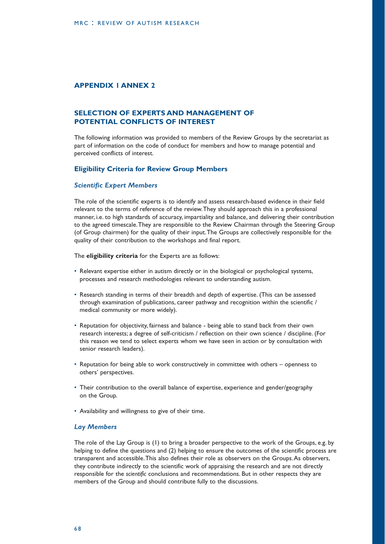#### **APPENDIX 1 ANNEX 2**

# **SELECTION OF EXPERTS AND MANAGEMENT OF POTENTIAL CONFLICTS OF INTEREST**

The following information was provided to members of the Review Groups by the secretariat as part of information on the code of conduct for members and how to manage potential and perceived conflicts of interest.

#### **Eligibility Criteria for Review Group Members**

#### *Scientific Expert Members*

The role of the scientific experts is to identify and assess research-based evidence in their field relevant to the terms of reference of the review.They should approach this in a professional manner, i.e. to high standards of accuracy, impartiality and balance, and delivering their contribution to the agreed timescale.They are responsible to the Review Chairman through the Steering Group (of Group chairmen) for the quality of their input.The Groups are collectively responsible for the quality of their contribution to the workshops and final report.

The **eligibility criteria** for the Experts are as follows:

- Relevant expertise either in autism directly or in the biological or psychological systems, processes and research methodologies relevant to understanding autism.
- Research standing in terms of their breadth and depth of expertise. (This can be assessed through examination of publications, career pathway and recognition within the scientific / medical community or more widely).
- Reputation for objectivity, fairness and balance being able to stand back from their own research interests; a degree of self-criticism / reflection on their own science / discipline. (For this reason we tend to select experts whom we have seen in action or by consultation with senior research leaders).
- Reputation for being able to work constructively in committee with others openness to others' perspectives.
- Their contribution to the overall balance of expertise, experience and gender/geography on the Group.
- Availability and willingness to give of their time.

#### *Lay Members*

The role of the Lay Group is (1) to bring a broader perspective to the work of the Groups, e.g. by helping to define the questions and (2) helping to ensure the outcomes of the scientific process are transparent and accessible.This also defines their role as observers on the Groups.As observers, they contribute indirectly to the scientific work of appraising the research and are not directly responsible for the *scientific* conclusions and recommendations. But in other respects they are members of the Group and should contribute fully to the discussions.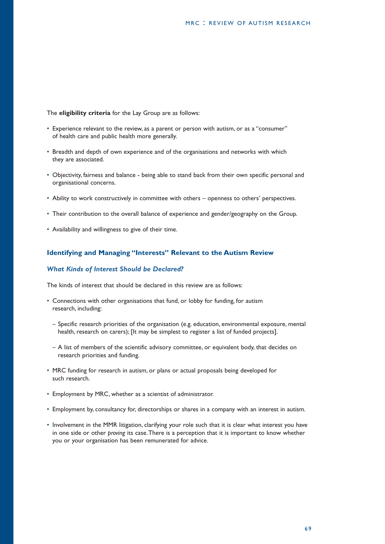The **eligibility criteria** for the Lay Group are as follows:

- Experience relevant to the review, as a parent or person with autism, or as a "consumer" of health care and public health more generally.
- Breadth and depth of own experience and of the organisations and networks with which they are associated.
- Objectivity, fairness and balance being able to stand back from their own specific personal and organisational concerns.
- Ability to work constructively in committee with others openness to others' perspectives.
- Their contribution to the overall balance of experience and gender/geography on the Group.
- Availability and willingness to give of their time.

### **Identifying and Managing "Interests" Relevant to the Autism Review**

# *What Kinds of Interest Should be Declared?*

The kinds of interest that should be declared in this review are as follows:

- Connections with other organisations that fund, or lobby for funding, for autism research, including:
	- Specific research priorities of the organisation (e.g. education, environmental exposure, mental health, research on carers); [It may be simplest to register a list of funded projects].
	- A list of members of the scientific advisory committee, or equivalent body, that decides on research priorities and funding.
- MRC funding for research in autism, or plans or actual proposals being developed for such research.
- Employment by MRC, whether as a scientist of administrator.
- Employment by, consultancy for, directorships or shares in a company with an interest in autism.
- Involvement in the MMR litigation, clarifying your role such that it is clear what interest you have in one side or other *proving* its case.There is a perception that it is important to know whether you or your organisation has been remunerated for advice.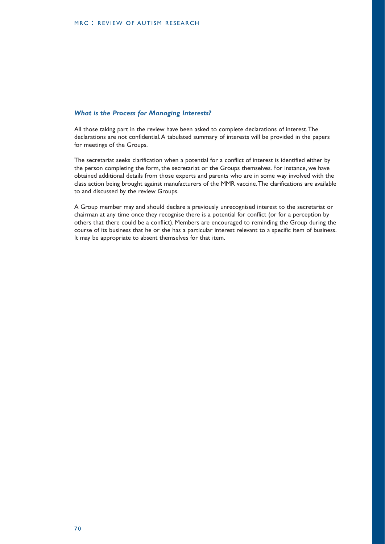### *What is the Process for Managing Interests?*

All those taking part in the review have been asked to complete declarations of interest.The declarations are not confidential.A tabulated summary of interests will be provided in the papers for meetings of the Groups.

The secretariat seeks clarification when a potential for a conflict of interest is identified either by the person completing the form, the secretariat or the Groups themselves. For instance, we have obtained additional details from those experts and parents who are in some way involved with the class action being brought against manufacturers of the MMR vaccine.The clarifications are available to and discussed by the review Groups.

A Group member may and should declare a previously unrecognised interest to the secretariat or chairman at any time once they recognise there is a potential for conflict (or for a perception by others that there could be a conflict). Members are encouraged to reminding the Group during the course of its business that he or she has a particular interest relevant to a specific item of business. It may be appropriate to absent themselves for that item.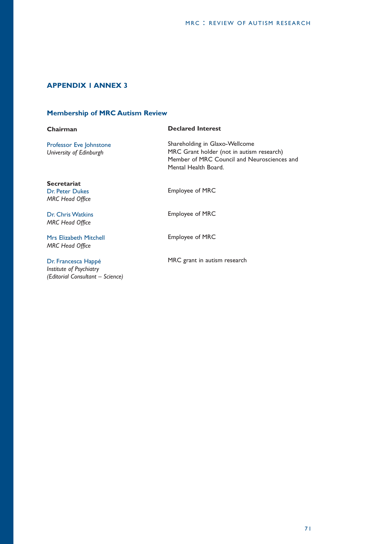## **Membership of MRC Autism Review**

| Chairman                                                               | <b>Declared Interest</b>                                                                                                                           |
|------------------------------------------------------------------------|----------------------------------------------------------------------------------------------------------------------------------------------------|
| Professor Eve Johnstone<br>University of Edinburgh                     | Shareholding in Glaxo-Wellcome<br>MRC Grant holder (not in autism research)<br>Member of MRC Council and Neurosciences and<br>Mental Health Board. |
| <b>Secretariat</b><br><b>Dr. Peter Dukes</b><br><b>MRC Head Office</b> | <b>Employee of MRC</b>                                                                                                                             |
| Dr. Chris Watkins<br><b>MRC Head Office</b>                            | <b>Employee of MRC</b>                                                                                                                             |
| <b>Mrs Elizabeth Mitchell</b><br><b>MRC</b> Head Office                | <b>Employee of MRC</b>                                                                                                                             |
| Dr. Francesca Happé                                                    | MRC grant in autism research                                                                                                                       |

Dr. Francesca Happé *Institute of Psychiatry (Editorial Consultant – Science)*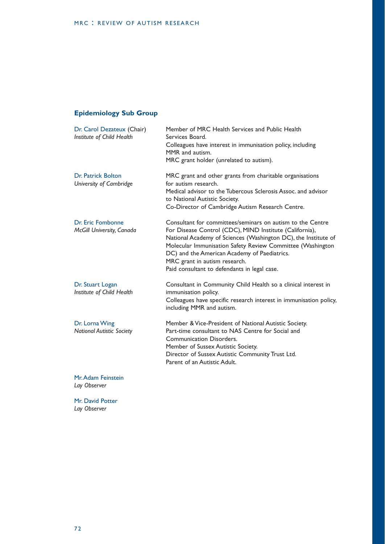## **Epidemiology Sub Group**

| Dr. Carol Dezateux (Chair)<br>Institute of Child Health | Member of MRC Health Services and Public Health<br>Services Board.<br>Colleagues have interest in immunisation policy, including<br>MMR and autism.<br>MRC grant holder (unrelated to autism).                                                                                                                                                                                         |
|---------------------------------------------------------|----------------------------------------------------------------------------------------------------------------------------------------------------------------------------------------------------------------------------------------------------------------------------------------------------------------------------------------------------------------------------------------|
| Dr. Patrick Bolton<br>University of Cambridge           | MRC grant and other grants from charitable organisations<br>for autism research.<br>Medical advisor to the Tubercous Sclerosis Assoc, and advisor<br>to National Autistic Society.<br>Co-Director of Cambridge Autism Research Centre.                                                                                                                                                 |
| Dr. Eric Fombonne<br>McGill University, Canada          | Consultant for committees/seminars on autism to the Centre<br>For Disease Control (CDC), MIND Institute (California),<br>National Academy of Sciences (Washington DC), the Institute of<br>Molecular Immunisation Safety Review Committee (Washington<br>DC) and the American Academy of Paediatrics.<br>MRC grant in autism research.<br>Paid consultant to defendants in legal case. |
| Dr. Stuart Logan<br>Institute of Child Health           | Consultant in Community Child Health so a clinical interest in<br>immunisation policy.<br>Colleagues have specific research interest in immunisation policy,<br>including MMR and autism.                                                                                                                                                                                              |
| Dr. Lorna Wing<br><b>National Autistic Society</b>      | Member & Vice-President of National Autistic Society.<br>Part-time consultant to NAS Centre for Social and<br>Communication Disorders.<br>Member of Sussex Autistic Society.<br>Director of Sussex Autistic Community Trust Ltd.<br>Parent of an Autistic Adult.                                                                                                                       |

Mr.Adam Feinstein *Lay Observer* 

Mr. David Potter *Lay Observer*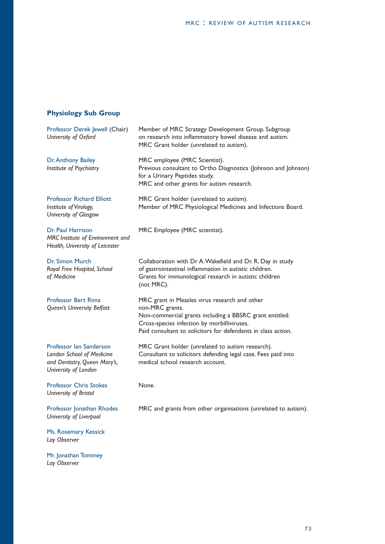## **Physiology Sub Group**

Mr. Jonathan Tommey

*Lay Observer*

| Professor Derek Jewell (Chair)<br>University of Oxford                                                       | Member of MRC Strategy Development Group. Subgroup<br>on research into inflammatory bowel disease and autism.<br>MRC Grant holder (unrelated to autism).                                                                                    |
|--------------------------------------------------------------------------------------------------------------|---------------------------------------------------------------------------------------------------------------------------------------------------------------------------------------------------------------------------------------------|
| Dr. Anthony Bailey<br>Institute of Psychiatry                                                                | MRC employee (MRC Scientist).<br>Previous consultant to Ortho Diagnostics (Johnson and Johnson)<br>for a Urinary Peptides study.<br>MRC and other grants for autism research.                                                               |
| <b>Professor Richard Elliott</b><br>Institute of Virology,<br>University of Glasgow                          | MRC Grant holder (unrelated to autism).<br>Member of MRC Physiological Medicines and Infections Board.                                                                                                                                      |
| Dr. Paul Harrison<br>MRC Institute of Environment and<br>Health, University of Leicester                     | MRC Employee (MRC scientist).                                                                                                                                                                                                               |
| Dr. Simon Murch<br>Royal Free Hospital, School<br>of Medicine                                                | Collaboration with Dr A. Wakefield and Dr. R. Day in study<br>of gastrointestinal inflammation in autistic children.<br>Grants for immunological research in autistic children<br>(not MRC).                                                |
| <b>Professor Bert Rima</b><br>Queen's University Belfast                                                     | MRC grant in Measles virus research and other<br>non-MRC grants.<br>Non-commercial grants including a BBSRC grant entitled:<br>Cross-species infection by morbilliviruses.<br>Paid consultant to solicitors for defendants in class action. |
| Professor lan Sanderson<br>London School of Medicine<br>and Dentistry, Queen Mary's,<br>University of London | MRC Grant holder (unrelated to autism research).<br>Consultant to solicitors defending legal case. Fees paid into<br>medical school research account.                                                                                       |
| <b>Professor Chris Stokes</b><br>University of Bristol                                                       | None.                                                                                                                                                                                                                                       |
| Professor Jonathan Rhodes<br>University of Liverpool                                                         | MRC and grants from other organisations (unrelated to autism).                                                                                                                                                                              |
| Ms. Rosemary Kessick<br>Lay Observer                                                                         |                                                                                                                                                                                                                                             |

7 3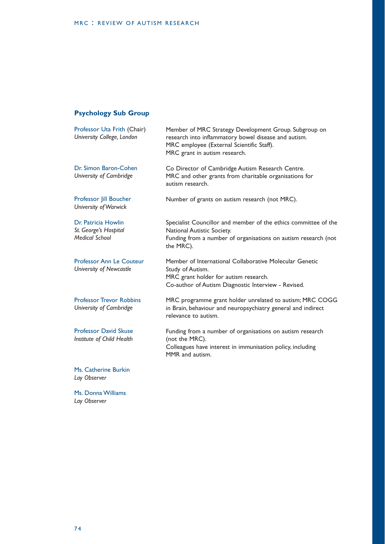# **Psychology Sub Group**

| Professor Uta Frith (Chair)<br>University College, London             | Member of MRC Strategy Development Group. Subgroup on<br>research into inflammatory bowel disease and autism.<br>MRC employee (External Scientific Staff).<br>MRC grant in autism research. |
|-----------------------------------------------------------------------|---------------------------------------------------------------------------------------------------------------------------------------------------------------------------------------------|
| Dr. Simon Baron-Cohen<br>University of Cambridge                      | Co Director of Cambridge Autism Research Centre.<br>MRC and other grants from charitable organisations for<br>autism research.                                                              |
| Professor Jill Boucher<br><b>University of Warwick</b>                | Number of grants on autism research (not MRC).                                                                                                                                              |
| Dr. Patricia Howlin<br>St. George's Hospital<br><b>Medical School</b> | Specialist Councillor and member of the ethics committee of the<br>National Autistic Society.<br>Funding from a number of organisations on autism research (not<br>the MRC).                |
| <b>Professor Ann Le Couteur</b><br>University of Newcastle            | Member of International Collaborative Molecular Genetic<br>Study of Autism.<br>MRC grant holder for autism research.<br>Co-author of Autism Diagnostic Interview - Revised.                 |
| <b>Professor Trevor Robbins</b><br>University of Cambridge            | MRC programme grant holder unrelated to autism; MRC COGG<br>in Brain, behaviour and neuropsychiatry general and indirect<br>relevance to autism.                                            |
| <b>Professor David Skuse</b><br>Institute of Child Health             | Funding from a number of organisations on autism research<br>(not the MRC).<br>Colleagues have interest in immunisation policy, including<br>MMR and autism.                                |
| Ms. Catherine Burkin                                                  |                                                                                                                                                                                             |

*Lay Observer* 

Ms. Donna Williams *Lay Observer*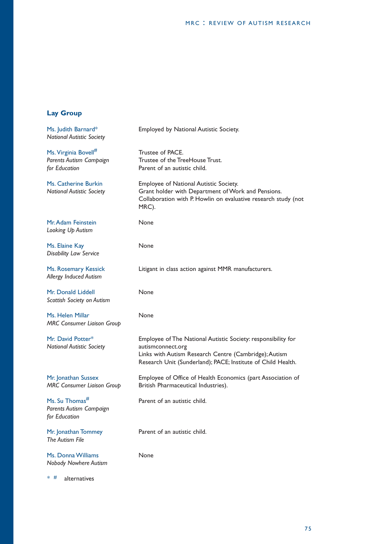## **Lay Group**

| Ms. Judith Barnard*<br><b>National Autistic Society</b>                      | Employed by National Autistic Society.                                                                                                                                                                      |
|------------------------------------------------------------------------------|-------------------------------------------------------------------------------------------------------------------------------------------------------------------------------------------------------------|
| Ms. Virginia Bovell <sup>#</sup><br>Parents Autism Campaign<br>for Education | Trustee of PACE.<br>Trustee of the TreeHouse Trust.<br>Parent of an autistic child.                                                                                                                         |
| Ms. Catherine Burkin<br><b>National Autistic Society</b>                     | Employee of National Autistic Society.<br>Grant holder with Department of Work and Pensions.<br>Collaboration with P. Howlin on evaluative research study (not<br>MRC).                                     |
| Mr. Adam Feinstein<br>Looking Up Autism                                      | None                                                                                                                                                                                                        |
| Ms. Elaine Kay<br><b>Disability Law Service</b>                              | None                                                                                                                                                                                                        |
| Ms. Rosemary Kessick<br>Allergy Induced Autism                               | Litigant in class action against MMR manufacturers.                                                                                                                                                         |
| Mr. Donald Liddell<br>Scottish Society on Autism                             | None                                                                                                                                                                                                        |
| Ms. Helen Millar<br><b>MRC Consumer Liaison Group</b>                        | None                                                                                                                                                                                                        |
| Mr. David Potter*<br><b>National Autistic Society</b>                        | Employee of The National Autistic Society: responsibility for<br>autismconnect.org<br>Links with Autism Research Centre (Cambridge); Autism<br>Research Unit (Sunderland); PACE; Institute of Child Health. |
| Mr. Jonathan Sussex<br><b>MRC Consumer Liaison Group</b>                     | Employee of Office of Health Economics (part Association of<br>British Pharmaceutical Industries).                                                                                                          |
| Ms. Su Thomas <sup>#</sup><br>Parents Autism Campaign<br>for Education       | Parent of an autistic child.                                                                                                                                                                                |
| Mr. Jonathan Tommey<br>The Autism File                                       | Parent of an autistic child.                                                                                                                                                                                |
| Ms. Donna Williams<br>Nobody Nowhere Autism                                  | None                                                                                                                                                                                                        |

*\** # alternatives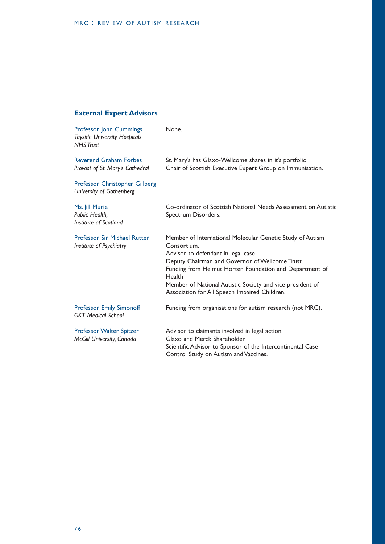### **External Expert Advisors**

| Professor John Cummings<br>Tayside University Hospitals<br><b>NHS Trust</b> | None.                                                                                                                                                                                                                                                                                                                                                 |
|-----------------------------------------------------------------------------|-------------------------------------------------------------------------------------------------------------------------------------------------------------------------------------------------------------------------------------------------------------------------------------------------------------------------------------------------------|
| <b>Reverend Graham Forbes</b><br>Provost of St. Mary's Cathedral            | St. Mary's has Glaxo-Wellcome shares in it's portfolio.<br>Chair of Scottish Executive Expert Group on Immunisation.                                                                                                                                                                                                                                  |
| Professor Christopher Gillberg<br>University of Gothenberg                  |                                                                                                                                                                                                                                                                                                                                                       |
| Ms. Jill Murie<br>Public Health,<br>Institute of Scotland                   | Co-ordinator of Scottish National Needs Assessment on Autistic<br>Spectrum Disorders.                                                                                                                                                                                                                                                                 |
| <b>Professor Sir Michael Rutter</b><br>Institute of Psychiatry              | Member of International Molecular Genetic Study of Autism<br>Consortium.<br>Advisor to defendant in legal case.<br>Deputy Chairman and Governor of Wellcome Trust.<br>Funding from Helmut Horten Foundation and Department of<br>Health<br>Member of National Autistic Society and vice-president of<br>Association for All Speech Impaired Children. |
| <b>Professor Emily Simonoff</b><br><b>GKT</b> Medical School                | Funding from organisations for autism research (not MRC).                                                                                                                                                                                                                                                                                             |
| Professor Walter Spitzer<br>McGill University, Canada                       | Advisor to claimants involved in legal action.<br>Glaxo and Merck Shareholder<br>Scientific Advisor to Sponsor of the Intercontinental Case<br>Control Study on Autism and Vaccines.                                                                                                                                                                  |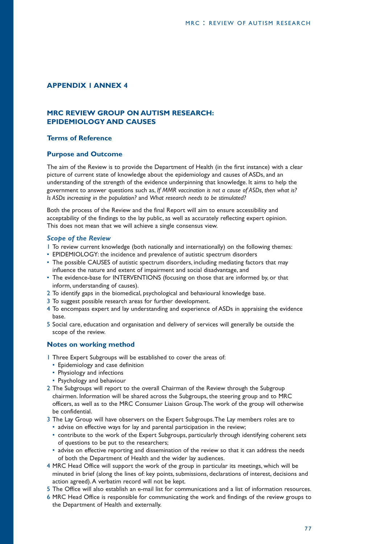### **MRC REVIEW GROUP ON AUTISM RESEARCH: EPIDEMIOLOGY AND CAUSES**

#### **Terms of Reference**

#### **Purpose and Outcome**

The aim of the Review is to provide the Department of Health (in the first instance) with a clear picture of current state of knowledge about the epidemiology and causes of ASDs, and an understanding of the strength of the evidence underpinning that knowledge. It aims to help the government to answer questions such as, *If MMR vaccination is not a cause of ASDs, then what is? Is ASDs increasing in the population?* and *What research needs to be stimulated?*

Both the process of the Review and the final Report will aim to ensure accessibility and acceptability of the findings to the lay public, as well as accurately reflecting expert opinion. This does not mean that we will achieve a single consensus view.

#### *Scope of the Review*

- 1 To review current knowledge (both nationally and internationally) on the following themes:
- EPIDEMIOLOGY: the incidence and prevalence of autistic spectrum disorders
- The possible CAUSES of autistic spectrum disorders, including mediating factors that may influence the nature and extent of impairment and social disadvantage, and
- The evidence-base for INTERVENTIONS (focusing on those that are informed by, or that inform, understanding of causes).
- 2 To identify gaps in the biomedical, psychological and behavioural knowledge base.
- 3 To suggest possible research areas for further development.
- 4 To encompass expert and lay understanding and experience of ASDs in appraising the evidence base.
- 5 Social care, education and organisation and delivery of services will generally be outside the scope of the review.

#### **Notes on working method**

- 1 Three Expert Subgroups will be established to cover the areas of:
	- Epidemiology and case definition
	- Physiology and infections
	- Psychology and behaviour
- 2 The Subgroups will report to the overall Chairman of the Review through the Subgroup chairmen. Information will be shared across the Subgroups, the steering group and to MRC officers, as well as to the MRC Consumer Liaison Group.The work of the group will otherwise be confidential.
- 3 The Lay Group will have observers on the Expert Subgroups.The Lay members roles are to
- advise on effective ways for lay and parental participation in the review;
- contribute to the work of the Expert Subgroups, particularly through identifying coherent sets of questions to be put to the researchers;
- advise on effective reporting and dissemination of the review so that it can address the needs of both the Department of Health and the wider lay audiences.
- 4 MRC Head Office will support the work of the group in particular its meetings, which will be minuted in brief (along the lines of: key points, submissions, declarations of interest, decisions and action agreed).A verbatim record will not be kept.
- 5 The Office will also establish an e-mail list for communications and a list of information resources.
- 6 MRC Head Office is responsible for communicating the work and findings of the review groups to the Department of Health and externally.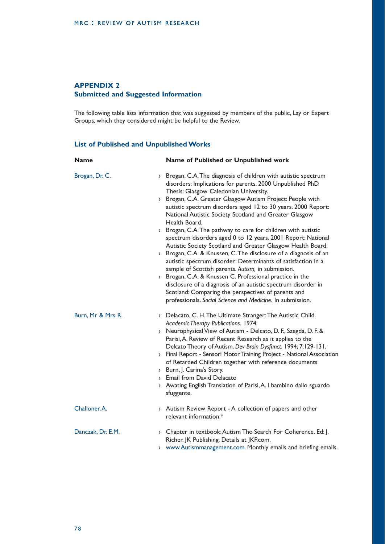#### **APPENDIX 2 Submitted and Suggested Information**

The following table lists information that was suggested by members of the public, Lay or Expert Groups, which they considered might be helpful to the Review.

### **List of Published and Unpublished Works**

| <b>Name</b>       | Name of Published or Unpublished work                                                                                                                                                                                                                                                                                                                                                                                                                                                                                                                                                                                                                                                                                                                                                                                                                                                                                                                                                                                         |
|-------------------|-------------------------------------------------------------------------------------------------------------------------------------------------------------------------------------------------------------------------------------------------------------------------------------------------------------------------------------------------------------------------------------------------------------------------------------------------------------------------------------------------------------------------------------------------------------------------------------------------------------------------------------------------------------------------------------------------------------------------------------------------------------------------------------------------------------------------------------------------------------------------------------------------------------------------------------------------------------------------------------------------------------------------------|
| Brogan, Dr. C.    | > Brogan, C.A. The diagnosis of children with autistic spectrum<br>disorders: Implications for parents. 2000 Unpublished PhD<br>Thesis: Glasgow Caledonian University.<br>> Brogan, C.A. Greater Glasgow Autism Project: People with<br>autistic spectrum disorders aged 12 to 30 years. 2000 Report:<br>National Autistic Society Scotland and Greater Glasgow<br>Health Board.<br>> Brogan, C.A. The pathway to care for children with autistic<br>spectrum disorders aged 0 to 12 years. 2001 Report: National<br>Autistic Society Scotland and Greater Glasgow Health Board.<br>> Brogan, C.A. & Knussen, C. The disclosure of a diagnosis of an<br>autistic spectrum disorder: Determinants of satisfaction in a<br>sample of Scottish parents. Autism, in submission.<br>> Brogan, C.A. & Knussen C. Professional practice in the<br>disclosure of a diagnosis of an autistic spectrum disorder in<br>Scotland: Comparing the perspectives of parents and<br>professionals. Social Science and Medicine. In submission. |
| Burn, Mr & Mrs R. | > Delacato, C. H. The Ultimate Stranger: The Autistic Child.<br>Academic Therapy Publications. 1974.<br>> Neurophysical View of Autism - Delcato, D. F., Szegda, D. F. &<br>Parisi, A. Review of Recent Research as it applies to the<br>Delcato Theory of Autism. Dev Brain Dysfunct. 1994; 7:129-131.<br>> Final Report - Sensori Motor Training Project - National Association<br>of Retarded Children together with reference documents<br>> Burn, J. Carina's Story.<br>> Email from David Delacato<br>> Awating English Translation of Parisi, A. I bambino dallo sguardo<br>sfuggente.                                                                                                                                                                                                                                                                                                                                                                                                                                 |
| Challoner, A.     | > Autism Review Report - A collection of papers and other<br>relevant information.*                                                                                                                                                                                                                                                                                                                                                                                                                                                                                                                                                                                                                                                                                                                                                                                                                                                                                                                                           |
| Danczak, Dr. E.M. | > Chapter in textbook: Autism The Search For Coherence. Ed: J.<br>Richer. JK Publishing. Details at JKP.com.<br>> www.Autismmanagement.com. Monthly emails and briefing emails.                                                                                                                                                                                                                                                                                                                                                                                                                                                                                                                                                                                                                                                                                                                                                                                                                                               |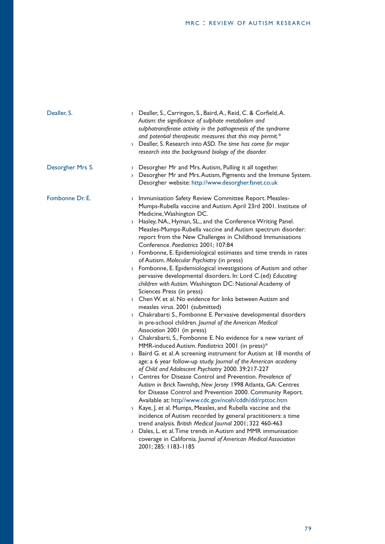| Dealler, S.      | > Dealler, S., Carringon, S., Baird, A., Reid, C. & Corfield, A.<br>Autism: the significance of sulphate metabolism and<br>sulphotransferase activity in the pathogenesis of the syndrome<br>and potential therapeutic measures that this may permit.*<br>> Dealler, S. Research into ASD. The time has come for major<br>research into the background biology of the disorder.                                                                                                                                                                                                                                                                                                                                                                                                                                                                                                                                                                                                                                                                                                                                                                                                                                                                                                                                                                                                                                                                                                                                                                                                                                                                                                                                                                                                                                                                                                                                                                      |
|------------------|------------------------------------------------------------------------------------------------------------------------------------------------------------------------------------------------------------------------------------------------------------------------------------------------------------------------------------------------------------------------------------------------------------------------------------------------------------------------------------------------------------------------------------------------------------------------------------------------------------------------------------------------------------------------------------------------------------------------------------------------------------------------------------------------------------------------------------------------------------------------------------------------------------------------------------------------------------------------------------------------------------------------------------------------------------------------------------------------------------------------------------------------------------------------------------------------------------------------------------------------------------------------------------------------------------------------------------------------------------------------------------------------------------------------------------------------------------------------------------------------------------------------------------------------------------------------------------------------------------------------------------------------------------------------------------------------------------------------------------------------------------------------------------------------------------------------------------------------------------------------------------------------------------------------------------------------------|
| Desorgher Mrs S. | > Desorgher Mr and Mrs. Autism, Pulling it all together.<br>> Desorgher Mr and Mrs. Autism, Pigments and the Immune System.<br>Desorgher website: http://www.desorgher.fsnet.co.uk                                                                                                                                                                                                                                                                                                                                                                                                                                                                                                                                                                                                                                                                                                                                                                                                                                                                                                                                                                                                                                                                                                                                                                                                                                                                                                                                                                                                                                                                                                                                                                                                                                                                                                                                                                   |
| Fombonne Dr. E.  | > Immunisation Safety Review Committee Report. Measles-<br>Mumps-Rubella vaccine and Autism. April 23rd 2001. Institute of<br>Medicine, Washington DC.<br>> Hasley, NA., Hyman, SL., and the Conference Writing Panel.<br>Measles-Mumps-Rubella vaccine and Autism spectrum disorder:<br>report from the New Challenges in Childhood Immunisations<br>Conference. Paediatrics 2001; 107:84<br>> Fombonne, E. Epidemiological estimates and time trends in rates<br>of Autism. Molecular Psychiatry (in press)<br>> Fombonne, E. Epidemiological investigations of Autism and other<br>pervasive developmental disorders. In: Lord C.(ed) Educating<br>children with Autism. Washington DC: National Academy of<br>Sciences Press (in press)<br>> Chen W. et al. No evidence for links between Autism and<br>measles virus. 2001 (submitted)<br>> Chakrabarti S., Fombonne E. Pervasive developmental disorders<br>in pre-school children. Journal of the American Medical<br>Association 2001 (in press)<br>> Chakrabarti, S., Fombonne E. No evidence for a new variant of<br>MMR-induced Autism. Paediatrics 2001 (in press)*<br>> Baird G. et al. A screening instrument for Autism at 18 months of<br>age: a 6 year follow-up study. Journal of the American academy<br>of Child and Adolescent Psychiatry 2000. 39:217-227<br>> Centres for Disease Control and Prevention. Prevalence of<br>Autism in Brick Township, New Jersey 1998 Atlanta, GA: Centres<br>for Disease Control and Prevention 2000. Community Report.<br>Available at: http//www.cdc.gov/nceh/cddh/dd/rpttoc.htm<br>> Kaye, J. et al. Mumps, Measles, and Rubella vaccine and the<br>incidence of Autism recorded by general practitioners: a time<br>trend analysis. British Medical Journal 2001; 322 460-463<br>> Dales, L. et al. Time trends in Autism and MMR immunisation<br>coverage in California. Journal of American Medical Association<br>2001; 285: 1183-1185 |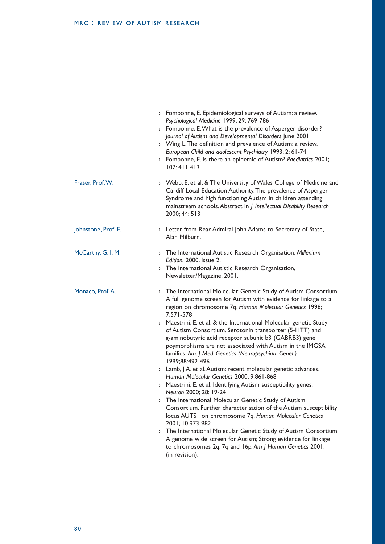|                     | > Fombonne, E. Epidemiological surveys of Autism: a review.<br>Psychological Medicine 1999; 29: 769-786<br>> Fombonne, E. What is the prevalence of Asperger disorder?<br>Journal of Autism and Developmental Disorders June 2001<br>> Wing L. The definition and prevalence of Autism: a review.<br>European Child and adolescent Psychiatry 1993; 2: 61-74<br>> Fombonne, E. Is there an epidemic of Autism? Paediatrics 2001;<br>$107:411-413$                                                                                                                                                                                                                                                                                                                                                                                                                                                                                                                                                                                                                                                                                                                                           |
|---------------------|---------------------------------------------------------------------------------------------------------------------------------------------------------------------------------------------------------------------------------------------------------------------------------------------------------------------------------------------------------------------------------------------------------------------------------------------------------------------------------------------------------------------------------------------------------------------------------------------------------------------------------------------------------------------------------------------------------------------------------------------------------------------------------------------------------------------------------------------------------------------------------------------------------------------------------------------------------------------------------------------------------------------------------------------------------------------------------------------------------------------------------------------------------------------------------------------|
| Fraser, Prof. W.    | > Webb, E. et al. & The University of Wales College of Medicine and<br>Cardiff Local Education Authority. The prevalence of Asperger<br>Syndrome and high functioning Autism in children attending<br>mainstream schools. Abstract in J. Intellectual Disability Research<br>2000; 44: 513                                                                                                                                                                                                                                                                                                                                                                                                                                                                                                                                                                                                                                                                                                                                                                                                                                                                                                  |
| Johnstone, Prof. E. | > Letter from Rear Admiral John Adams to Secretary of State,<br>Alan Milburn.                                                                                                                                                                                                                                                                                                                                                                                                                                                                                                                                                                                                                                                                                                                                                                                                                                                                                                                                                                                                                                                                                                               |
| McCarthy, G. I. M.  | > The International Autistic Research Organisation, Millenium<br>Edition. 2000. Issue 2.<br>> The International Autistic Research Organisation,<br>Newsletter/Magazine. 2001.                                                                                                                                                                                                                                                                                                                                                                                                                                                                                                                                                                                                                                                                                                                                                                                                                                                                                                                                                                                                               |
| Monaco, Prof.A.     | > The International Molecular Genetic Study of Autism Consortium.<br>A full genome screen for Autism with evidence for linkage to a<br>region on chromosome 7q. Human Molecular Genetics 1998;<br>7:571-578<br>> Maestrini, E. et al. & the International Molecular genetic Study<br>of Autism Consortium. Serotonin transporter (5-HTT) and<br>g-aminobutyric acid receptor subunit b3 (GABRB3) gene<br>poymorphisms are not associated with Autism in the IMGSA<br>families. Am. J Med. Genetics (Neuropsychiatr. Genet.)<br>1999;88:492-496<br>> Lamb, J.A. et al. Autism: recent molecular genetic advances.<br>Human Molecular Genetics 2000; 9:861-868<br>> Maestrini, E. et al. Identifying Autism susceptibility genes.<br>Neuron 2000; 28: 19-24<br>The International Molecular Genetic Study of Autism<br>><br>Consortium. Further characterisation of the Autism susceptibility<br>locus AUTS1 on chromosome 7q. Human Molecular Genetics<br>2001; 10:973-982<br>> The International Molecular Genetic Study of Autism Consortium.<br>A genome wide screen for Autism; Strong evidence for linkage<br>to chromosomes 2q, 7q and 16p. Am J Human Genetics 2001;<br>(in revision). |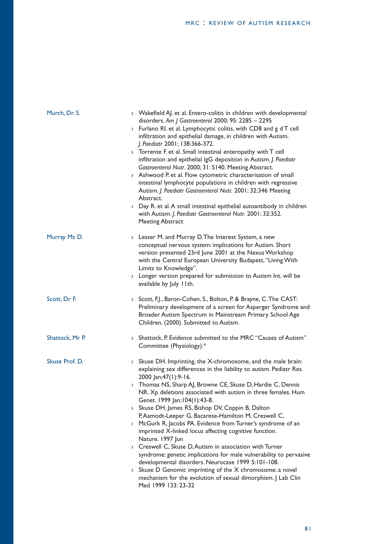| Murch, Dr. S.   | > Wakefield AJ. et al. Entero-colitis in children with developmental<br>disorders. Am J Gastroenterol 2000; 95: 2285 - 2295<br>> Furlano RI. et al. Lymphocytic colitis, with CD8 and g dT cell<br>infiltration and epithelial damage, in children with Autism.<br>J. Paediatr 2001; 138:366-372.<br>> Torrente F. et al. Small intestinal enteropathy with T cell<br>infiltration and epithelial IgG deposition in Autism. J. Paediatr<br>Gastroenterol Nutr. 2000; 31: S140. Meeting Abstract.<br>> Ashwood P. et al. Flow cytometric characterisation of small<br>intestinal lymphocyte populations in children with regressive<br>Autism. J. Paediatr Gastroenterol Nutr. 2001; 32:346 Meeting<br>Abstract.<br>> Day R. et al. A small intestinal epithelial autoantibody in children<br>with Autism. J. Paediatr Gastroenterol Nutr. 2001; 32:352.<br><b>Meeting Abstract</b>                                                       |  |
|-----------------|------------------------------------------------------------------------------------------------------------------------------------------------------------------------------------------------------------------------------------------------------------------------------------------------------------------------------------------------------------------------------------------------------------------------------------------------------------------------------------------------------------------------------------------------------------------------------------------------------------------------------------------------------------------------------------------------------------------------------------------------------------------------------------------------------------------------------------------------------------------------------------------------------------------------------------------|--|
| Murray Ms D.    | > Lesser M. and Murray D. The Interest System, a new<br>conceptual nervous system: implications for Autism. Short<br>version presented 23rd June 2001 at the Nexus Workshop<br>with the Central European University Budapest, "Living With<br>Limits to Knowledge".<br>> Longer version prepared for submission to Autism Int. will be<br>available by July 11th.                                                                                                                                                                                                                                                                                                                                                                                                                                                                                                                                                                        |  |
| Scott, Dr F.    | > Scott, F.J., Baron-Cohen, S., Bolton, P. & Brayne, C. The CAST:<br>Preliminary development of a screen for Asperger Syndrome and<br>Broader Autism Spectrum in Mainstream Primary School Age<br>Children. (2000). Submitted to Autism.                                                                                                                                                                                                                                                                                                                                                                                                                                                                                                                                                                                                                                                                                                 |  |
| Shattock, Mr P. | > Shattock, P. Evidence submitted to the MRC "Causes of Autism"<br>Committee (Physiology).*                                                                                                                                                                                                                                                                                                                                                                                                                                                                                                                                                                                                                                                                                                                                                                                                                                              |  |
| Skuse Prof. D.  | > Skuse DH. Imprinting, the X-chromosome, and the male brain:<br>explaining sex differences in the liability to autism. Pediatr Res.<br>2000 Jan; 47(1): 9-16.<br>> Thomas NS, Sharp AJ, Browne CE, Skuse D, Hardie C, Dennis<br>NR. Xp deletions associated with autism in three females. Hum<br>Genet. 1999 Jan; 104(1):43-8.<br>> Skuse DH, James RS, Bishop DV, Coppin B, Dalton<br>P, Aamodt-Leeper G, Bacarese-Hamilton M, Creswell C,<br>> McGurk R, Jacobs PA. Evidence from Turner's syndrome of an<br>imprinted X-linked locus affecting cognitive function.<br>Nature. 1997 Jun<br>> Creswell C, Skuse D, Autism in association with Turner<br>syndrome: genetic implications for male vulnerability to pervasive<br>developmental disorders. Neurocase 1999 5:101-108.<br>> Skuse D Genomic imprinting of the $X$ chromosome: a novel<br>mechanism for the evolution of sexual dimorphism. J Lab Clin<br>Med 1999 133: 23-32 |  |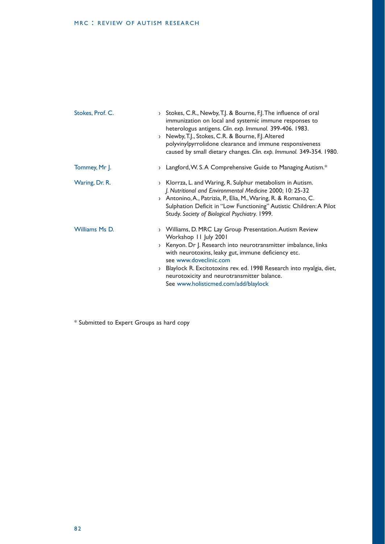| Stokes, Prof. C. | Stokes, C.R., Newby, T.J. & Bourne, F.J. The influence of oral<br>$\sum$<br>immunization on local and systemic immune responses to<br>heterologus antigens. Clin. exp. Immunol. 399-406. 1983.<br>> Newby, T.J., Stokes, C.R. & Bourne, F.J. Altered<br>polyvinylpyrrolidone clearance and immune responsiveness<br>caused by small dietary changes. Clin. exp. Immunol. 349-354. 1980.             |
|------------------|-----------------------------------------------------------------------------------------------------------------------------------------------------------------------------------------------------------------------------------------------------------------------------------------------------------------------------------------------------------------------------------------------------|
| Tommey, Mr J.    | Langford, W. S. A Comprehensive Guide to Managing Autism.*<br>$\sum$                                                                                                                                                                                                                                                                                                                                |
| Waring, Dr. R.   | $\rightarrow$ Klorrza, L. and Waring, R. Sulphur metabolism in Autism.<br>J. Nutritional and Environmental Medicine 2000; 10: 25-32<br>> Antonino, A., Patrizia, P., Elia, M., Waring, R. & Romano, C.<br>Sulphation Deficit in "Low Functioning" Autistic Children: A Pilot<br>Study. Society of Biological Psychiatry. 1999.                                                                      |
| Williams Ms D.   | > Williams, D. MRC Lay Group Presentation. Autism Review<br>Workshop 11 July 2001<br>Kenyon. Dr J. Research into neurotransmitter imbalance, links<br>with neurotoxins, leaky gut, immune deficiency etc.<br>see www.doveclinic.com<br>> Blaylock R. Excitotoxins rev. ed. 1998 Research into myalgia, diet,<br>neurotoxicity and neurotransmitter balance.<br>See www.holisticmed.com/add/blaylock |

\* Submitted to Expert Groups as hard copy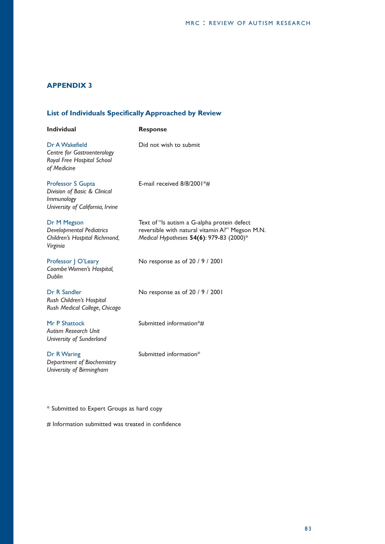### **APPENDIX 3**

### **List of Individuals Specifically Approached by Review**

| <b>Individual</b>                                                                                   | <b>Response</b>                                                                                                                            |
|-----------------------------------------------------------------------------------------------------|--------------------------------------------------------------------------------------------------------------------------------------------|
| Dr A Wakefield<br>Centre for Gastroenterology<br>Royal Free Hospital School<br>of Medicine          | Did not wish to submit                                                                                                                     |
| Professor S Gupta<br>Division of Basic & Clinical<br>Immunology<br>University of California, Irvine | E-mail received $8/8/2001$ <sup>*</sup> #                                                                                                  |
| Dr M Megson<br>Developmental Pediatrics<br>Children's Hospital Richmond,<br>Virginia                | Text of "Is autism a G-alpha protein defect<br>reversible with natural vitamin A?" Megson M.N.<br>Medical Hypotheses 54(6): 979-83 (2000)* |
| Professor J O'Leary<br>Coombe Women's Hospital,<br>Dublin                                           | No response as of 20 / 9 / 2001                                                                                                            |
| Dr R Sandler<br>Rush Children's Hospital<br>Rush Medical College, Chicago                           | No response as of 20 / 9 / 2001                                                                                                            |
| Mr P Shattock<br>Autism Research Unit<br>University of Sunderland                                   | Submitted information*#                                                                                                                    |
| Dr R Waring<br>Department of Biochemistry                                                           | Submitted information*                                                                                                                     |

\* Submitted to Expert Groups as hard copy

*University of Birmingham* 

# Information submitted was treated in confidence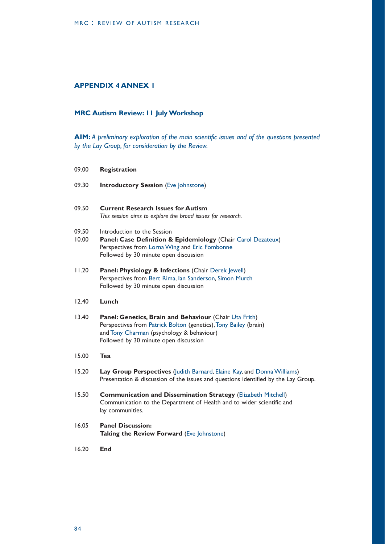#### **MRC Autism Review: 11 July Workshop**

**AIM:** *A preliminary exploration of the main scientific issues and of the questions presented by the Lay Group, for consideration by the Review.*

- 09.30 **Introductory Session** (Eve Johnstone)
- 09.50 **Current Research Issues for Autism** *This session aims to explore the broad issues for research.*
- 09.50 Introduction to the Session
- 10.00 **Panel: Case Definition & Epidemiology** (Chair Carol Dezateux) Perspectives from Lorna Wing and Eric Fombonne Followed by 30 minute open discussion
- 11.20 **Panel: Physiology & Infections** (Chair Derek Jewell) Perspectives from Bert Rima, Ian Sanderson, Simon Murch Followed by 30 minute open discussion
- 12.40 **Lunch**
- 13.40 **Panel: Genetics, Brain and Behaviour** (Chair Uta Frith) Perspectives from Patrick Bolton (genetics), Tony Bailey (brain) and Tony Charman (psychology & behaviour) Followed by 30 minute open discussion
- 15.00 **Tea**
- 15.20 **Lay Group Perspectives** (Judith Barnard, Elaine Kay, and Donna Williams) Presentation & discussion of the issues and questions identified by the Lay Group.
- 15.50 **Communication and Dissemination Strategy** (Elizabeth Mitchell) Communication to the Department of Health and to wider scientific and lay communities.

#### 16.05 **Panel Discussion:** Taking the Review Forward (Eve Johnstone)

16.20 **End**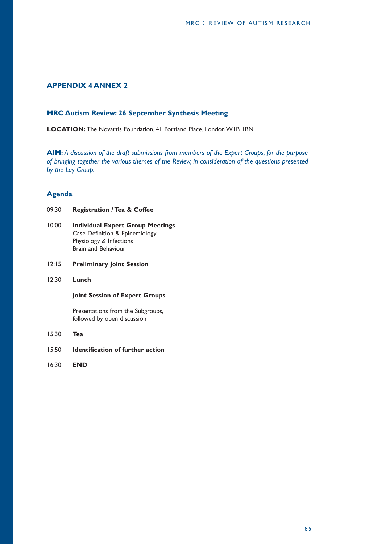#### **MRC Autism Review: 26 September Synthesis Meeting**

**LOCATION:** The Novartis Foundation, 41 Portland Place, London W1B 1BN

**AIM:** *A discussion of the draft submissions from members of the Expert Groups, for the purpose of bringing together the various themes of the Review, in consideration of the questions presented by the Lay Group.*

#### **Agenda**

#### 09:30 **Registration / Tea & Coffee**

- 10:00 **Individual Expert Group Meetings** Case Definition & Epidemiology Physiology & Infections Brain and Behaviour
- 12:15 **Preliminary Joint Session**
- 12.30 **Lunch**

#### **Joint Session of Expert Groups**

Presentations from the Subgroups, followed by open discussion

- 15.30 **Tea**
- 15:50 **Identification of further action**
- 16:30 **END**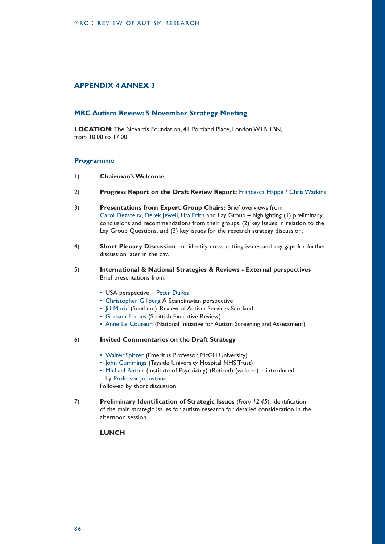#### **MRC Autism Review: 5 November Strategy Meeting**

**LOCATION:** The Novartis Foundation, 41 Portland Place, London W1B 1BN, from 10.00 to 17.00.

#### **Programme**

- 1) **Chairman's Welcome**
- 2) **Progress Report on the Draft Review Report:** Francesca Happé / Chris Watkins
- 3) **Presentations from Expert Group Chairs:** Brief overviews from Carol Dezateux, Derek Jewell, Uta Frith and Lay Group – highlighting (1) preliminary conclusions and recommendations from their groups, (2) key issues in relation to the Lay Group Questions, and (3) key issues for the research strategy discussion.
- 4) **Short Plenary Discussion** –to identify cross-cutting issues and any gaps for further discussion later in the day.
- 5) **International & National Strategies & Reviews External perspectives** Brief presentations from:
	- USA perspective Peter Dukes
	- Christopher Gillberg:A Scandinavian perspective
	- Jill Murie (Scotland): Review of Autism Services Scotland
	- Graham Forbes (Scottish Executive Review)
	- Anne Le Couteur: (National Initiative for Autism Screening and Assessment)

#### 6) **Invited Commentaries on the Draft Strategy**

- Walter Spitzer (Emeritus Professor, McGill University)
- John Cummings (Tayside University Hospital NHS Trust)
- Michael Rutter (Institute of Psychiatry) (Retired) (written) introduced by Professor Johnstone

Followed by short discussion

7) **Preliminary Identification of Strategic Issues** (*From 12.45*): Identification of the main strategic issues for autism research for detailed consideration in the afternoon session.

### **LUNCH**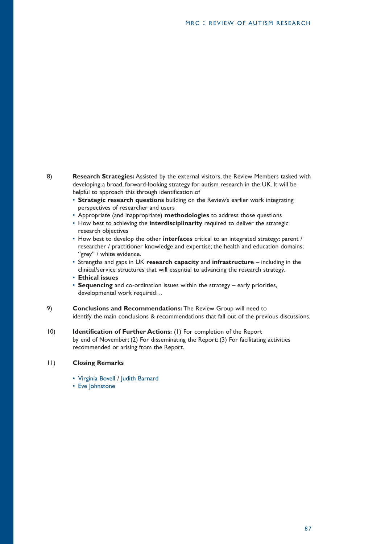8) **Research Strategies:** Assisted by the external visitors, the Review Members tasked with developing a broad, forward-looking strategy for autism research in the UK. It will be helpful to approach this through identification of

- **Strategic research questions** building on the Review's earlier work integrating perspectives of researcher and users
- Appropriate (and inappropriate) **methodologies** to address those questions
- How best to achieving the **interdisciplinarity** required to deliver the strategic research objectives
- How best to develop the other **interfaces** critical to an integrated strategy: parent / researcher / practitioner knowledge and expertise; the health and education domains; "grey" / white evidence.
- Strengths and gaps in UK **research capacity** and **infrastructure** including in the clinical/service structures that will essential to advancing the research strategy.
- **Ethical issues**
- **Sequencing** and co-ordination issues within the strategy early priorities, developmental work required…
- 9) **Conclusions and Recommendations:** The Review Group will need to identify the main conclusions & recommendations that fall out of the previous discussions.
- 10) **Identification of Further Actions:** (1) For completion of the Report by end of November; (2) For disseminating the Report; (3) For facilitating activities recommended or arising from the Report.

#### 11) **Closing Remarks**

- Virginia Bovell / Judith Barnard
- Eve Johnstone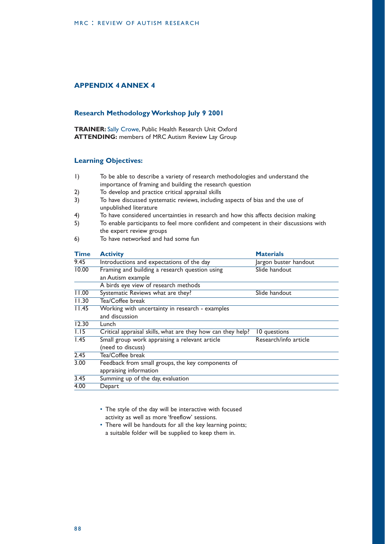#### **Research Methodology Workshop July 9 2001**

**TRAINER:** Sally Crowe, Public Health Research Unit Oxford **ATTENDING:** members of MRC Autism Review Lay Group

#### **Learning Objectives:**

- 1) To be able to describe a variety of research methodologies and understand the importance of framing and building the research question
- 2) To develop and practice critical appraisal skills
- 3) To have discussed systematic reviews, including aspects of bias and the use of unpublished literature
- 4) To have considered uncertainties in research and how this affects decision making
- 5) To enable participants to feel more confident and competent in their discussions with the expert review groups
- 6) To have networked and had some fun

| <b>Time</b> | <b>Activity</b>                                             | <b>Materials</b>      |
|-------------|-------------------------------------------------------------|-----------------------|
| 9.45        | Introductions and expectations of the day                   | Jargon buster handout |
| 10.00       | Framing and building a research question using              | Slide handout         |
|             | an Autism example                                           |                       |
|             | A birds eye view of research methods                        |                       |
| 11.00       | Systematic Reviews what are they?                           | Slide handout         |
| 11.30       | Tea/Coffee break                                            |                       |
| 11.45       | Working with uncertainty in research - examples             |                       |
|             | and discussion                                              |                       |
| 12.30       | Lunch                                                       |                       |
| 1.15        | Critical appraisal skills, what are they how can they help? | 10 questions          |
| 1.45        | Small group work appraising a relevant article              | Research/info article |
|             | (need to discuss)                                           |                       |
| 2.45        | Tea/Coffee break                                            |                       |
| 3.00        | Feedback from small groups, the key components of           |                       |
|             | appraising information                                      |                       |
| 3.45        | Summing up of the day, evaluation                           |                       |
| 4.00        | Depart                                                      |                       |

• The style of the day will be interactive with focused activity as well as more 'freeflow' sessions.

- There will be handouts for all the key learning points;
	- a suitable folder will be supplied to keep them in.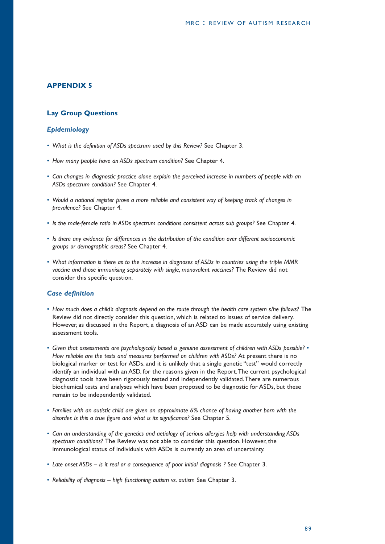#### **APPENDIX 5**

#### **Lay Group Questions**

#### *Epidemiology*

- *• What is the definition of ASDs spectrum used by this Review?* See Chapter 3.
- *• How many people have an ASDs spectrum condition?* See Chapter 4.
- *• Can changes in diagnostic practice alone explain the perceived increase in numbers of people with an ASDs spectrum condition?* See Chapter 4.
- *• Would a national register prove a more reliable and consistent way of keeping track of changes in prevalence?* See Chapter 4.
- *• Is the male-female ratio in ASDs spectrum conditions consistent across sub groups?* See Chapter 4.
- *• Is there any evidence for differences in the distribution of the condition over different socioeconomic groups or demographic areas?* See Chapter 4.
- *• What information is there as to the increase in diagnoses of ASDs in countries using the triple MMR vaccine and those immunising separately with single, monovalent vaccines?* The Review did not consider this specific question.

#### *Case definition*

- *• How much does a child's diagnosis depend on the route through the health care system s/he follows?* The Review did not directly consider this question, which is related to issues of service delivery. However, as discussed in the Report, a diagnosis of an ASD can be made accurately using existing assessment tools.
- *• Given that assessments are psychologically based is genuine assessment of children with ASDs possible? •* How reliable are the tests and measures performed on children with ASDs? At present there is no biological marker or test for ASDs, and it is unlikely that a single genetic "test" would correctly identify an individual with an ASD, for the reasons given in the Report.The current psychological diagnostic tools have been rigorously tested and independently validated.There are numerous biochemical tests and analyses which have been proposed to be diagnostic for ASDs, but these remain to be independently validated.
- *• Families with an autistic child are given an approximate 6% chance of having another born with the disorder. Is this a true figure and what is its significance?* See Chapter 5.
- *• Can an understanding of the genetics and aetiology of serious allergies help with understanding ASDs spectrum conditions?* The Review was not able to consider this question. However, the immunological status of individuals with ASDs is currently an area of uncertainty.
- *• Late onset ASDs is it real or a consequence of poor initial diagnosis ?* See Chapter 3.
- *• Reliability of diagnosis high functioning autism vs. autism* See Chapter 3.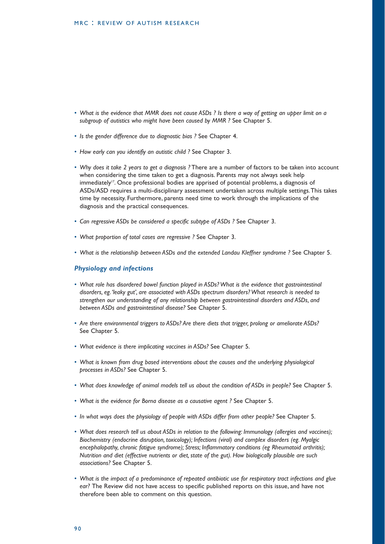- *• What is the evidence that MMR does not cause ASDs ? Is there a way of getting an upper limit on a subgroup of autistics who might have been caused by MMR ?* See Chapter 5.
- *• Is the gender difference due to diagnostic bias ?* See Chapter 4.
- *• How early can you identifiy an autistic child ?* See Chapter 3.
- *• Why does it take 2 years to get a diagnosis ?* There are a number of factors to be taken into account when considering the time taken to get a diagnosis. Parents may not always seek help immediately<sup>17</sup>. Once professional bodies are apprised of potential problems, a diagnosis of ASDs/ASD requires a multi-disciplinary assessment undertaken across multiple settings.This takes time by necessity. Furthermore, parents need time to work through the implications of the diagnosis and the practical consequences.
- *• Can regressive ASDs be considered a specific subtype of ASDs ?* See Chapter 3.
- *• What proportion of total cases are regressive ?* See Chapter 3.
- What is the relationship between ASDs and the extended Landau Kleffner syndrome ? See Chapter 5.

#### *Physiology and infections*

- *• What role has disordered bowel function played in ASDs? What is the evidence that gastrointestinal disorders, eg.'leaky gut', are associated with ASDs spectrum disorders? What research is needed to strengthen our understanding of any relationship between gastrointestinal disorders and ASDs, and between ASDs and gastrointestinal disease?* See Chapter 5.
- *• Are there environmental triggers to ASDs? Are there diets that trigger, prolong or ameliorate ASDs?*  See Chapter 5.
- *• What evidence is there implicating vaccines in ASDs?* See Chapter 5.
- *• What is known from drug based interventions about the causes and the underlying physiological processes in ASDs?* See Chapter 5.
- What does knowledge of animal models tell us about the condition of ASDs in people? See Chapter 5.
- *• What is the evidence for Borna disease as a causative agent ?* See Chapter 5.
- *• In what ways does the physiology of people with ASDs differ from other people?* See Chapter 5.
- *• What does research tell us about ASDs in relation to the following: Immunology (allergies and vaccines); Biochemistry (endocrine disruption, toxicology); Infections (viral) and complex disorders (eg. Myalgic encephalopathy, chronic fatigue syndrome); Stress; Inflammatory conditions (eg Rheumatoid arthritis); Nutrition and diet (effective nutrients or diet, state of the gut). How biologically plausible are such associations?* See Chapter 5.
- *• What is the impact of a predominance of repeated antibiotic use for respiratory tract infections and glue ear?* The Review did not have access to specific published reports on this issue, and have not therefore been able to comment on this question.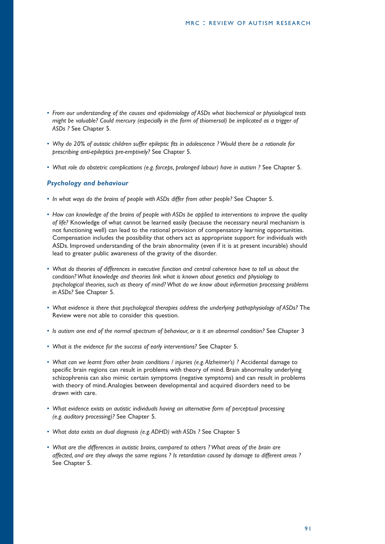- *• From our understanding of the causes and epidemiology of ASDs what biochemical or physiological tests might be valuable? Could mercury (especially in the form of thiomersal) be implicated as a trigger of ASDs ?* See Chapter 5.
- *• Why do 20% of autistic children suffer epileptic fits in adolescence ? Would there be a rationale for prescribing anti-epileptics pre-emptively?* See Chapter 5.
- *• What role do obstetric complications (e.g. forceps, prolonged labour) have in autism ?* See Chapter 5.

#### *Psychology and behaviour*

- *• In what ways do the brains of people with ASDs differ from other people?* See Chapter 5.
- *• How can knowledge of the brains of people with ASDs be applied to interventions to improve the quality of life?* Knowledge of what cannot be learned easily (because the necessary neural mechanism is not functioning well) can lead to the rational provision of compensatory learning opportunities. Compensation includes the possibility that others act as appropriate support for individuals with ASDs. Improved understanding of the brain abnormality (even if it is at present incurable) should lead to greater public awareness of the gravity of the disorder.
- *• What do theories of differences in executive function and central coherence have to tell us about the condition? What knowledge and theories link what is known about genetics and physiology to psychological theories, such as theory of mind? What do we know about information processing problems in ASDs?* See Chapter 5.
- *• What evidence is there that psychological therapies address the underlying pathophysiology of ASDs?* The Review were not able to consider this question.
- *• Is autism one end of the normal spectrum of behaviour, or is it an abnormal condition?* See Chapter 3
- *• What is the evidence for the success of early interventions?* See Chapter 5.
- What can we learnt from other brain conditions / injuries (e.g. Alzheimer's) ? Accidental damage to specific brain regions can result in problems with theory of mind. Brain abnormality underlying schizophrenia can also mimic certain symptoms (negative symptoms) and can result in problems with theory of mind.Analogies between developmental and acquired disorders need to be drawn with care.
- *• What evidence exists on autistic individuals having an alternative form of perceptual processing (e.g. auditory processing)?* See Chapter 5.
- *• What data exists on dual diagnosis (e.g.ADHD) with ASDs ?* See Chapter 5
- *• What are the differences in autistic brains, compared to others ? What areas of the brain are affected, and are they always the same regions ? Is retardation caused by damage to different areas ?* See Chapter 5.